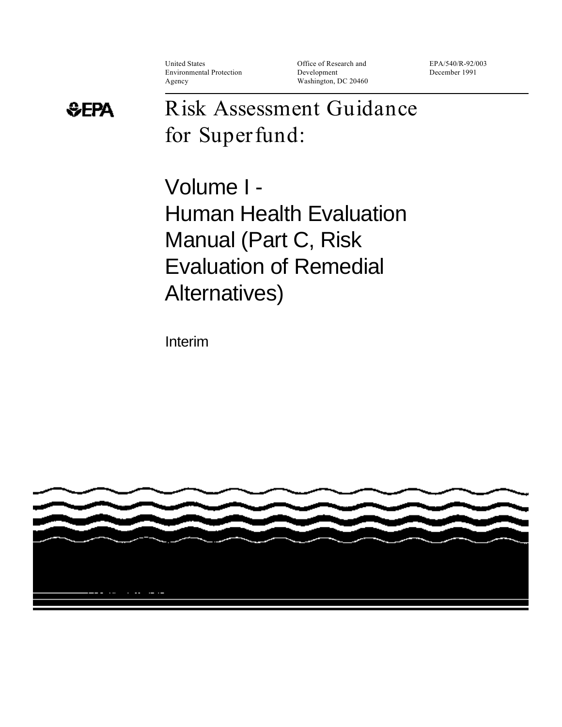Environmental Protection Development December 1991

United States Office of Research and EPA/540/R-92/003 Agency Washington, DC 20460

# *<b>***EPA**

# **Risk Assessment Guidance for Superfund:**

Volume I - Human Health Evaluation Manual (Part C, Risk Evaluation of Remedial Alternatives)

Interim

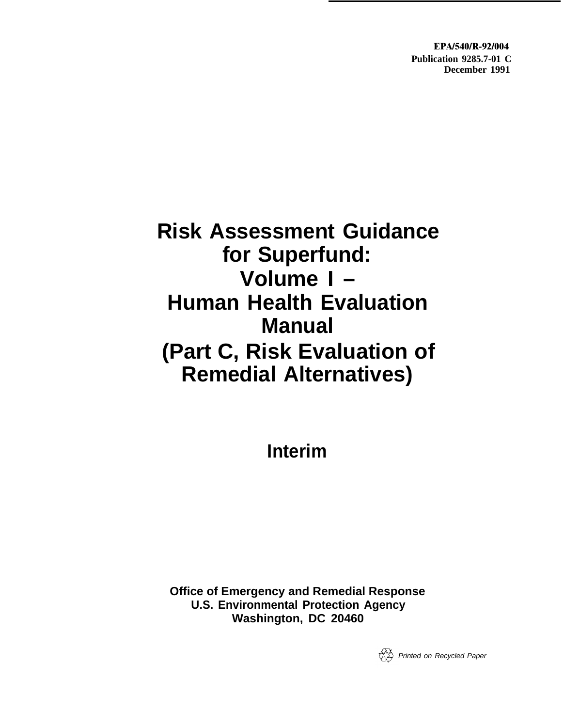**EPA/540/R-92/004 Publication 9285.7-01 C December 1991**

# **Risk Assessment Guidance for Superfund: Volume I – Human Health Evaluation Manual (Part C, Risk Evaluation of Remedial Alternatives)**

**Interim**

**Office of Emergency and Remedial Response U.S. Environmental Protection Agency Washington, DC 20460**

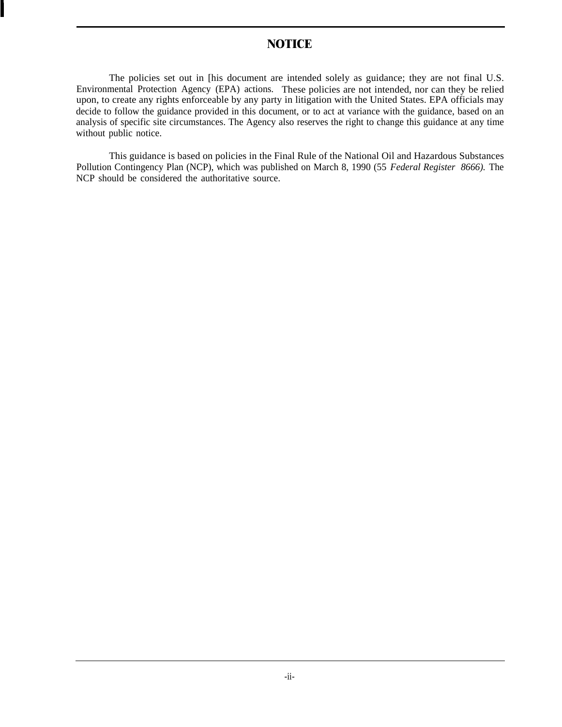## **NOTICE**

<span id="page-2-0"></span>The policies set out in [his document are intended solely as guidance; they are not final U.S. Environmental Protection Agency (EPA) actions. These policies are not intended, nor can they be relied upon, to create any rights enforceable by any party in litigation with the United States. EPA officials may decide to follow the guidance provided in this document, or to act at variance with the guidance, based on an analysis of specific site circumstances. The Agency also reserves the right to change this guidance at any time without public notice.

This guidance is based on policies in the Final Rule of the National Oil and Hazardous Substances Pollution Contingency Plan (NCP), which was published on March 8, 1990 (55 *Federal Register 8666).* The NCP should be considered the authoritative source.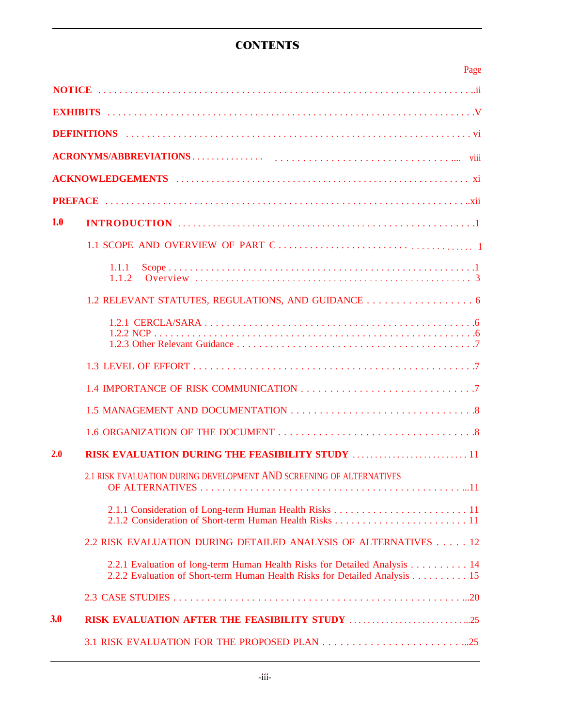## **CONTENTS**

|            | Page                                                                                                                                                    |
|------------|---------------------------------------------------------------------------------------------------------------------------------------------------------|
|            |                                                                                                                                                         |
|            |                                                                                                                                                         |
|            |                                                                                                                                                         |
|            |                                                                                                                                                         |
|            |                                                                                                                                                         |
|            |                                                                                                                                                         |
| <b>1.0</b> |                                                                                                                                                         |
|            |                                                                                                                                                         |
|            | 1.1.1                                                                                                                                                   |
|            | 1.2 RELEVANT STATUTES, REGULATIONS, AND GUIDANCE 6                                                                                                      |
|            |                                                                                                                                                         |
|            |                                                                                                                                                         |
|            |                                                                                                                                                         |
|            |                                                                                                                                                         |
|            |                                                                                                                                                         |
| 2.0        | <b>RISK EVALUATION DURING THE FEASIBILITY STUDY</b> 11                                                                                                  |
|            | 2.1 RISK EVALUATION DURING DEVELOPMENT AND SCREENING OF ALTERNATIVES                                                                                    |
|            |                                                                                                                                                         |
|            | 2.2 RISK EVALUATION DURING DETAILED ANALYSIS OF ALTERNATIVES 12                                                                                         |
|            | 2.2.1 Evaluation of long-term Human Health Risks for Detailed Analysis 14<br>2.2.2 Evaluation of Short-term Human Health Risks for Detailed Analysis 15 |
|            |                                                                                                                                                         |
| 3.0        |                                                                                                                                                         |
|            |                                                                                                                                                         |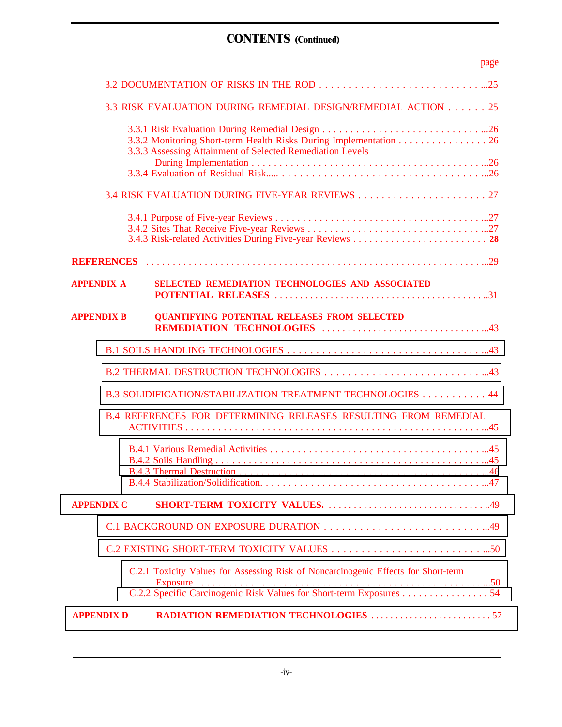# **CONTENTS (Continued)**

|                   | page                                                                                                                                                      |
|-------------------|-----------------------------------------------------------------------------------------------------------------------------------------------------------|
|                   |                                                                                                                                                           |
|                   | 3.3 RISK EVALUATION DURING REMEDIAL DESIGN/REMEDIAL ACTION 25                                                                                             |
|                   | 3.3.2 Monitoring Short-term Health Risks During Implementation 26<br>3.3.3 Assessing Attainment of Selected Remediation Levels                            |
|                   |                                                                                                                                                           |
|                   |                                                                                                                                                           |
|                   |                                                                                                                                                           |
|                   |                                                                                                                                                           |
| <b>APPENDIX A</b> | SELECTED REMEDIATION TECHNOLOGIES AND ASSOCIATED                                                                                                          |
| <b>APPENDIX B</b> | <b>QUANTIFYING POTENTIAL RELEASES FROM SELECTED</b>                                                                                                       |
|                   |                                                                                                                                                           |
|                   |                                                                                                                                                           |
|                   | B.3 SOLIDIFICATION/STABILIZATION TREATMENT TECHNOLOGIES 44                                                                                                |
|                   | <b>B.4 REFERENCES FOR DETERMINING RELEASES RESULTING FROM REMEDIAL</b>                                                                                    |
|                   |                                                                                                                                                           |
| <b>APPENDIX C</b> |                                                                                                                                                           |
|                   |                                                                                                                                                           |
|                   |                                                                                                                                                           |
|                   | C.2.1 Toxicity Values for Assessing Risk of Noncarcinogenic Effects for Short-term<br>C.2.2 Specific Carcinogenic Risk Values for Short-term Exposures 54 |
| <b>APPENDIX D</b> | <b>RADIATION REMEDIATION TECHNOLOGIES</b> 57                                                                                                              |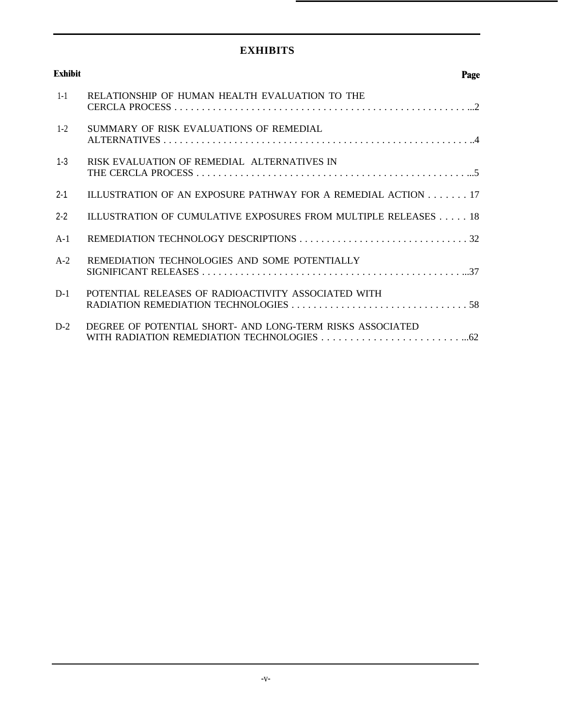## **EXHIBITS**

<span id="page-5-0"></span>

| <b>Exhibit</b> | Page                                                           |
|----------------|----------------------------------------------------------------|
| $1 - 1$        | RELATIONSHIP OF HUMAN HEALTH EVALUATION TO THE                 |
| $1 - 2$        | SUMMARY OF RISK EVALUATIONS OF REMEDIAL                        |
| $1 - 3$        | RISK EVALUATION OF REMEDIAL ALTERNATIVES IN                    |
| $2 - 1$        | ILLUSTRATION OF AN EXPOSURE PATHWAY FOR A REMEDIAL ACTION 17   |
| $2 - 2$        | ILLUSTRATION OF CUMULATIVE EXPOSURES FROM MULTIPLE RELEASES 18 |
| $A-1$          |                                                                |
| $A-2$          | REMEDIATION TECHNOLOGIES AND SOME POTENTIALLY                  |
| $D-1$          | POTENTIAL RELEASES OF RADIOACTIVITY ASSOCIATED WITH            |
| $D-2$          | DEGREE OF POTENTIAL SHORT- AND LONG-TERM RISKS ASSOCIATED      |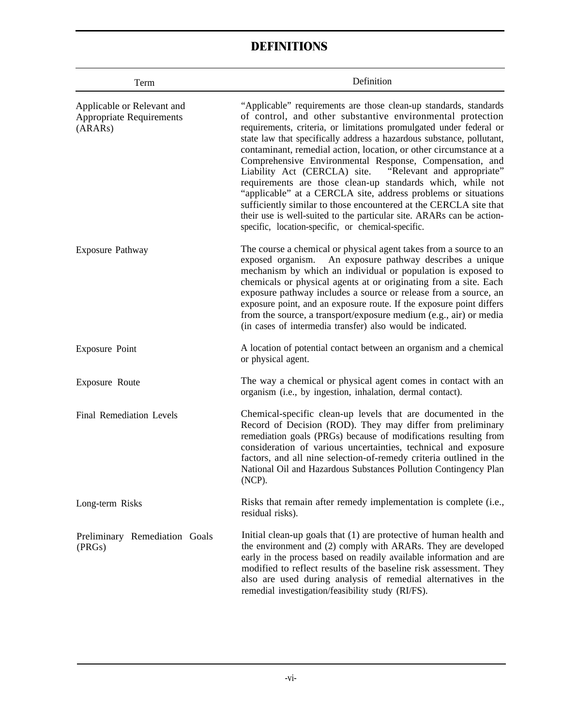## **DEFINITIONS**

<span id="page-6-0"></span>

| Term                                                                     | Definition                                                                                                                                                                                                                                                                                                                                                                                                                                                                                                                                                                                                                                                                                                                                                                                                        |
|--------------------------------------------------------------------------|-------------------------------------------------------------------------------------------------------------------------------------------------------------------------------------------------------------------------------------------------------------------------------------------------------------------------------------------------------------------------------------------------------------------------------------------------------------------------------------------------------------------------------------------------------------------------------------------------------------------------------------------------------------------------------------------------------------------------------------------------------------------------------------------------------------------|
| Applicable or Relevant and<br><b>Appropriate Requirements</b><br>(ARARs) | "Applicable" requirements are those clean-up standards, standards<br>of control, and other substantive environmental protection<br>requirements, criteria, or limitations promulgated under federal or<br>state law that specifically address a hazardous substance, pollutant,<br>contaminant, remedial action, location, or other circumstance at a<br>Comprehensive Environmental Response, Compensation, and<br>Liability Act (CERCLA) site.<br>"Relevant and appropriate"<br>requirements are those clean-up standards which, while not<br>"applicable" at a CERCLA site, address problems or situations<br>sufficiently similar to those encountered at the CERCLA site that<br>their use is well-suited to the particular site. ARARs can be action-<br>specific, location-specific, or chemical-specific. |
| Exposure Pathway                                                         | The course a chemical or physical agent takes from a source to an<br>exposed organism.<br>An exposure pathway describes a unique<br>mechanism by which an individual or population is exposed to<br>chemicals or physical agents at or originating from a site. Each<br>exposure pathway includes a source or release from a source, an<br>exposure point, and an exposure route. If the exposure point differs<br>from the source, a transport/exposure medium (e.g., air) or media<br>(in cases of intermedia transfer) also would be indicated.                                                                                                                                                                                                                                                                |
| Exposure Point                                                           | A location of potential contact between an organism and a chemical<br>or physical agent.                                                                                                                                                                                                                                                                                                                                                                                                                                                                                                                                                                                                                                                                                                                          |
| Exposure Route                                                           | The way a chemical or physical agent comes in contact with an<br>organism (i.e., by ingestion, inhalation, dermal contact).                                                                                                                                                                                                                                                                                                                                                                                                                                                                                                                                                                                                                                                                                       |
| <b>Final Remediation Levels</b>                                          | Chemical-specific clean-up levels that are documented in the<br>Record of Decision (ROD). They may differ from preliminary<br>remediation goals (PRGs) because of modifications resulting from<br>consideration of various uncertainties, technical and exposure<br>factors, and all nine selection-of-remedy criteria outlined in the<br>National Oil and Hazardous Substances Pollution Contingency Plan<br>$(NCP)$ .                                                                                                                                                                                                                                                                                                                                                                                           |
| Long-term Risks                                                          | Risks that remain after remedy implementation is complete (i.e.,<br>residual risks).                                                                                                                                                                                                                                                                                                                                                                                                                                                                                                                                                                                                                                                                                                                              |
| Preliminary Remediation Goals<br>(PRGs)                                  | Initial clean-up goals that (1) are protective of human health and<br>the environment and (2) comply with ARARs. They are developed<br>early in the process based on readily available information and are<br>modified to reflect results of the baseline risk assessment. They<br>also are used during analysis of remedial alternatives in the<br>remedial investigation/feasibility study (RI/FS).                                                                                                                                                                                                                                                                                                                                                                                                             |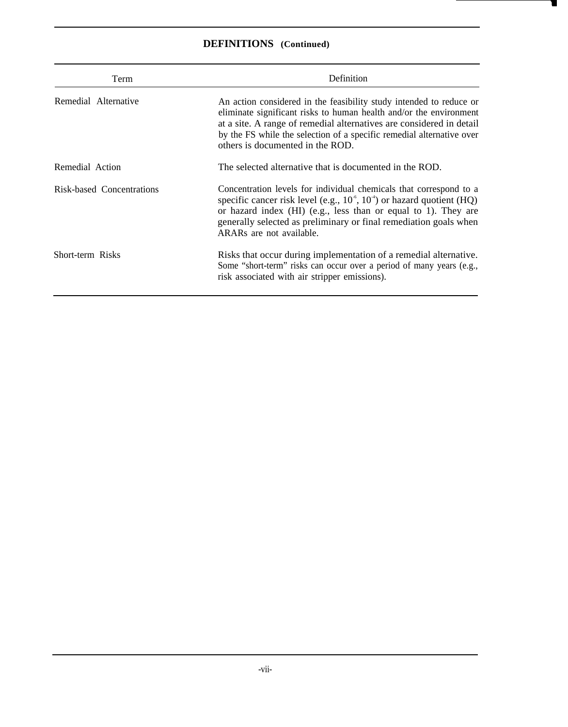## **DEFINITIONS (Continued)**

| Term                      | Definition                                                                                                                                                                                                                                                                                                                       |  |
|---------------------------|----------------------------------------------------------------------------------------------------------------------------------------------------------------------------------------------------------------------------------------------------------------------------------------------------------------------------------|--|
| Remedial Alternative      | An action considered in the feasibility study intended to reduce or<br>eliminate significant risks to human health and/or the environment<br>at a site. A range of remedial alternatives are considered in detail<br>by the FS while the selection of a specific remedial alternative over<br>others is documented in the ROD.   |  |
| Remedial Action           | The selected alternative that is documented in the ROD.                                                                                                                                                                                                                                                                          |  |
| Risk-based Concentrations | Concentration levels for individual chemicals that correspond to a<br>specific cancer risk level (e.g., $10^{\circ}$ , $10^{\circ}$ ) or hazard quotient (HQ)<br>or hazard index (HI) (e.g., less than or equal to 1). They are<br>generally selected as preliminary or final remediation goals when<br>ARARs are not available. |  |
| Short-term Risks          | Risks that occur during implementation of a remedial alternative.<br>Some "short-term" risks can occur over a period of many years (e.g.,<br>risk associated with air stripper emissions).                                                                                                                                       |  |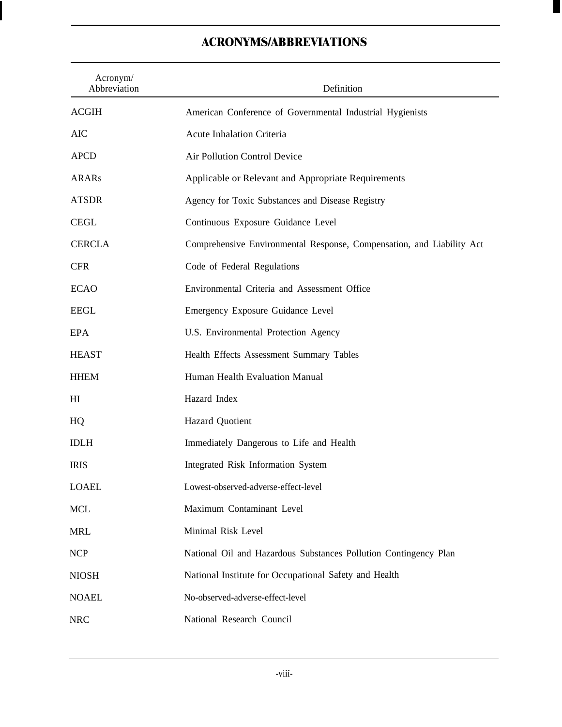## <span id="page-8-0"></span>Acronym/ Abbreviation Definition ACGIH AIC APCD ARARs ATSDR CEGL CERCLA CFR ECAO EEGL EPA **HEAST HHEM** HI HQ IDLH IRIS LOAEL **MCL** MRL NCP American Conference of Governmental Industrial Hygienists Acute Inhalation Criteria Air Pollution Control Device Applicable or Relevant and Appropriate Requirements Agency for Toxic Substances and Disease Registry Continuous Exposure Guidance Level Comprehensive Environmental Response, Compensation, and Liability Act Code of Federal Regulations Environmental Criteria and Assessment Office Emergency Exposure Guidance Level U.S. Environmental Protection Agency Health Effects Assessment Summary Tables Human Health Evaluation Manual Hazard Index Hazard Quotient Immediately Dangerous to Life and Health Integrated Risk Information System Lowest-observed-adverse-effect-level Maximum Contaminant Level Minimal Risk Level National Oil and Hazardous Substances Pollution Contingency Plan NIOSH National Institute for Occupational Safety and Health NOAEL No-observed-adverse-effect-level NRC National Research Council

# **ACRONYMS/ABBREVIATIONS**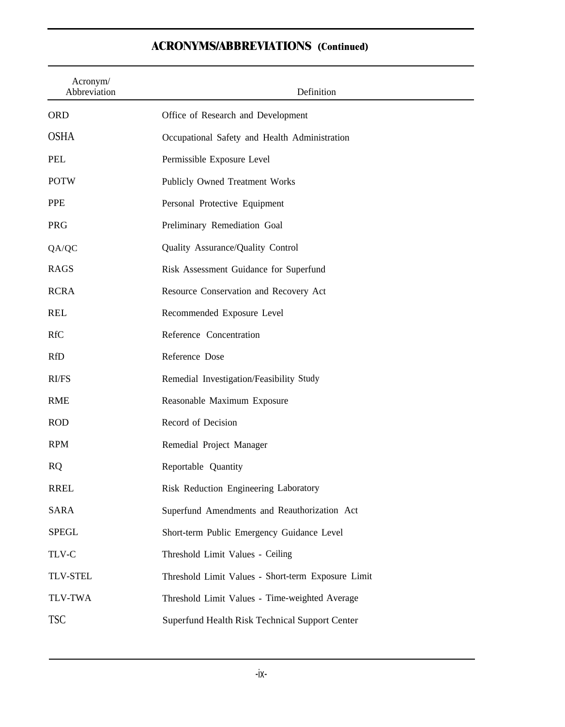| Acronym/<br>Abbreviation | Definition                                         |
|--------------------------|----------------------------------------------------|
| <b>ORD</b>               | Office of Research and Development                 |
| <b>OSHA</b>              | Occupational Safety and Health Administration      |
| <b>PEL</b>               | Permissible Exposure Level                         |
| <b>POTW</b>              | Publicly Owned Treatment Works                     |
| <b>PPE</b>               | Personal Protective Equipment                      |
| PRG                      | Preliminary Remediation Goal                       |
| QA/QC                    | Quality Assurance/Quality Control                  |
| <b>RAGS</b>              | Risk Assessment Guidance for Superfund             |
| <b>RCRA</b>              | Resource Conservation and Recovery Act             |
| <b>REL</b>               | Recommended Exposure Level                         |
| <b>RfC</b>               | Reference Concentration                            |
| <b>RfD</b>               | Reference Dose                                     |
| RI/FS                    | Remedial Investigation/Feasibility Study           |
| <b>RME</b>               | Reasonable Maximum Exposure                        |
| <b>ROD</b>               | Record of Decision                                 |
| <b>RPM</b>               | Remedial Project Manager                           |
| <b>RQ</b>                | Reportable Quantity                                |
| <b>RREL</b>              | Risk Reduction Engineering Laboratory              |
| SARA                     | Superfund Amendments and Reauthorization Act       |
| <b>SPEGL</b>             | Short-term Public Emergency Guidance Level         |
| TLV-C                    | Threshold Limit Values - Ceiling                   |
| <b>TLV-STEL</b>          | Threshold Limit Values - Short-term Exposure Limit |
| <b>TLV-TWA</b>           | Threshold Limit Values - Time-weighted Average     |
| <b>TSC</b>               | Superfund Health Risk Technical Support Center     |

## **ACRONYMS/ABBREVIATIONS (Continued)**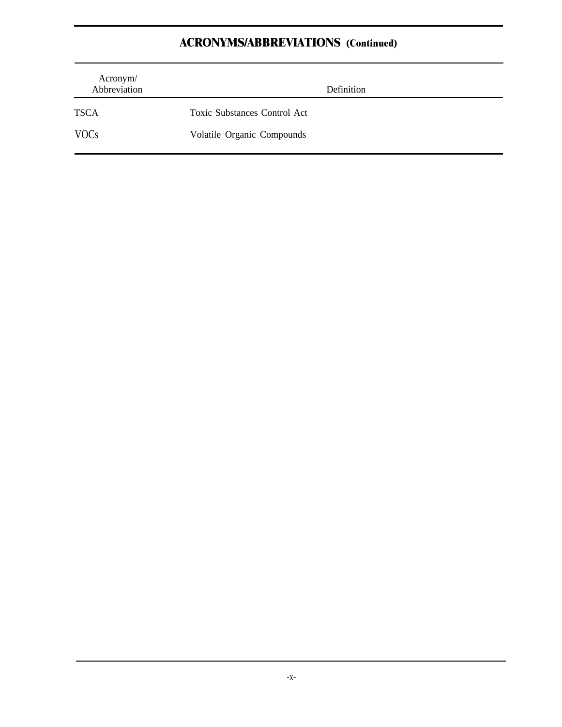# **ACRONYMS/ABBREVIATIONS (Continued)**

| Acronym/<br>Abbreviation | Definition                   |
|--------------------------|------------------------------|
| <b>TSCA</b>              | Toxic Substances Control Act |
| <b>VOCs</b>              | Volatile Organic Compounds   |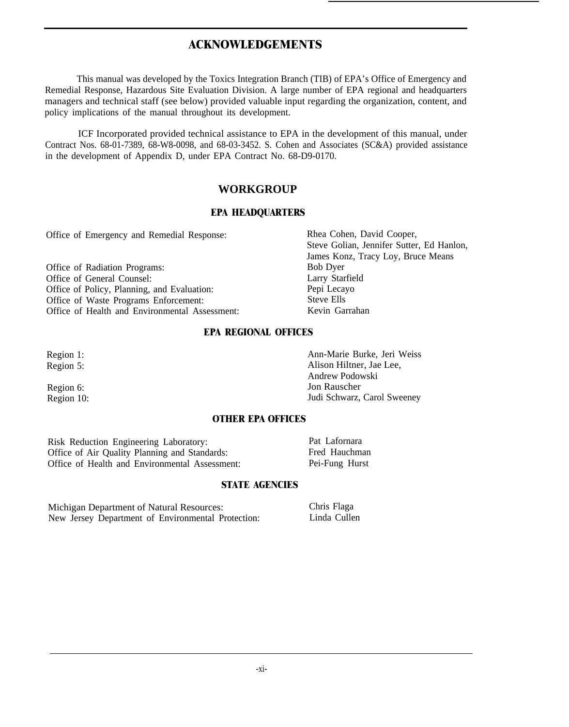## **ACKNOWLEDGEMENTS**

<span id="page-11-0"></span>This manual was developed by the Toxics Integration Branch (TIB) of EPA's Office of Emergency and Remedial Response, Hazardous Site Evaluation Division. A large number of EPA regional and headquarters managers and technical staff (see below) provided valuable input regarding the organization, content, and policy implications of the manual throughout its development.

ICF Incorporated provided technical assistance to EPA in the development of this manual, under Contract Nos. 68-01-7389, 68-W8-0098, and 68-03-3452. S. Cohen and Associates (SC&A) provided assistance in the development of Appendix D, under EPA Contract No. 68-D9-0170.

## **WORKGROUP**

#### **EPA HEADQUARTERS**

Office of Emergency and Remedial Response: Rhea Cohen, David Cooper,

Office of Radiation Programs:<br>
Office of General Counsel:<br>
Larry Starfield Office of General Counsel: Larry Starfie<br>
Office of Policy. Planning, and Evaluation: Pepi Lecayo Office of Policy, Planning, and Evaluation: Pepi Lecay<br>
Office of Waste Programs Enforcement: Steve Ells Office of Waste Programs Enforcement: Steve Ells<br>
Office of Health and Environmental Assessment: Stevin Garrahan Office of Health and Environmental Assessment:

Steve Golian, Jennifer Sutter, Ed Hanlon, James Konz, Tracy Loy, Bruce Means

#### **EPA REGIONAL OFFICES**

Region 1: Ann-Marie Burke, Jeri Weiss Region 5: Alison Hiltner, Jae Lee, Andrew Podowski Region 6: Jon Rauscher Region 10: **In the U.S. In the U.S. Accord Street Street Street Street Street Street Street Street Street Street Street Street Street Street Street Street Street Street Street Street Street Street Street Street Street Stre** 

### **OTHER EPA OFFICES**

Risk Reduction Engineering Laboratory:<br>
Office of Air Quality Planning and Standards: Pred Hauchman Office of Air Quality Planning and Standards: Fred Hauchman<br>
Office of Health and Environmental Assessment: Pei-Fung Hurst Office of Health and Environmental Assessment:

#### **STATE AGENCIES**

Michigan Department of Natural Resources: New Jersey Department of Environmental Protection:

Chris Flaga Linda Cullen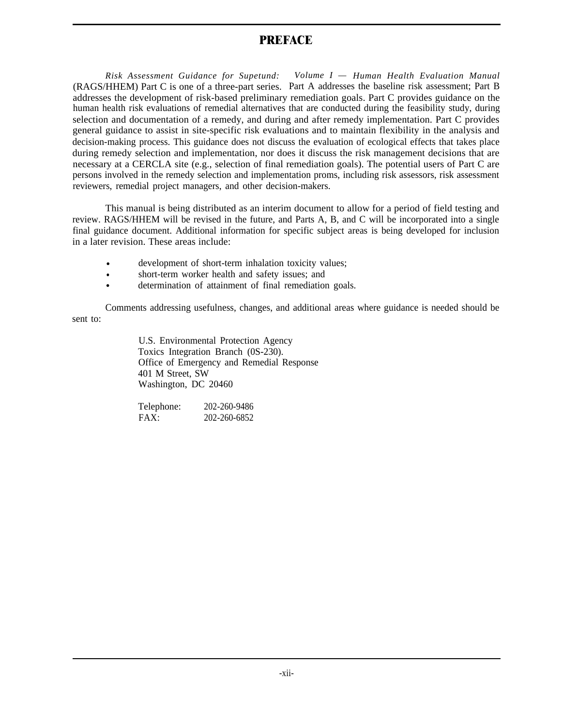## **PREFACE**

<span id="page-12-0"></span>*Risk Assessment Guidance for Supetund: Volume I — Human Health Evaluation Manual* (RAGS/HHEM) Part C is one of a three-part series. Part A addresses the baseline risk assessment; Part B addresses the development of risk-based preliminary remediation goals. Part C provides guidance on the human health risk evaluations of remedial alternatives that are conducted during the feasibility study, during selection and documentation of a remedy, and during and after remedy implementation. Part C provides general guidance to assist in site-specific risk evaluations and to maintain flexibility in the analysis and decision-making process. This guidance does not discuss the evaluation of ecological effects that takes place during remedy selection and implementation, nor does it discuss the risk management decisions that are necessary at a CERCLA site (e.g., selection of final remediation goals). The potential users of Part C are persons involved in the remedy selection and implementation proms, including risk assessors, risk assessment reviewers, remedial project managers, and other decision-makers.

This manual is being distributed as an interim document to allow for a period of field testing and review. RAGS/HHEM will be revised in the future, and Parts A, B, and C will be incorporated into a single final guidance document. Additional information for specific subject areas is being developed for inclusion in a later revision. These areas include:

- development of short-term inhalation toxicity values;
- short-term worker health and safety issues; and
- determination of attainment of final remediation goals.

Comments addressing usefulness, changes, and additional areas where guidance is needed should be sent to:

> U.S. Environmental Protection Agency Toxics Integration Branch (0S-230). Office of Emergency and Remedial Response 401 M Street, SW Washington, DC 20460

| Telephone: | 202-260-9486 |
|------------|--------------|
| FAX:       | 202-260-6852 |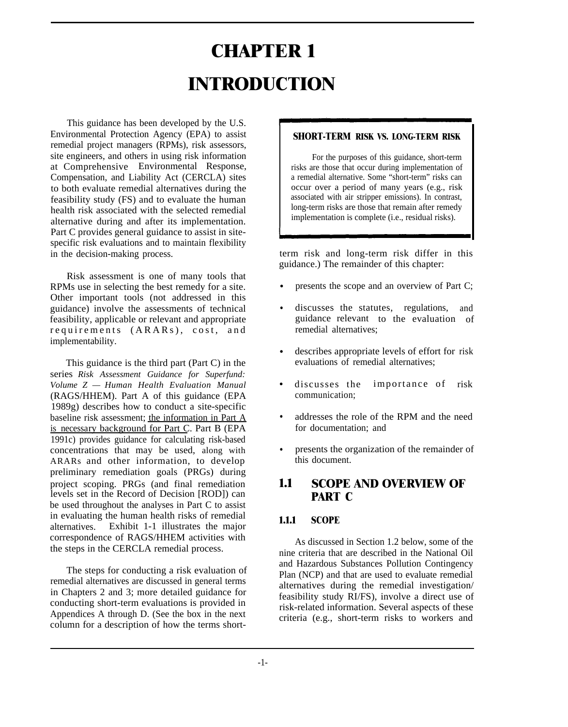# **CHAPTER 1 INTRODUCTION**

<span id="page-13-0"></span>This guidance has been developed by the U.S. Environmental Protection Agency (EPA) to assist remedial project managers (RPMs), risk assessors, site engineers, and others in using risk information at Comprehensive Environmental Response, Compensation, and Liability Act (CERCLA) sites to both evaluate remedial alternatives during the feasibility study (FS) and to evaluate the human health risk associated with the selected remedial alternative during and after its implementation. Part C provides general guidance to assist in sitespecific risk evaluations and to maintain flexibility in the decision-making process.

Risk assessment is one of many tools that RPMs use in selecting the best remedy for a site. Other important tools (not addressed in this guidance) involve the assessments of technical feasibility, applicable or relevant and appropriate requirements (ARARs), cost, an d implementability.

This guidance is the third part (Part C) in the series *Risk Assessment Guidance for Superfund: Volume Z — Human Health Evaluation Manual* (RAGS/HHEM). Part A of this guidance (EPA 1989g) describes how to conduct a site-specific baseline risk assessment; the information in Part A is necessary background for Part C. Part B (EPA 1991c) provides guidance for calculating risk-based concentrations that may be used, along with ARARs and other information, to develop preliminary remediation goals (PRGs) during project scoping. PRGs (and final remediation levels set in the Record of Decision [ROD]) can be used throughout the analyses in Part C to assist in evaluating the human health risks of remedial alternatives. Exhibit 1-1 illustrates the major correspondence of RAGS/HHEM activities with the steps in the CERCLA remedial process.

The steps for conducting a risk evaluation of remedial alternatives are discussed in general terms in Chapters 2 and 3; more detailed guidance for conducting short-term evaluations is provided in Appendices A through D. (See the box in the next column for a description of how the terms short-

#### **SHORT-TERM RISK VS. LONG-TERM RISK**

For the purposes of this guidance, short-term risks are those that occur during implementation of a remedial alternative. Some "short-term" risks can occur over a period of many years (e.g., risk associated with air stripper emissions). In contrast, long-term risks are those that remain after remedy implementation is complete (i.e., residual risks).

term risk and long-term risk differ in this guidance.) The remainder of this chapter:

- presents the scope and an overview of Part C;
- discusses the statutes, regulations, and guidance relevant to the evaluation of remedial alternatives;
- describes appropriate levels of effort for risk evaluations of remedial alternatives;
- discusses the importance of risk communication;
- addresses the role of the RPM and the need for documentation; and
- presents the organization of the remainder of this document.

## **1.1 SCOPE AND OVERVIEW OF PART C**

### **1.1.1 SCOPE**

As discussed in Section 1.2 below, some of the nine criteria that are described in the National Oil and Hazardous Substances Pollution Contingency Plan (NCP) and that are used to evaluate remedial alternatives during the remedial investigation/ feasibility study RI/FS), involve a direct use of risk-related information. Several aspects of these criteria (e.g., short-term risks to workers and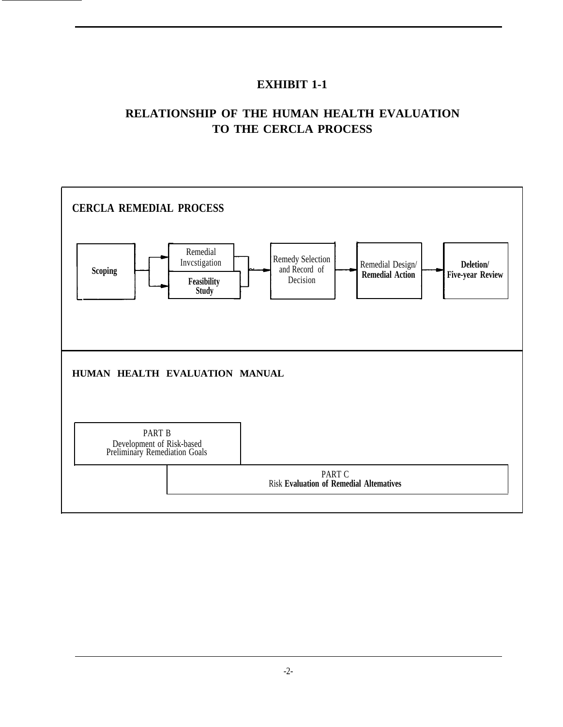## **EXHIBIT 1-1**

# **RELATIONSHIP OF THE HUMAN HEALTH EVALUATION TO THE CERCLA PROCESS**

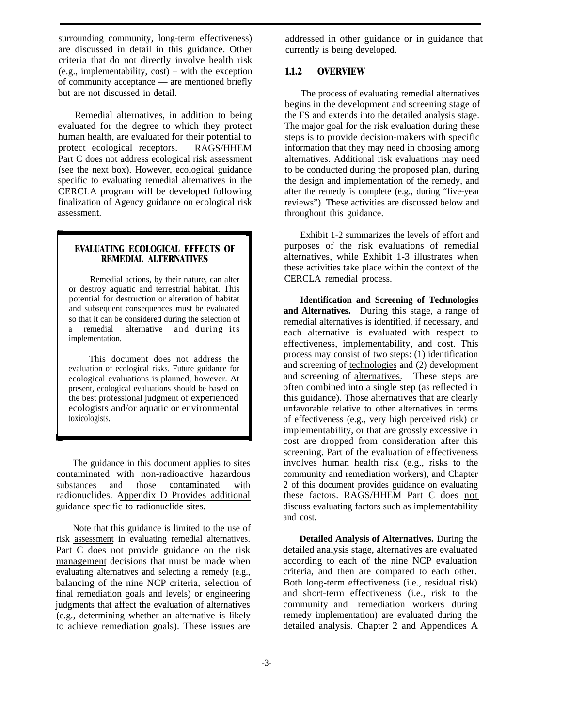<span id="page-15-0"></span>surrounding community, long-term effectiveness) are discussed in detail in this guidance. Other criteria that do not directly involve health risk (e.g., implementability, cost) – with the exception of community acceptance — are mentioned briefly but are not discussed in detail.

Remedial alternatives, in addition to being evaluated for the degree to which they protect human health, are evaluated for their potential to protect ecological receptors. RAGS/HHEM Part C does not address ecological risk assessment (see the next box). However, ecological guidance specific to evaluating remedial alternatives in the CERCLA program will be developed following finalization of Agency guidance on ecological risk assessment.

#### **EVALUATING ECOLOGICAL EFFECTS OF REMEDIAL ALTERNATIVES**

Remedial actions, by their nature, can alter or destroy aquatic and terrestrial habitat. This potential for destruction or alteration of habitat and subsequent consequences must be evaluated so that it can be considered during the selection of a remedial alternative and during its implementation.

This document does not address the evaluation of ecological risks. Future guidance for ecological evaluations is planned, however. At present, ecological evaluations should be based on the best professional judgment of experienced ecologists and/or aquatic or environmental toxicologists.

The guidance in this document applies to sites contaminated with non-radioactive hazardous substances and those contaminated with radionuclides. Appendix D Provides additional guidance specific to radionuclide sites.

Note that this guidance is limited to the use of risk assessment in evaluating remedial alternatives. Part C does not provide guidance on the risk management decisions that must be made when evaluating alternatives and selecting a remedy (e.g., balancing of the nine NCP criteria, selection of final remediation goals and levels) or engineering judgments that affect the evaluation of alternatives (e.g., determining whether an alternative is likely to achieve remediation goals). These issues are addressed in other guidance or in guidance that currently is being developed.

### **1.1.2 OVERVIEW**

The process of evaluating remedial alternatives begins in the development and screening stage of the FS and extends into the detailed analysis stage. The major goal for the risk evaluation during these steps is to provide decision-makers with specific information that they may need in choosing among alternatives. Additional risk evaluations may need to be conducted during the proposed plan, during the design and implementation of the remedy, and after the remedy is complete (e.g., during "five-year reviews"). These activities are discussed below and throughout this guidance.

Exhibit 1-2 summarizes the levels of effort and purposes of the risk evaluations of remedial alternatives, while Exhibit 1-3 illustrates when these activities take place within the context of the CERCLA remedial process.

**Identification and Screening of Technologies and Alternatives.** During this stage, a range of remedial alternatives is identified, if necessary, and each alternative is evaluated with respect to effectiveness, implementability, and cost. This process may consist of two steps: (1) identification and screening of technologies and (2) development and screening of alternatives. These steps are often combined into a single step (as reflected in this guidance). Those alternatives that are clearly unfavorable relative to other alternatives in terms of effectiveness (e.g., very high perceived risk) or implementability, or that are grossly excessive in cost are dropped from consideration after this screening. Part of the evaluation of effectiveness involves human health risk (e.g., risks to the community and remediation workers), and Chapter 2 of this document provides guidance on evaluating these factors. RAGS/HHEM Part C does not discuss evaluating factors such as implementability and cost.

**Detailed Analysis of Alternatives.** During the detailed analysis stage, alternatives are evaluated according to each of the nine NCP evaluation criteria, and then are compared to each other. Both long-term effectiveness (i.e., residual risk) and short-term effectiveness (i.e., risk to the community and remediation workers during remedy implementation) are evaluated during the detailed analysis. Chapter 2 and Appendices A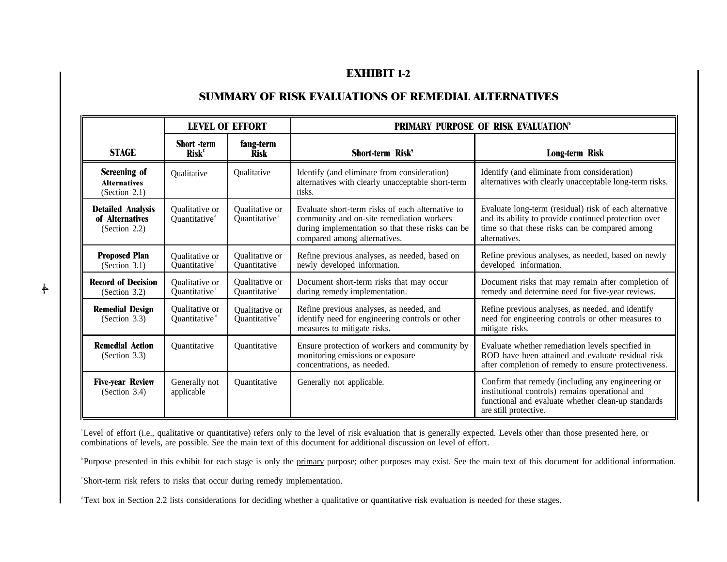## **EXHIBIT 1-2**

## **SUMMARY OF RISK EVALUATIONS OF REMEDIAL ALTERNATIVES**

| <b>LEVEL OF EFFORT</b>                                          |                                                |                                             | PRIMARY PURPOSE OF RISK EVALUATION <sup>®</sup>                                                                                                                                   |                                                                                                                                                                                     |
|-----------------------------------------------------------------|------------------------------------------------|---------------------------------------------|-----------------------------------------------------------------------------------------------------------------------------------------------------------------------------------|-------------------------------------------------------------------------------------------------------------------------------------------------------------------------------------|
| <b>STAGE</b>                                                    | <b>Short</b> -term<br><b>Risk</b> <sup>c</sup> | fang-term<br><b>Risk</b>                    | Short-term Risk'                                                                                                                                                                  | Long-term Risk                                                                                                                                                                      |
| Screening of<br><b>Alternatives</b><br>(Section $2.1$ )         | Qualitative                                    | Qualitative                                 | Identify (and eliminate from consideration)<br>alternatives with clearly unacceptable short-term<br>risks.                                                                        | Identify (and eliminate from consideration)<br>alternatives with clearly unacceptable long-term risks.                                                                              |
| <b>Detailed Analysis</b><br>of Alternatives<br>(Section $2.2$ ) | Qualitative or<br>Quantitative <sup>®</sup>    | Qualitative or<br>Quantitative <sup>®</sup> | Evaluate short-term risks of each alternative to<br>community and on-site remediation workers<br>during implementation so that these risks can be<br>compared among alternatives. | Evaluate long-term (residual) risk of each alternative<br>and its ability to provide continued protection over<br>time so that these risks can be compared among<br>alternatives.   |
| <b>Proposed Plan</b><br>(Section 3.1)                           | Qualitative or<br>Quantitative                 | Qualitative or<br>Quantitative <sup>d</sup> | Refine previous analyses, as needed, based on<br>newly developed information.                                                                                                     | Refine previous analyses, as needed, based on newly<br>developed information.                                                                                                       |
| <b>Record of Decision</b><br>(Section 3.2)                      | Qualitative or<br>Quantitative <sup>d</sup>    | Qualitative or<br>Quantitative <sup>d</sup> | Document short-term risks that may occur<br>during remedy implementation.                                                                                                         | Document risks that may remain after completion of<br>remedy and determine need for five-year reviews.                                                                              |
| <b>Remedial Design</b><br>(Section 3.3)                         | Qualitative or<br>Quantitative                 | <b>Oualitative or</b><br>Quantitative       | Refine previous analyses, as needed, and<br>identify need for engineering controls or other<br>measures to mitigate risks.                                                        | Refine previous analyses, as needed, and identify<br>need for engineering controls or other measures to<br>mitigate risks.                                                          |
| <b>Remedial Action</b><br>(Section 3.3)                         | Quantitative                                   | Quantitative                                | Ensure protection of workers and community by<br>monitoring emissions or exposure<br>concentrations, as needed.                                                                   | Evaluate whether remediation levels specified in<br>ROD have been attained and evaluate residual risk<br>after completion of remedy to ensure protectiveness.                       |
| <b>Five-year Review</b><br>(Section 3.4)                        | Generally not<br>applicable                    | Quantitative                                | Generally not applicable.                                                                                                                                                         | Confirm that remedy (including any engineering or<br>institutional controls) remains operational and<br>functional and evaluate whether clean-up standards<br>are still protective. |

<sup>a</sup>Level of effort (i.e., qualitative or quantitative) refers only to the level of risk evaluation that is generally expected. Levels other than those presented here, or combinations of levels, are possible. See the main text of this document for additional discussion on level of effort.

<sup>b</sup>Purpose presented in this exhibit for each stage is only the primary purpose; other purposes may exist. See the main text of this document for additional information.

<sup>c</sup>Short-term risk refers to risks that occur during remedy implementation.

<sup>d</sup> Text box in Section 2.2 lists considerations for deciding whether a qualitative or quantitative risk evaluation is needed for these stages.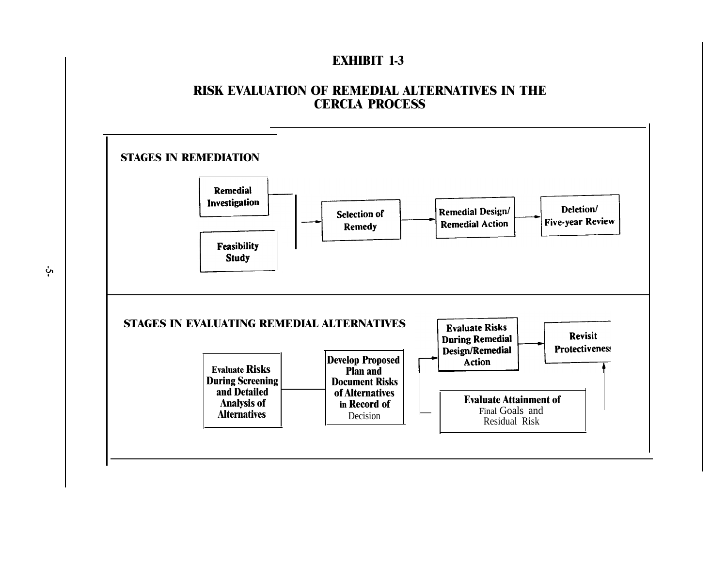## **EXHIBIT 1-3**

## **RISK EVALUATION OF REMEDIAL ALTERNATIVES IN THE CERCLA PROCESS**



ပုံ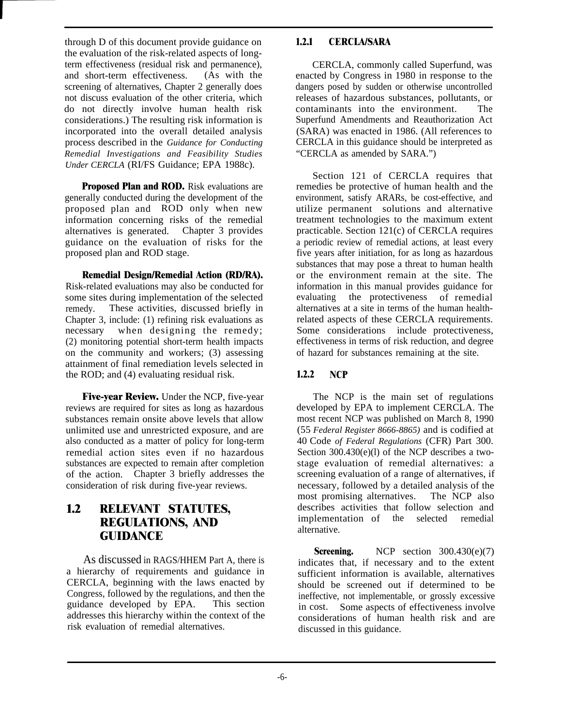<span id="page-18-0"></span>through D of this document provide guidance on the evaluation of the risk-related aspects of longterm effectiveness (residual risk and permanence), and short-term effectiveness. (As with the screening of alternatives, Chapter 2 generally does not discuss evaluation of the other criteria, which do not directly involve human health risk considerations.) The resulting risk information is incorporated into the overall detailed analysis process described in the *Guidance for Conducting Remedial Investigations and Feasibility Studies Under CERCLA* (RI/FS Guidance; EPA 1988c).

**Proposed Plan and ROD.** Risk evaluations are generally conducted during the development of the proposed plan and ROD only when new information concerning risks of the remedial alternatives is generated. Chapter 3 provides guidance on the evaluation of risks for the proposed plan and ROD stage.

**Remedial Design/Remedial Action (RD/RA).** Risk-related evaluations may also be conducted for some sites during implementation of the selected remedy. These activities, discussed briefly in Chapter 3, include: (1) refining risk evaluations as necessary when designing the remedy; (2) monitoring potential short-term health impacts on the community and workers; (3) assessing attainment of final remediation levels selected in the ROD; and (4) evaluating residual risk.

**Five-year Review.** Under the NCP, five-year reviews are required for sites as long as hazardous substances remain onsite above levels that allow unlimited use and unrestricted exposure, and are also conducted as a matter of policy for long-term remedial action sites even if no hazardous substances are expected to remain after completion of the action. Chapter 3 briefly addresses the consideration of risk during five-year reviews.

## **1.2 RELEVANT STATUTES, REGULATIONS, AND GUIDANCE**

As discussed in RAGS/HHEM Part A, there is a hierarchy of requirements and guidance in CERCLA, beginning with the laws enacted by Congress, followed by the regulations, and then the guidance developed by EPA. This section addresses this hierarchy within the context of the risk evaluation of remedial alternatives.

## **1.2.1 CERCLA/SARA**

CERCLA, commonly called Superfund, was enacted by Congress in 1980 in response to the dangers posed by sudden or otherwise uncontrolled releases of hazardous substances, pollutants, or contaminants into the environment. The Superfund Amendments and Reauthorization Act (SARA) was enacted in 1986. (All references to CERCLA in this guidance should be interpreted as "CERCLA as amended by SARA.")

Section 121 of CERCLA requires that remedies be protective of human health and the environment, satisfy ARARs, be cost-effective, and utilize permanent solutions and alternative treatment technologies to the maximum extent practicable. Section 121(c) of CERCLA requires a periodic review of remedial actions, at least every five years after initiation, for as long as hazardous substances that may pose a threat to human health or the environment remain at the site. The information in this manual provides guidance for evaluating the protectiveness of remedial alternatives at a site in terms of the human healthrelated aspects of these CERCLA requirements. Some considerations include protectiveness, effectiveness in terms of risk reduction, and degree of hazard for substances remaining at the site.

## **1.2.2 NCP**

The NCP is the main set of regulations developed by EPA to implement CERCLA. The most recent NCP was published on March 8, 1990 (55 *Federal Register 8666-8865)* and is codified at 40 Code *of Federal Regulations* (CFR) Part 300. Section 300.430(e)(l) of the NCP describes a twostage evaluation of remedial alternatives: a screening evaluation of a range of alternatives, if necessary, followed by a detailed analysis of the most promising alternatives. The NCP also most promising alternatives. describes activities that follow selection and implementation of the selected remedial alternative.

**Screening.** NCP section 300.430(e)(7) indicates that, if necessary and to the extent sufficient information is available, alternatives should be screened out if determined to be ineffective, not implementable, or grossly excessive in cost. Some aspects of effectiveness involve considerations of human health risk and are discussed in this guidance.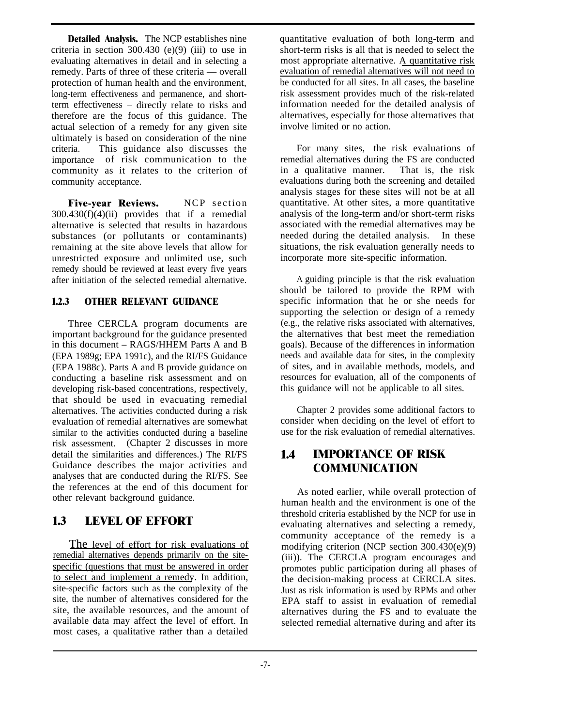<span id="page-19-0"></span>**Detailed Analysis.** The NCP establishes nine criteria in section  $300.430$  (e)(9) (iii) to use in evaluating alternatives in detail and in selecting a remedy. Parts of three of these criteria — overall protection of human health and the environment, long-term effectiveness and permanence, and shortterm effectiveness – directly relate to risks and therefore are the focus of this guidance. The actual selection of a remedy for any given site ultimately is based on consideration of the nine criteria. This guidance also discusses the importance of risk communication to the community as it relates to the criterion of community acceptance.

**Five-year Reviews.** NCP section 300.430(f)(4)(ii) provides that if a remedial alternative is selected that results in hazardous substances (or pollutants or contaminants) remaining at the site above levels that allow for unrestricted exposure and unlimited use, such remedy should be reviewed at least every five years after initiation of the selected remedial alternative.

## **1.2.3 OTHER RELEVANT GUIDANCE**

Three CERCLA program documents are important background for the guidance presented in this document – RAGS/HHEM Parts A and B (EPA 1989g; EPA 1991c), and the RI/FS Guidance (EPA 1988c). Parts A and B provide guidance on conducting a baseline risk assessment and on developing risk-based concentrations, respectively, that should be used in evacuating remedial alternatives. The activities conducted during a risk evaluation of remedial alternatives are somewhat similar to the activities conducted during a baseline risk assessment. (Chapter 2 discusses in more detail the similarities and differences.) The RI/FS Guidance describes the major activities and analyses that are conducted during the RI/FS. See the references at the end of this document for other relevant background guidance.

## **1.3 LEVEL OF EFFORT**

The level of effort for risk evaluations of remedial alternatives depends primarilv on the sitespecific (questions that must be answered in order to select and implement a remedy. In addition, site-specific factors such as the complexity of the site, the number of alternatives considered for the site, the available resources, and the amount of available data may affect the level of effort. In most cases, a qualitative rather than a detailed

quantitative evaluation of both long-term and short-term risks is all that is needed to select the most appropriate alternative. A quantitative risk evaluation of remedial alternatives will not need to be conducted for all sites. In all cases, the baseline risk assessment provides much of the risk-related information needed for the detailed analysis of alternatives, especially for those alternatives that involve limited or no action.

For many sites, the risk evaluations of remedial alternatives during the FS are conducted in a qualitative manner. That is, the risk evaluations during both the screening and detailed analysis stages for these sites will not be at all quantitative. At other sites, a more quantitative analysis of the long-term and/or short-term risks associated with the remedial alternatives may be needed during the detailed analysis. In these situations, the risk evaluation generally needs to incorporate more site-specific information.

A guiding principle is that the risk evaluation should be tailored to provide the RPM with specific information that he or she needs for supporting the selection or design of a remedy (e.g., the relative risks associated with alternatives, the alternatives that best meet the remediation goals). Because of the differences in information needs and available data for sites, in the complexity of sites, and in available methods, models, and resources for evaluation, all of the components of this guidance will not be applicable to all sites.

Chapter 2 provides some additional factors to consider when deciding on the level of effort to use for the risk evaluation of remedial alternatives.

## **1.4 IMPORTANCE OF RISK COMMUNICATION**

As noted earlier, while overall protection of human health and the environment is one of the threshold criteria established by the NCP for use in evaluating alternatives and selecting a remedy, community acceptance of the remedy is a modifying criterion (NCP section 300.430(e)(9) (iii)). The CERCLA program encourages and promotes public participation during all phases of the decision-making process at CERCLA sites. Just as risk information is used by RPMs and other EPA staff to assist in evaluation of remedial alternatives during the FS and to evaluate the selected remedial alternative during and after its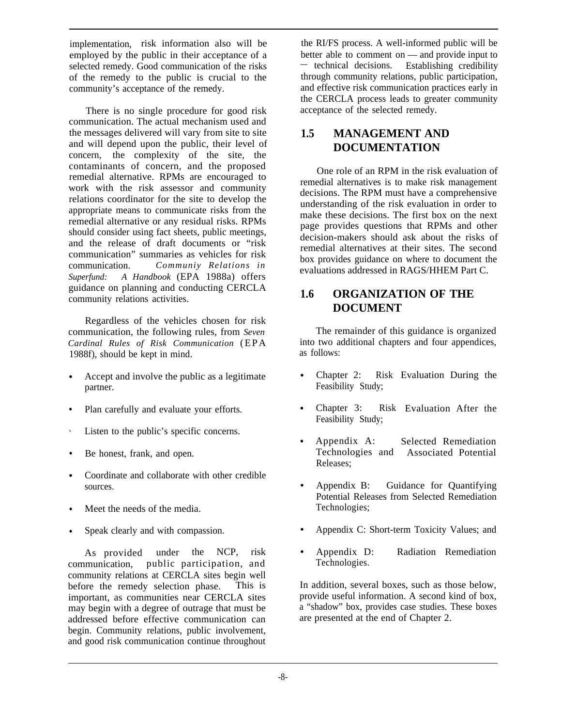<span id="page-20-0"></span>implementation, risk information also will be employed by the public in their acceptance of a selected remedy. Good communication of the risks of the remedy to the public is crucial to the community's acceptance of the remedy.

There is no single procedure for good risk communication. The actual mechanism used and the messages delivered will vary from site to site and will depend upon the public, their level of concern, the complexity of the site, the contaminants of concern, and the proposed remedial alternative. RPMs are encouraged to work with the risk assessor and community relations coordinator for the site to develop the appropriate means to communicate risks from the remedial alternative or any residual risks. RPMs should consider using fact sheets, public meetings, and the release of draft documents or "risk communication" summaries as vehicles for risk communication. *Communiy Relations in Superfund: A Handbook* (EPA 1988a) offers guidance on planning and conducting CERCLA community relations activities.

Regardless of the vehicles chosen for risk communication, the following rules, from *Seven Cardinal Rules of Risk Communication* (EPA 1988f), should be kept in mind.

- Accept and involve the public as a legitimate partner.
- Plan carefully and evaluate your efforts.
- $\hat{\mathbf{v}}$ Listen to the public's specific concerns.
- $\bullet$ Be honest, frank, and open.
- Coordinate and collaborate with other credible sources.
- Meet the needs of the media.
- Speak clearly and with compassion.

As provided under the NCP, risk communication, public participation, and community relations at CERCLA sites begin well before the remedy selection phase. This is important, as communities near CERCLA sites may begin with a degree of outrage that must be addressed before effective communication can begin. Community relations, public involvement, and good risk communication continue throughout

the RI/FS process. A well-informed public will be better able to comment on — and provide input to — technical decisions. Establishing credibility through community relations, public participation, and effective risk communication practices early in the CERCLA process leads to greater community acceptance of the selected remedy.

## **1.5 MANAGEMENT AND DOCUMENTATION**

One role of an RPM in the risk evaluation of remedial alternatives is to make risk management decisions. The RPM must have a comprehensive understanding of the risk evaluation in order to make these decisions. The first box on the next page provides questions that RPMs and other decision-makers should ask about the risks of remedial alternatives at their sites. The second box provides guidance on where to document the evaluations addressed in RAGS/HHEM Part C.

## **1.6 ORGANIZATION OF THE DOCUMENT**

The remainder of this guidance is organized into two additional chapters and four appendices, as follows:

- Chapter 2: Feasibility Study; Evaluation During the
- Chapter 3: Feasibility Study; Evaluation After the
- Appendix A: Technologies and Releases; Selected Remediation Associated Potential
- Appendix B: Guidance for Quantifying Potential Releases from Selected Remediation Technologies;
- Appendix C: Short-term Toxicity Values; and
- Appendix D: Radiation Remediation Technologies.

In addition, several boxes, such as those below, provide useful information. A second kind of box, a "shadow" box, provides case studies. These boxes are presented at the end of Chapter 2.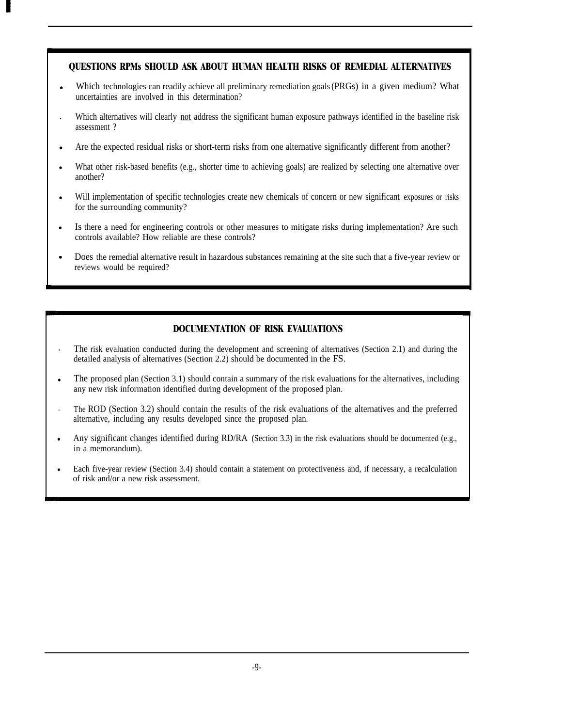### **QUESTIONS RPMs SHOULD ASK ABOUT HUMAN HEALTH RISKS OF REMEDIAL ALTERNATIVES**

- Which technologies can readily achieve all preliminary remediation goals (PRGs) in a given medium? What uncertainties are involved in this determination?
- Which alternatives will clearly not address the significant human exposure pathways identified in the baseline risk assessment ?
- Are the expected residual risks or short-term risks from one alternative significantly different from another?
- What other risk-based benefits (e.g., shorter time to achieving goals) are realized by selecting one alternative over another?
- Will implementation of specific technologies create new chemicals of concern or new significant exposures or risks for the surrounding community?
- Is there a need for engineering controls or other measures to mitigate risks during implementation? Are such controls available? How reliable are these controls?
- Does the remedial alternative result in hazardous substances remaining at the site such that a five-year review or reviews would be required?

## **DOCUMENTATION OF RISK EVALUATIONS**

- . The risk evaluation conducted during the development and screening of alternatives (Section 2.1) and during the detailed analysis of alternatives (Section 2.2) should be documented in the FS.
- The proposed plan (Section 3.1) should contain a summary of the risk evaluations for the alternatives, including any new risk information identified during development of the proposed plan.
- . The ROD (Section 3.2) should contain the results of the risk evaluations of the alternatives and the preferred alternative, including any results developed since the proposed plan.
- Any significant changes identified during RD/RA (Section 3.3) in the risk evaluations should be documented (e.g., in a memorandum).
- Each five-year review (Section 3.4) should contain a statement on protectiveness and, if necessary, a recalculation of risk and/or a new risk assessment.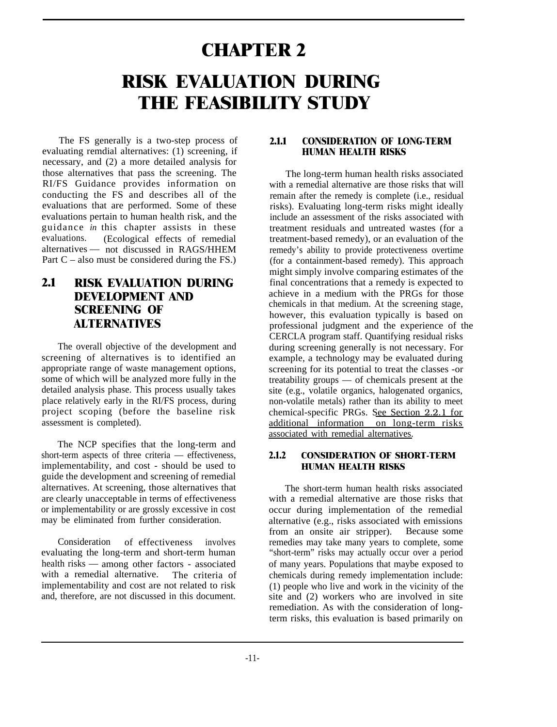# <span id="page-22-0"></span>**CHAPTER 2 RISK EVALUATION DURING THE FEASIBILITY STUDY**

The FS generally is a two-step process of evaluating remdial alternatives: (1) screening, if necessary, and (2) a more detailed analysis for those alternatives that pass the screening. The RI/FS Guidance provides information on conducting the FS and describes all of the evaluations that are performed. Some of these evaluations pertain to human health risk, and the guidance *in* this chapter assists in these evaluations. (Ecological effects of remedial alternatives — not discussed in RAGS/HHEM Part  $C$  – also must be considered during the FS.)

## **2.1 RISK EVALUATION DURING DEVELOPMENT AND SCREENING OF ALTERNATIVES**

The overall objective of the development and screening of alternatives is to identified an appropriate range of waste management options, some of which will be analyzed more fully in the detailed analysis phase. This process usually takes place relatively early in the RI/FS process, during project scoping (before the baseline risk assessment is completed).

The NCP specifies that the long-term and short-term aspects of three criteria — effectiveness, implementability, and cost - should be used to guide the development and screening of remedial alternatives. At screening, those alternatives that are clearly unacceptable in terms of effectiveness or implementability or are grossly excessive in cost may be eliminated from further consideration.

Consideration of effectiveness involves evaluating the long-term and short-term human health risks — among other factors - associated with a remedial alternative. The criteria of implementability and cost are not related to risk and, therefore, are not discussed in this document.

## **2.1.1 CONSIDERATION OF LONG-TERM HUMAN HEALTH RISKS**

The long-term human health risks associated with a remedial alternative are those risks that will remain after the remedy is complete (i.e., residual risks). Evaluating long-term risks might ideally include an assessment of the risks associated with treatment residuals and untreated wastes (for a treatment-based remedy), or an evaluation of the remedy's ability to provide protectiveness overtime (for a containment-based remedy). This approach might simply involve comparing estimates of the final concentrations that a remedy is expected to achieve in a medium with the PRGs for those chemicals in that medium. At the screening stage, however, this evaluation typically is based on professional judgment and the experience of the CERCLA program staff. Quantifying residual risks during screening generally is not necessary. For example, a technology may be evaluated during screening for its potential to treat the classes -or treatability groups — of chemicals present at the site (e.g., volatile organics, halogenated organics, non-volatile metals) rather than its ability to meet chemical-specific PRGs. See Section 2.2.1 for additional information on long-term risks associated with remedial alternatives.

## **2.1.2 CONSIDERATION OF SHORT-TERM HUMAN HEALTH RISKS**

The short-term human health risks associated with a remedial alternative are those risks that occur during implementation of the remedial alternative (e.g., risks associated with emissions from an onsite air stripper). Because some remedies may take many years to complete, some "short-term" risks may actually occur over a period of many years. Populations that maybe exposed to chemicals during remedy implementation include: (1) people who live and work in the vicinity of the site and (2) workers who are involved in site remediation. As with the consideration of longterm risks, this evaluation is based primarily on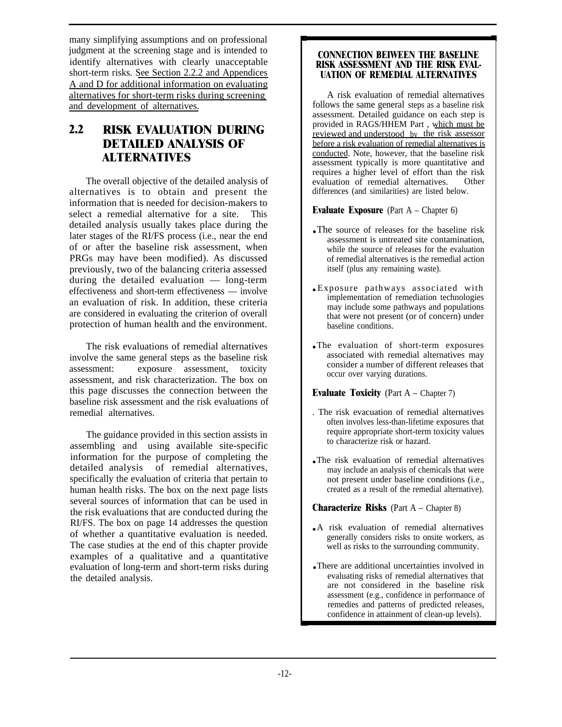many simplifying assumptions and on professional judgment at the screening stage and is intended to identify alternatives with clearly unacceptable short-term risks. See Section 2.2.2 and Appendices A and D for additional information on evaluating alternatives for short-term risks during screening and development of alternatives.

## **2.2 RISK EVALUATION DURING DETAILED ANALYSIS OF ALTERNATIVES**

The overall objective of the detailed analysis of alternatives is to obtain and present the information that is needed for decision-makers to select a remedial alternative for a site. This detailed analysis usually takes place during the later stages of the RI/FS process (i.e., near the end of or after the baseline risk assessment, when PRGs may have been modified). As discussed previously, two of the balancing criteria assessed during the detailed evaluation — long-term effectiveness and short-term effectiveness — involve an evaluation of risk. In addition, these criteria are considered in evaluating the criterion of overall protection of human health and the environment.

The risk evaluations of remedial alternatives involve the same general steps as the baseline risk assessment: exposure assessment, toxicity assessment, and risk characterization. The box on this page discusses the connection between the baseline risk assessment and the risk evaluations of remedial alternatives.

The guidance provided in this section assists in assembling and using available site-specific information for the purpose of completing the detailed analysis of remedial alternatives, specifically the evaluation of criteria that pertain to human health risks. The box on the next page lists several sources of information that can be used in the risk evaluations that are conducted during the RI/FS. The box on page 14 addresses the question of whether a quantitative evaluation is needed. The case studies at the end of this chapter provide examples of a qualitative and a quantitative evaluation of long-term and short-term risks during the detailed analysis.

#### **CONNECTION BEIWEEN THE BASELINE RISK ASSESSMENT AND THE RISK EVAL-UATION OF REMEDIAL ALTERNATIVES**

A risk evaluation of remedial alternatives follows the same general steps as a baseline risk assessment. Detailed guidance on each step is provided in RAGS/HHEM Part , which must be reviewed and understood bv the risk assessor before a risk evaluation of remedial alternatives is conducted. Note, however, that the baseline risk assessment typically is more quantitative and requires a higher level of effort than the risk evaluation of remedial alternatives. Other differences (and similarities) are listed below.

### **Evaluate Exposure** (Part A – Chapter 6)

- The source of releases for the baseline risk assessment is untreated site contamination, while the source of releases for the evaluation of remedial alternatives is the remedial action itself (plus any remaining waste).
- Exposure pathways associated with implementation of remediation technologies may include some pathways and populations that were not present (or of concern) under baseline conditions.
- The evaluation of short-term exposures associated with remedial alternatives may consider a number of different releases that occur over varying durations.

#### **Evaluate Toxicity** (Part A – Chapter 7)

- . The risk evacuation of remedial alternatives often involves less-than-lifetime exposures that require appropriate short-term toxicity values to characterize risk or hazard.
- The risk evaluation of remedial alternatives may include an analysis of chemicals that were not present under baseline conditions (i.e., created as a result of the remedial alternative).

### **Characterize Risks** (Part A – Chapter 8)

- A risk evaluation of remedial alternatives generally considers risks to onsite workers, as well as risks to the surrounding community.
- There are additional uncertainties involved in evaluating risks of remedial alternatives that are not considered in the baseline risk assessment (e.g., confidence in performance of remedies and patterns of predicted releases, confidence in attainment of clean-up levels).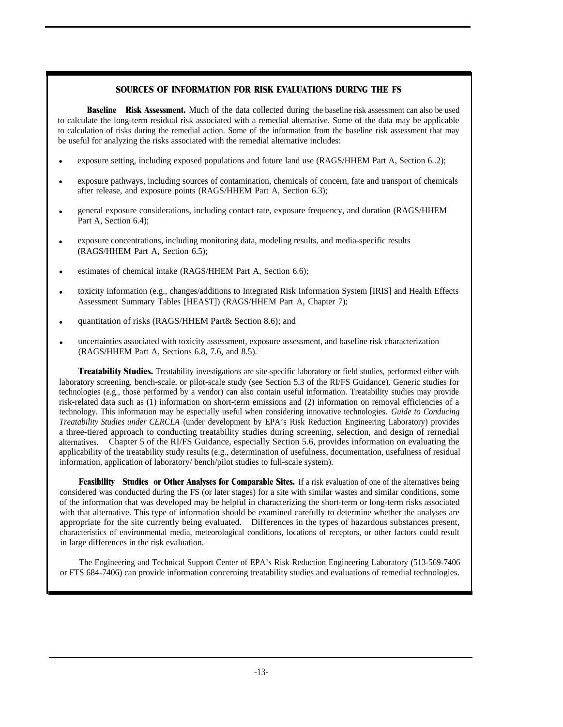#### **SOURCES OF INFORMATION FOR RISK EVALUATIONS DURING THE FS**

**Baseline** Risk Assessment. Much of the data collected during the baseline risk assessment can also be used to calculate the long-term residual risk associated with a remedial alternative. Some of the data may be applicable to calculation of risks during the remedial action. Some of the information from the baseline risk assessment that may be useful for analyzing the risks associated with the remedial alternative includes:

- exposure setting, including exposed populations and future land use (RAGS/HHEM Part A, Section 6..2);
- exposure pathways, including sources of contamination, chemicals of concern, fate and transport of chemicals after release, and exposure points (RAGS/HHEM Part A, Section 6.3);
- general exposure considerations, including contact rate, exposure frequency, and duration (RAGS/HHEM Part A, Section 6.4);
- exposure concentrations, including monitoring data, modeling results, and media-specific results (RAGS/HHEM Part A, Section 6.5);
- estimates of chemical intake (RAGS/HHEM Part A, Section 6.6);
- toxicity information (e.g., changes/additions to Integrated Risk Information System [IRIS] and Health Effects Assessment Summary Tables [HEAST]) (RAGS/HHEM Part A, Chapter 7);
- quantitation of risks (RAGS/HHEM Part& Section 8.6); and
- uncertainties associated with toxicity assessment, exposure assessment, and baseline risk characterization  $(RAGS/HHEM$  Part A, Sections 6.8, 7.6, and 8.5).

**Treatability Studies.** Treatability investigations are site-specific laboratory or field studies, performed either with laboratory screening, bench-scale, or pilot-scale study (see Section 5.3 of the RI/FS Guidance). Generic studies for technologies (e.g., those performed by a vendor) can also contain useful information. Treatability studies may provide risk-related data such as (1) information on short-term emissions and (2) information on removal efficiencies of a technology. This information may be especially useful when considering innovative technologies. *Guide to Conducing Treatability Studies under CERCLA* (under development by EPA's Risk Reduction Engineering Laboratory) provides a three-tiered approach to conducting treatability studies during screening, selection, and design of rernedial alternatives. Chapter 5 of the RI/FS Guidance, especially Section 5.6, provides information on evaluating the applicability of the treatability study results (e.g., determination of usefulness, documentation, usefulness of residual information, application of laboratory/ bench/pilot studies to full-scale system).

**Feasibility** Studies or Other Analyses for Comparable Sites. If a risk evaluation of one of the alternatives being considered was conducted during the FS (or later stages) for a site with similar wastes and similar conditions, some of the information that was developed may be helpful in characterizing the short-term or long-term risks associated with that alternative. This type of information should be examined carefully to determine whether the analyses are appropriate for the site currently being evaluated. Differences in the types of hazardous substances present, characteristics of environmental media, meteorological conditions, locations of receptors, or other factors could result in large differences in the risk evaluation.

The Engineering and Technical Support Center of EPA's Risk Reduction Engineering Laboratory (513-569-7406 or FTS 684-7406) can provide information concerning treatability studies and evaluations of remedial technologies.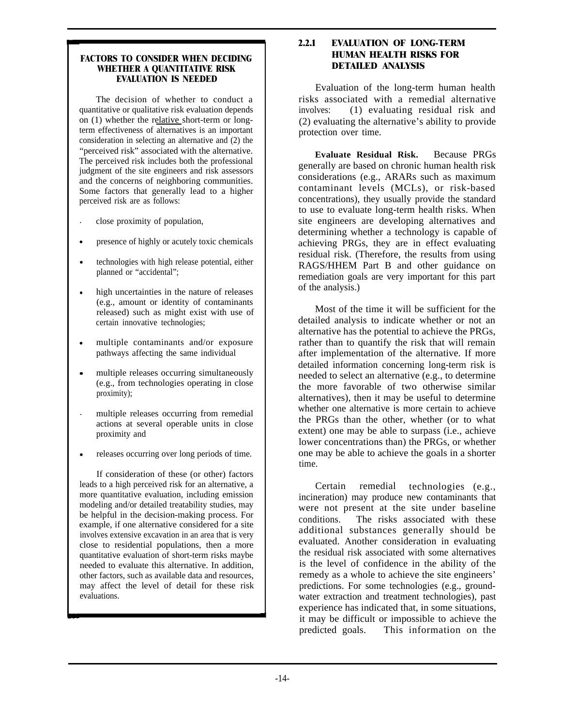#### <span id="page-25-0"></span>**FACTORS TO CONSIDER WHEN DECIDING WHETHER A QUANTITATIVE RISK EVALUATION IS NEEDED**

The decision of whether to conduct a quantitative or qualitative risk evaluation depends on (1) whether the relative short-term or longterm effectiveness of alternatives is an important consideration in selecting an alternative and (2) the "perceived risk" associated with the alternative. The perceived risk includes both the professional judgment of the site engineers and risk assessors and the concerns of neighboring communities. Some factors that generally lead to a higher perceived risk are as follows:

- . close proximity of population,
- presence of highly or acutely toxic chemicals
- technologies with high release potential, either planned or "accidental";
- high uncertainties in the nature of releases (e.g., amount or identity of contaminants released) such as might exist with use of certain innovative technologies;
- multiple contaminants and/or exposure pathways affecting the same individual
- $\bullet$ multiple releases occurring simultaneously (e.g., from technologies operating in close proximity);
- . multiple releases occurring from remedial actions at several operable units in close proximity and
- releases occurring over long periods of time.

If consideration of these (or other) factors leads to a high perceived risk for an alternative, a more quantitative evaluation, including emission modeling and/or detailed treatability studies, may be helpful in the decision-making process. For example, if one alternative considered for a site involves extensive excavation in an area that is very close to residential populations, then a more quantitative evaluation of short-term risks maybe needed to evaluate this alternative. In addition, other factors, such as available data and resources, may affect the level of detail for these risk evaluations.

#### **2.2.1 EVALUATION OF LONG-TERM HUMAN HEALTH RISKS FOR DETAILED ANALYSIS**

Evaluation of the long-term human health risks associated with a remedial alternative involves: (1) evaluating residual risk and (2) evaluating the alternative's ability to provide protection over time.

**Evaluate Residual Risk.** Because PRGs generally are based on chronic human health risk considerations (e.g., ARARs such as maximum contaminant levels (MCLs), or risk-based concentrations), they usually provide the standard to use to evaluate long-term health risks. When site engineers are developing alternatives and determining whether a technology is capable of achieving PRGs, they are in effect evaluating residual risk. (Therefore, the results from using RAGS/HHEM Part B and other guidance on remediation goals are very important for this part of the analysis.)

Most of the time it will be sufficient for the detailed analysis to indicate whether or not an alternative has the potential to achieve the PRGs, rather than to quantify the risk that will remain after implementation of the alternative. If more detailed information concerning long-term risk is needed to select an alternative (e.g., to determine the more favorable of two otherwise similar alternatives), then it may be useful to determine whether one alternative is more certain to achieve the PRGs than the other, whether (or to what extent) one may be able to surpass (i.e., achieve lower concentrations than) the PRGs, or whether one may be able to achieve the goals in a shorter time.

Certain remedial technologies (e.g., incineration) may produce new contaminants that were not present at the site under baseline conditions. The risks associated with these additional substances generally should be evaluated. Another consideration in evaluating the residual risk associated with some alternatives is the level of confidence in the ability of the remedy as a whole to achieve the site engineers' predictions. For some technologies (e.g., groundwater extraction and treatment technologies), past experience has indicated that, in some situations, it may be difficult or impossible to achieve the predicted goals. This information on the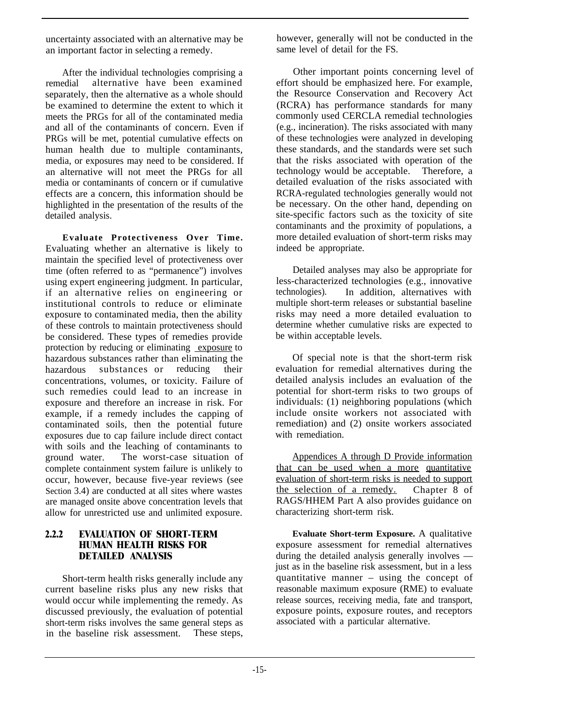<span id="page-26-0"></span>uncertainty associated with an alternative may be an important factor in selecting a remedy.

After the individual technologies comprising a remedial alternative have been examined separately, then the alternative as a whole should be examined to determine the extent to which it meets the PRGs for all of the contaminated media and all of the contaminants of concern. Even if PRGs will be met, potential cumulative effects on human health due to multiple contaminants, media, or exposures may need to be considered. If an alternative will not meet the PRGs for all media or contaminants of concern or if cumulative effects are a concern, this information should be highlighted in the presentation of the results of the detailed analysis.

**Evaluate Protectiveness Over Time.** Evaluating whether an alternative is likely to maintain the specified level of protectiveness over time (often referred to as "permanence") involves using expert engineering judgment. In particular, if an alternative relies on engineering or institutional controls to reduce or eliminate exposure to contaminated media, then the ability of these controls to maintain protectiveness should be considered. These types of remedies provide protection by reducing or eliminating exposure to hazardous substances rather than eliminating the<br>hazardous substances or reducing their hazardous substances or concentrations, volumes, or toxicity. Failure of such remedies could lead to an increase in exposure and therefore an increase in risk. For example, if a remedy includes the capping of contaminated soils, then the potential future exposures due to cap failure include direct contact with soils and the leaching of contaminants to ground water. The worst-case situation of complete containment system failure is unlikely to occur, however, because five-year reviews (see Section 3.4) are conducted at all sites where wastes are managed onsite above concentration levels that allow for unrestricted use and unlimited exposure.

#### **2.2.2 EVALUATION OF SHORT-TERM HUMAN HEALTH RISKS FOR DETAILED ANALYSIS**

Short-term health risks generally include any current baseline risks plus any new risks that would occur while implementing the remedy. As discussed previously, the evaluation of potential short-term risks involves the same general steps as<br>in the baseline risk assessment. These steps, in the baseline risk assessment.

however, generally will not be conducted in the same level of detail for the FS.

Other important points concerning level of effort should be emphasized here. For example, the Resource Conservation and Recovery Act (RCRA) has performance standards for many commonly used CERCLA remedial technologies (e.g., incineration). The risks associated with many of these technologies were analyzed in developing these standards, and the standards were set such that the risks associated with operation of the technology would be acceptable. Therefore, a detailed evaluation of the risks associated with RCRA-regulated technologies generally would not be necessary. On the other hand, depending on site-specific factors such as the toxicity of site contaminants and the proximity of populations, a more detailed evaluation of short-term risks may indeed be appropriate.

Detailed analyses may also be appropriate for less-characterized technologies (e.g., innovative technologies). In addition, alternatives with multiple short-term releases or substantial baseline risks may need a more detailed evaluation to determine whether cumulative risks are expected to be within acceptable levels.

Of special note is that the short-term risk evaluation for remedial alternatives during the detailed analysis includes an evaluation of the potential for short-term risks to two groups of individuals: (1) neighboring populations (which include onsite workers not associated with remediation) and (2) onsite workers associated with remediation.

Appendices A through D Provide information that can be used when a more quantitative evaluation of short-term risks is needed to support the selection of a remedy. Chapter 8 of RAGS/HHEM Part A also provides guidance on characterizing short-term risk.

**Evaluate Short-term Exposure.** A qualitative exposure assessment for remedial alternatives during the detailed analysis generally involves just as in the baseline risk assessment, but in a less quantitative manner – using the concept of reasonable maximum exposure (RME) to evaluate release sources, receiving media, fate and transport, exposure points, exposure routes, and receptors associated with a particular alternative.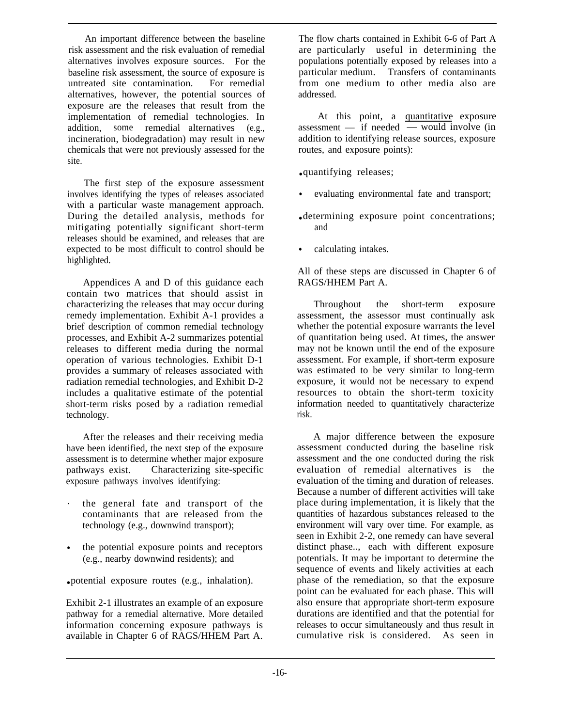An important difference between the baseline risk assessment and the risk evaluation of remedial alternatives involves exposure sources. For the baseline risk assessment, the source of exposure is untreated site contamination. For remedial alternatives, however, the potential sources of exposure are the releases that result from the implementation of remedial technologies. In addition, some remedial alternatives (e.g., incineration, biodegradation) may result in new chemicals that were not previously assessed for the site.

The first step of the exposure assessment involves identifying the types of releases associated with a particular waste management approach. During the detailed analysis, methods for mitigating potentially significant short-term releases should be examined, and releases that are expected to be most difficult to control should be highlighted.

Appendices A and D of this guidance each contain two matrices that should assist in characterizing the releases that may occur during remedy implementation. Exhibit A-1 provides a brief description of common remedial technology processes, and Exhibit A-2 summarizes potential releases to different media during the normal operation of various technologies. Exhibit D-1 provides a summary of releases associated with radiation remedial technologies, and Exhibit D-2 includes a qualitative estimate of the potential short-term risks posed by a radiation remedial technology.

After the releases and their receiving media have been identified, the next step of the exposure assessment is to determine whether major exposure pathways exist. Characterizing site-specific exposure pathways involves identifying:

- . the general fate and transport of the contaminants that are released from the technology (e.g., downwind transport);
- the potential exposure points and receptors (e.g., nearby downwind residents); and

● potential exposure routes (e.g., inhalation).

Exhibit 2-1 illustrates an example of an exposure pathway for a remedial alternative. More detailed information concerning exposure pathways is available in Chapter 6 of RAGS/HHEM Part A. The flow charts contained in Exhibit 6-6 of Part A are particularly useful in determining the populations potentially exposed by releases into a particular medium. Transfers of contaminants from one medium to other media also are addressed.

At this point, a quantitative exposure assessment — if needed — would involve (in addition to identifying release sources, exposure routes, and exposure points):

● quantifying releases;

- evaluating environmental fate and transport;
- determining exposure point concentrations; and
- calculating intakes.

All of these steps are discussed in Chapter 6 of RAGS/HHEM Part A.

Throughout the short-term exposure assessment, the assessor must continually ask whether the potential exposure warrants the level of quantitation being used. At times, the answer may not be known until the end of the exposure assessment. For example, if short-term exposure was estimated to be very similar to long-term exposure, it would not be necessary to expend resources to obtain the short-term toxicity information needed to quantitatively characterize risk.

A major difference between the exposure assessment conducted during the baseline risk assessment and the one conducted during the risk evaluation of remedial alternatives is the evaluation of the timing and duration of releases. Because a number of different activities will take place during implementation, it is likely that the quantities of hazardous substances released to the environment will vary over time. For example, as seen in Exhibit 2-2, one remedy can have several distinct phase.., each with different exposure potentials. It may be important to determine the sequence of events and likely activities at each phase of the remediation, so that the exposure point can be evaluated for each phase. This will also ensure that appropriate short-term exposure durations are identified and that the potential for releases to occur simultaneously and thus result in cumulative risk is considered. As seen in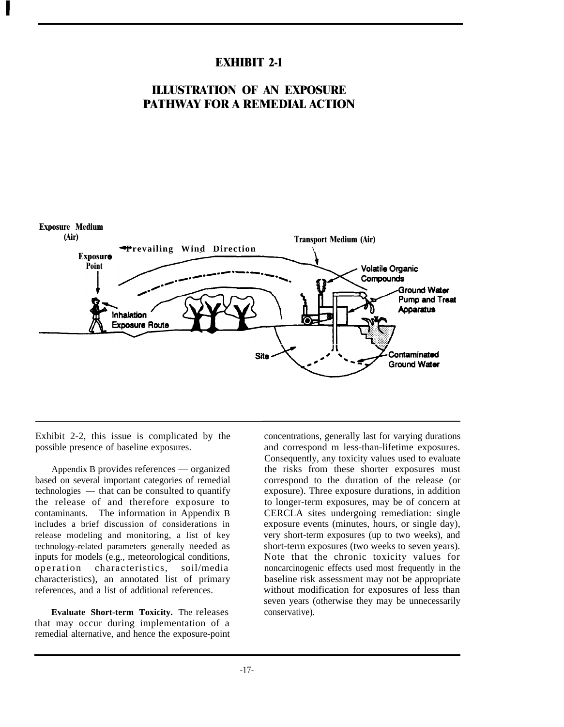## **EXHIBIT 2-1**

## **ILLUSTRATION OF AN EXPOSURE PATHWAY FOR A REMEDIAL ACTION**



Exhibit 2-2, this issue is complicated by the possible presence of baseline exposures.

Appendix B provides references — organized based on several important categories of remedial technologies — that can be consulted to quantify the release of and therefore exposure to contaminants. The information in Appendix B includes a brief discussion of considerations in release modeling and monitoring, a list of key technology-related parameters generally needed as inputs for models (e.g., meteorological conditions,<br>operation characteristics, soil/media characteristics, soil/media characteristics), an annotated list of primary references, and a list of additional references.

**Evaluate Short-term Toxicity.** The releases that may occur during implementation of a remedial alternative, and hence the exposure-point concentrations, generally last for varying durations and correspond m less-than-lifetime exposures. Consequently, any toxicity values used to evaluate the risks from these shorter exposures must correspond to the duration of the release (or exposure). Three exposure durations, in addition to longer-term exposures, may be of concern at CERCLA sites undergoing remediation: single exposure events (minutes, hours, or single day), very short-term exposures (up to two weeks), and short-term exposures (two weeks to seven years). Note that the chronic toxicity values for noncarcinogenic effects used most frequently in the baseline risk assessment may not be appropriate without modification for exposures of less than seven years (otherwise they may be unnecessarily conservative).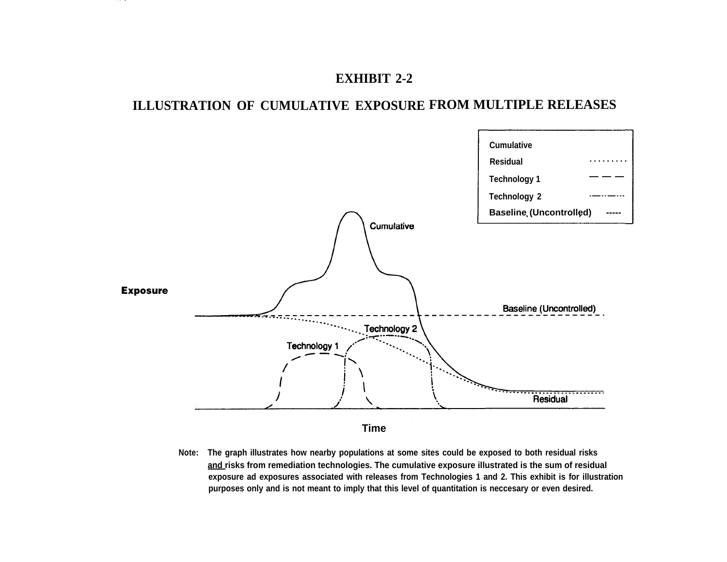## **EXHIBIT 2-2**

. . .

# **ILLUSTRATION OF CUMULATIVE EXPOSURE FROM MULTIPLE RELEASES**



**Note: The graph illustrates how nearby populations at some sites could be exposed to both residual risks and risks from remediation technologies. The cumulative exposure illustrated is the sum of residual exposure ad exposures associated with releases from Technologies 1 and 2. This exhibit is for illustration purposes only and is not meant to imply that this level of quantitation is neccesary or even desired.**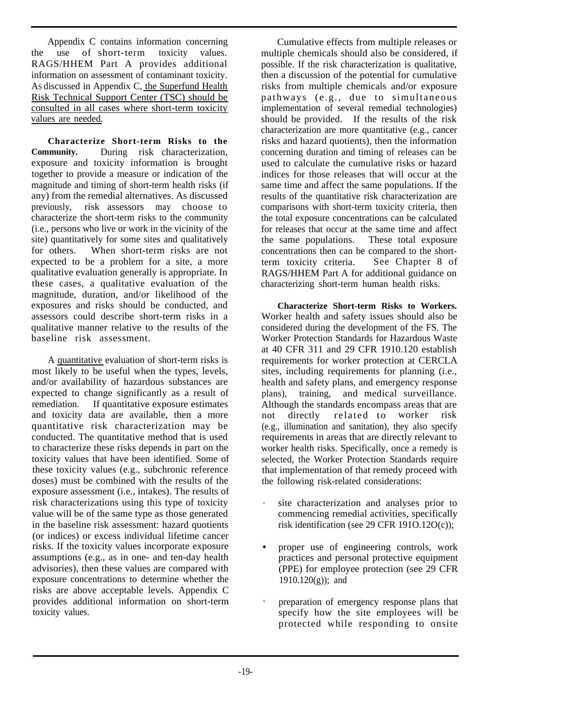Appendix C contains information concerning the use of short-term toxicity values. RAGS/HHEM Part A provides additional information on assessment of contaminant toxicity. As discussed in Appendix C, the Superfund Health Risk Technical Support Center (TSC) should be consulted in all cases where short-term toxicity values are needed.

**Characterize Short-term Risks to the Community.** During risk characterization, exposure and toxicity information is brought together to provide a measure or indication of the magnitude and timing of short-term health risks (if any) from the remedial alternatives. As discussed previously, risk assessors may choose to characterize the short-term risks to the community (i.e., persons who live or work in the vicinity of the site) quantitatively for some sites and qualitatively for others. When short-term risks are not expected to be a problem for a site, a more qualitative evaluation generally is appropriate. In these cases, a qualitative evaluation of the magnitude, duration, and/or likelihood of the exposures and risks should be conducted, and assessors could describe short-term risks in a qualitative manner relative to the results of the baseline risk assessment.

A quantitative evaluation of short-term risks is most likely to be useful when the types, levels, and/or availability of hazardous substances are expected to change significantly as a result of remediation. If quantitative exposure estimates and toxicity data are available, then a more quantitative risk characterization may be conducted. The quantitative method that is used to characterize these risks depends in part on the toxicity values that have been identified. Some of these toxicity values (e.g., subchronic reference doses) must be combined with the results of the exposure assessment (i.e., intakes). The results of risk characterizations using this type of toxicity value will be of the same type as those generated in the baseline risk assessment: hazard quotients (or indices) or excess individual lifetime cancer risks. If the toxicity values incorporate exposure assumptions (e.g., as in one- and ten-day health advisories), then these values are compared with exposure concentrations to determine whether the risks are above acceptable levels. Appendix C provides additional information on short-term toxicity values.

Cumulative effects from multiple releases or multiple chemicals should also be considered, if possible. If the risk characterization is qualitative, then a discussion of the potential for cumulative risks from multiple chemicals and/or exposure pathways (e.g., due to simultaneous implementation of several remedial technologies) should be provided. If the results of the risk characterization are more quantitative (e.g., cancer risks and hazard quotients), then the information concerning duration and timing of releases can be used to calculate the cumulative risks or hazard indices for those releases that will occur at the same time and affect the same populations. If the results of the quantitative risk characterization are comparisons with short-term toxicity criteria, then the total exposure concentrations can be calculated for releases that occur at the same time and affect the same populations. These total exposure concentrations then can be compared to the shortterm toxicity criteria. See Chapter 8 of RAGS/HHEM Part A for additional guidance on characterizing short-term human health risks.

**Characterize Short-term Risks to Workers.** Worker health and safety issues should also be considered during the development of the FS. The Worker Protection Standards for Hazardous Waste at 40 CFR 311 and 29 CFR 1910.120 establish requirements for worker protection at CERCLA sites, including requirements for planning (i.e., health and safety plans, and emergency response plans), training, and medical surveillance. Although the standards encompass areas that are not directly related to worker risk (e.g., illumination and sanitation), they also specify requirements in areas that are directly relevant to worker health risks. Specifically, once a remedy is selected, the Worker Protection Standards require that implementation of that remedy proceed with the following risk-related considerations:

- . site characterization and analyses prior to commencing remedial activities, specifically risk identification (see 29 CFR 191O.12O(c));
- proper use of engineering controls, work practices and personal protective equipment (PPE) for employee protection (see 29 CFR  $1910.120(g)$ ; and
- ✎ preparation of emergency response plans that specify how the site employees will be protected while responding to onsite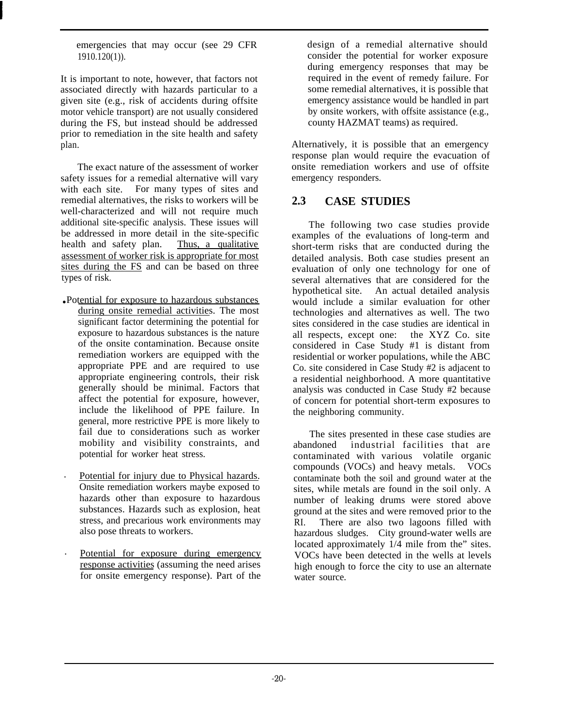<span id="page-31-0"></span>emergencies that may occur (see 29 CFR 1910.120(1)).

It is important to note, however, that factors not associated directly with hazards particular to a given site (e.g., risk of accidents during offsite motor vehicle transport) are not usually considered during the FS, but instead should be addressed prior to remediation in the site health and safety plan.

The exact nature of the assessment of worker safety issues for a remedial alternative will vary with each site. For many types of sites and remedial alternatives, the risks to workers will be well-characterized and will not require much additional site-specific analysis. These issues will be addressed in more detail in the site-specific health and safety plan. Thus, a qualitative assessment of worker risk is appropriate for most sites during the FS and can be based on three types of risk.

- Potential for exposure to hazardous substances during onsite remedial activities. The most significant factor determining the potential for exposure to hazardous substances is the nature of the onsite contamination. Because onsite remediation workers are equipped with the appropriate PPE and are required to use appropriate engineering controls, their risk generally should be minimal. Factors that affect the potential for exposure, however, include the likelihood of PPE failure. In general, more restrictive PPE is more likely to fail due to considerations such as worker mobility and visibility constraints, and potential for worker heat stress.
- . Potential for injury due to Physical hazards. Onsite remediation workers maybe exposed to hazards other than exposure to hazardous substances. Hazards such as explosion, heat stress, and precarious work environments may also pose threats to workers.
- . Potential for exposure during emergency response activities (assuming the need arises for onsite emergency response). Part of the

design of a remedial alternative should consider the potential for worker exposure during emergency responses that may be required in the event of remedy failure. For some remedial alternatives, it is possible that emergency assistance would be handled in part by onsite workers, with offsite assistance (e.g., county HAZMAT teams) as required.

Alternatively, it is possible that an emergency response plan would require the evacuation of onsite remediation workers and use of offsite emergency responders.

## **2.3 CASE STUDIES**

The following two case studies provide examples of the evaluations of long-term and short-term risks that are conducted during the detailed analysis. Both case studies present an evaluation of only one technology for one of several alternatives that are considered for the hypothetical site. An actual detailed analysis would include a similar evaluation for other technologies and alternatives as well. The two sites considered in the case studies are identical in all respects, except one: the XYZ Co. site considered in Case Study #1 is distant from residential or worker populations, while the ABC Co. site considered in Case Study #2 is adjacent to a residential neighborhood. A more quantitative analysis was conducted in Case Study #2 because of concern for potential short-term exposures to the neighboring community.

The sites presented in these case studies are abandoned industrial facilities that are contaminated with various volatile organic compounds (VOCs) and heavy metals. VOCs contaminate both the soil and ground water at the sites, while metals are found in the soil only. A number of leaking drums were stored above ground at the sites and were removed prior to the RI. There are also two lagoons filled with hazardous sludges. City ground-water wells are located approximately 1/4 mile from the" sites. VOCs have been detected in the wells at levels high enough to force the city to use an alternate water source.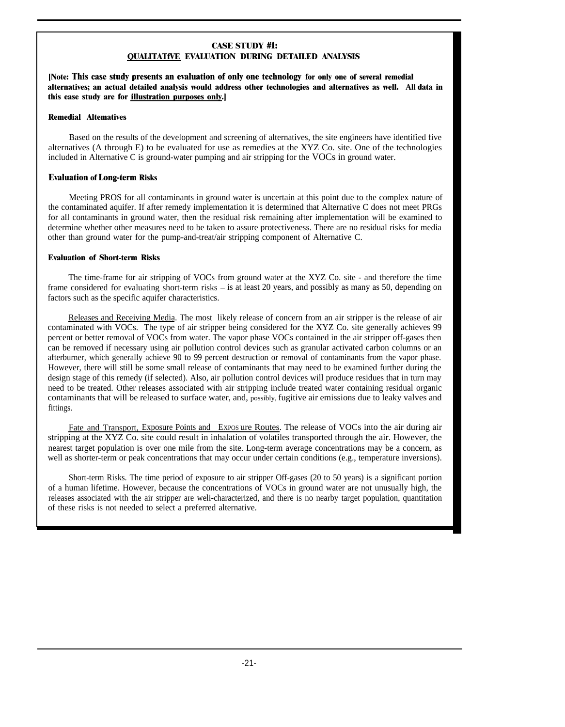#### **CASE STUDY #1: QUALITATfVE EVALUATION DURING DETAILED ANALYSIS**

**[Note: This case study presents an evaluation of only one technology for only one of several remedial alternatives; an actual detailed analysis would address other technologies and alternatives as well. All data in this ease study are for illustration purposes only.]**

#### **Remedial Altematives**

Based on the results of the development and screening of alternatives, the site engineers have identified five alternatives (A through E) to be evaluated for use as remedies at the XYZ Co. site. One of the technologies included in Alternative C is ground-water pumping and air stripping for the VOCs in ground water.

#### **Evaluation of Long-term Risks**

Meeting PROS for all contaminants in ground water is uncertain at this point due to the complex nature of the contaminated aquifer. If after remedy implementation it is determined that Alternative C does not meet PRGs for all contaminants in ground water, then the residual risk remaining after implementation will be examined to determine whether other measures need to be taken to assure protectiveness. There are no residual risks for media other than ground water for the pump-and-treat/air stripping component of Alternative C.

#### **Evaluation of Short-term Risks**

The time-frame for air stripping of VOCs from ground water at the XYZ Co. site - and therefore the time frame considered for evaluating short-term risks – is at least 20 years, and possibly as many as 50, depending on factors such as the specific aquifer characteristics.

Releases and Receiving Media. The most likely release of concern from an air stripper is the release of air contaminated with VOCs. The type of air stripper being considered for the XYZ Co. site generally achieves 99 percent or better removal of VOCs from water. The vapor phase VOCs contained in the air stripper off-gases then can be removed if necessary using air pollution control devices such as granular activated carbon columns or an afterburner, which generally achieve 90 to 99 percent destruction or removal of contaminants from the vapor phase. However, there will still be some small release of contaminants that may need to be examined further during the design stage of this remedy (if selected). Also, air pollution control devices will produce residues that in turn may need to be treated. Other releases associated with air stripping include treated water containing residual organic contaminants that will be released to surface water, and, possibly, fugitive air emissions due to leaky valves and fittings.

Fate and Transport, Exposure Points and EXPOS ure Routes. The release of VOCs into the air during air stripping at the XYZ Co. site could result in inhalation of volatiles transported through the air. However, the nearest target population is over one mile from the site. Long-term average concentrations may be a concern, as well as shorter-term or peak concentrations that may occur under certain conditions (e.g., temperature inversions).

Short-term Risks. The time period of exposure to air stripper Off-gases (20 to 50 years) is a significant portion of a human lifetime. However, because the concentrations of VOCs in ground water are not unusually high, the releases associated with the air stripper are weli-characterized, and there is no nearby target population, quantitation of these risks is not needed to select a preferred alternative.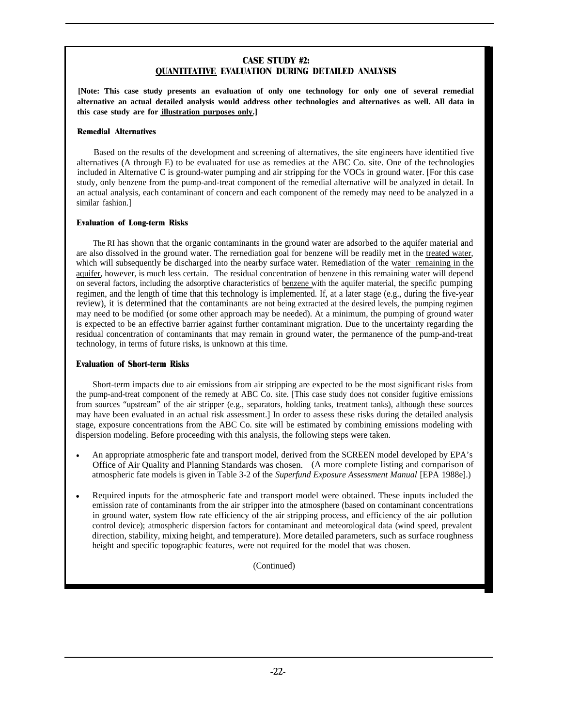#### **CASE STUDY #2: QUANTITATIVE EVALUATION DURING DETAILED ANALYSIS**

**[Note: This case study presents an evaluation of only one technology for only one of several remedial alternative an actual detailed analysis would address other technologies and alternatives as well. All data in this case study are for illustration purposes only.]**

#### **Remedial Alternatives**

Based on the results of the development and screening of alternatives, the site engineers have identified five alternatives (A through E) to be evaluated for use as remedies at the ABC Co. site. One of the technologies included in Alternative C is ground-water pumping and air stripping for the VOCs in ground water. [For this case study, only benzene from the pump-and-treat component of the remedial alternative will be analyzed in detail. In an actual analysis, each contaminant of concern and each component of the remedy may need to be analyzed in a similar fashion.]

#### **Evaluation of Long-term Risks**

The RI has shown that the organic contaminants in the ground water are adsorbed to the aquifer material and are also dissolved in the ground water. The rernediation goal for benzene will be readily met in the treated water, which will subsequently be discharged into the nearby surface water. Remediation of the water remaining in the aquifer, however, is much less certain. The residual concentration of benzene in this remaining water will depend on several factors, including the adsorptive characteristics of benzene with the aquifer material, the specific pumping regimen, and the length of time that this technology is implemented. If, at a later stage (e.g., during the five-year review), it is determined that the contaminants are not being extracted at the desired levels, the pumping regimen may need to be modified (or some other approach may be needed). At a minimum, the pumping of ground water is expected to be an effective barrier against further contaminant migration. Due to the uncertainty regarding the residual concentration of contaminants that may remain in ground water, the permanence of the pump-and-treat technology, in terms of future risks, is unknown at this time.

#### **Evaluation of Short-term Risks**

Short-term impacts due to air emissions from air stripping are expected to be the most significant risks from the pump-and-treat component of the remedy at ABC Co. site. [This case study does not consider fugitive emissions from sources "upstream" of the air stripper (e.g., separators, holding tanks, treatment tanks), although these sources may have been evaluated in an actual risk assessment.] In order to assess these risks during the detailed analysis stage, exposure concentrations from the ABC Co. site will be estimated by combining emissions modeling with dispersion modeling. Before proceeding with this analysis, the following steps were taken.

- An appropriate atmospheric fate and transport model, derived from the SCREEN model developed by EPA's Office of Air Quality and Planning Standards was chosen. (A more complete listing and comparison of atmospheric fate models is given in Table 3-2 of the *Superfund Exposure Assessment Manual* [EPA 1988e].)
- Required inputs for the atmospheric fate and transport model were obtained. These inputs included the emission rate of contaminants from the air stripper into the atmosphere (based on contaminant concentrations in ground water, system flow rate efficiency of the air stripping process, and efficiency of the air pollution control device); atmospheric dispersion factors for contaminant and meteorological data (wind speed, prevalent direction, stability, mixing height, and temperature). More detailed parameters, such as surface roughness height and specific topographic features, were not required for the model that was chosen.

(Continued)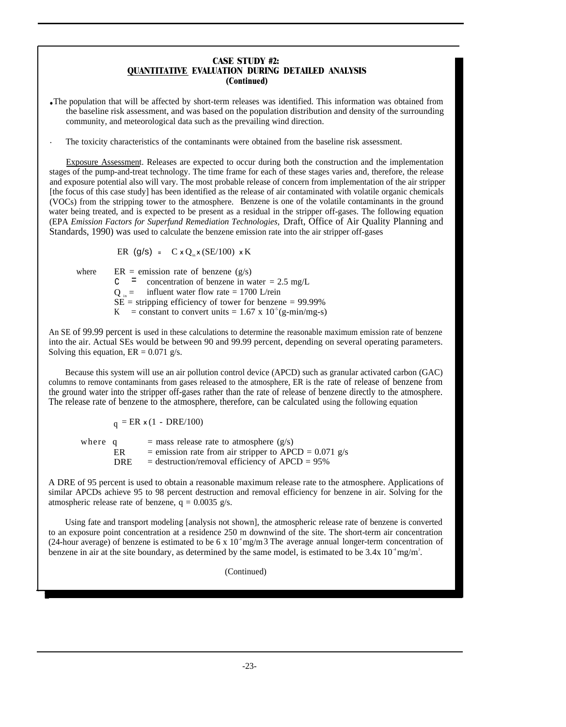#### **CASE STUDY #2: QUANTITATIVE EVALUATION DURING DETAILED ANALYSIS (Continued)**

● The population that will be affected by short-term releases was identified. This information was obtained from the baseline risk assessment, and was based on the population distribution and density of the surrounding community, and meteorological data such as the prevailing wind direction.

. The toxicity characteristics of the contaminants were obtained from the baseline risk assessment.

Exposure Assessment. Releases are expected to occur during both the construction and the implementation stages of the pump-and-treat technology. The time frame for each of these stages varies and, therefore, the release and exposure potential also will vary. The most probable release of concern from implementation of the air stripper [the focus of this case study] has been identified as the release of air contaminated with volatile organic chemicals (VOCs) from the stripping tower to the atmosphere. Benzene is one of the volatile contaminants in the ground water being treated, and is expected to be present as a residual in the stripper off-gases. The following equation (EPA *Emission Factors for Superfund Remediation Technologies,* Draft, Office of Air Quality Planning and Standards, 1990) was used to calculate the benzene emission rate into the air stripper off-gases

ER  $(g/s) = C x Q_{in} x (SE/100) x K$ 

where  $ER =$  emission rate of benzene  $(g/s)$ 

 $c =$  concentration of benzene in water = 2.5 mg/L

 $Q_{in}$  = influent water flow rate = 1700 L/rein

 $SE =$  stripping efficiency of tower for benzene = 99.99%

K = constant to convert units =  $1.67 \times 10^5$  (g-min/mg-s)

An SE of 99.99 percent is used in these calculations to determine the reasonable maximum emission rate of benzene into the air. Actual SEs would be between 90 and 99.99 percent, depending on several operating parameters. Solving this equation,  $ER = 0.071$  g/s.

Because this system will use an air pollution control device (APCD) such as granular activated carbon (GAC) columns to remove contaminants from gases released to the atmosphere, ER is the rate of release of benzene from the ground water into the stripper off-gases rather than the rate of release of benzene directly to the atmosphere. The release rate of benzene to the atmosphere, therefore, can be calculated using the following equation

 $q = ER \times (1 - DRE/100)$ 

where  $q =$  mass release rate to atmosphere  $(g/s)$ ER = emission rate from air stripper to APCD =  $0.071$  g/s DRE = destruction/removal efficiency of  $APCD = 95\%$ 

A DRE of 95 percent is used to obtain a reasonable maximum release rate to the atmosphere. Applications of similar APCDs achieve 95 to 98 percent destruction and removal efficiency for benzene in air. Solving for the atmospheric release rate of benzene,  $q = 0.0035$  g/s.

Using fate and transport modeling [analysis not shown], the atmospheric release rate of benzene is converted to an exposure point concentration at a residence 250 m downwind of the site. The short-term air concentration (24-hour average) of benzene is estimated to be 6 x  $10<sup>4</sup>$  mg/m 3 The average annual longer-term concentration of benzene in air at the site boundary, as determined by the same model, is estimated to be  $3.4x$   $10^4$  mg/m<sup>3</sup>.

(Continued)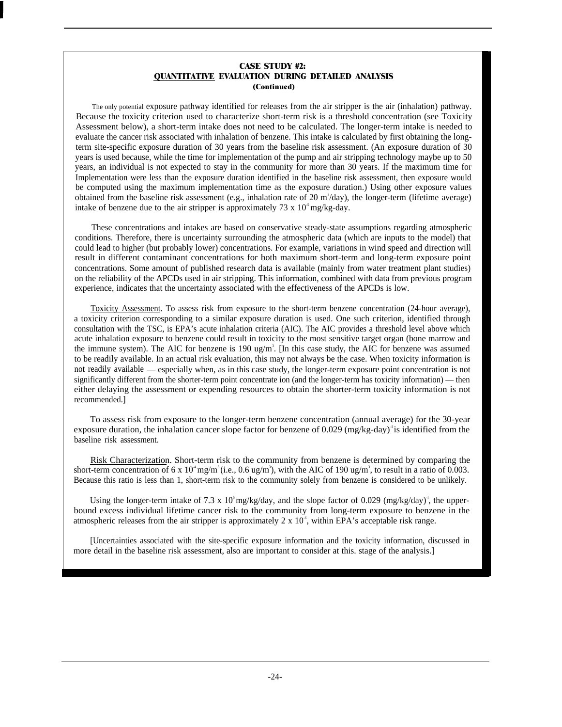#### **CASE STUDY #2: QUANTITATIVE EVALUATION DURING DETAILED ANALYSIS (Continued)**

The only potential exposure pathway identified for releases from the air stripper is the air (inhalation) pathway. Because the toxicity criterion used to characterize short-term risk is a threshold concentration (see Toxicity Assessment below), a short-term intake does not need to be calculated. The longer-term intake is needed to evaluate the cancer risk associated with inhalation of benzene. This intake is calculated by first obtaining the longterm site-specific exposure duration of 30 years from the baseline risk assessment. (An exposure duration of 30 years is used because, while the time for implementation of the pump and air stripping technology maybe up to 50 years, an individual is not expected to stay in the community for more than 30 years. If the maximum time for Implementation were less than the exposure duration identified in the baseline risk assessment, then exposure would be computed using the maximum implementation time as the exposure duration.) Using other exposure values obtained from the baseline risk assessment (e.g., inhalation rate of 20  $\rm m^3$ /day), the longer-term (lifetime average) intake of benzene due to the air stripper is approximately 73 x  $10<sup>5</sup>$  mg/kg-day.

These concentrations and intakes are based on conservative steady-state assumptions regarding atmospheric conditions. Therefore, there is uncertainty surrounding the atmospheric data (which are inputs to the model) that could lead to higher (but probably lower) concentrations. For example, variations in wind speed and direction will result in different contaminant concentrations for both maximum short-term and long-term exposure point concentrations. Some amount of published research data is available (mainly from water treatment plant studies) on the reliability of the APCDs used in air stripping. This information, combined with data from previous program experience, indicates that the uncertainty associated with the effectiveness of the APCDs is low.

Toxicity Assessment. To assess risk from exposure to the short-term benzene concentration (24-hour average), a toxicity criterion corresponding to a similar exposure duration is used. One such criterion, identified through consultation with the TSC, is EPA's acute inhalation criteria (AIC). The AIC provides a threshold level above which acute inhalation exposure to benzene could result in toxicity to the most sensitive target organ (bone marrow and the immune system). The AIC for benzene is  $190 \text{ ug/m}^3$ . [In this case study, the AIC for benzene was assumed to be readily available. In an actual risk evaluation, this may not always be the case. When toxicity information is not readily available — especially when, as in this case study, the longer-term exposure point concentration is not significantly different from the shorter-term point concentrate ion (and the longer-term has toxicity information) — then either delaying the assessment or expending resources to obtain the shorter-term toxicity information is not recommended.]

To assess risk from exposure to the longer-term benzene concentration (annual average) for the 30-year exposure duration, the inhalation cancer slope factor for benzene of  $0.029 \text{ (mg/kg-day)}^{\text{th}}$  is identified from the baseline risk assessment.

Risk Characterization. Short-term risk to the community from benzene is determined by comparing the short-term concentration of 6 x  $10^4$  mg/m<sup>3</sup>(i.e., 0.6 ug/m<sup>3</sup>), with the AIC of 190 ug/m<sup>3</sup>, to result in a ratio of 0.003. Because this ratio is less than 1, short-term risk to the community solely from benzene is considered to be unlikely.

Using the longer-term intake of 7.3 x 10<sup>5</sup> mg/kg/day, and the slope factor of 0.029 (mg/kg/day)<sup>-1</sup>, the upperbound excess individual lifetime cancer risk to the community from long-term exposure to benzene in the atmospheric releases from the air stripper is approximately 2 x  $10^{\degree}$ , within EPA's acceptable risk range.

[Uncertainties associated with the site-specific exposure information and the toxicity information, discussed in more detail in the baseline risk assessment, also are important to consider at this. stage of the analysis.]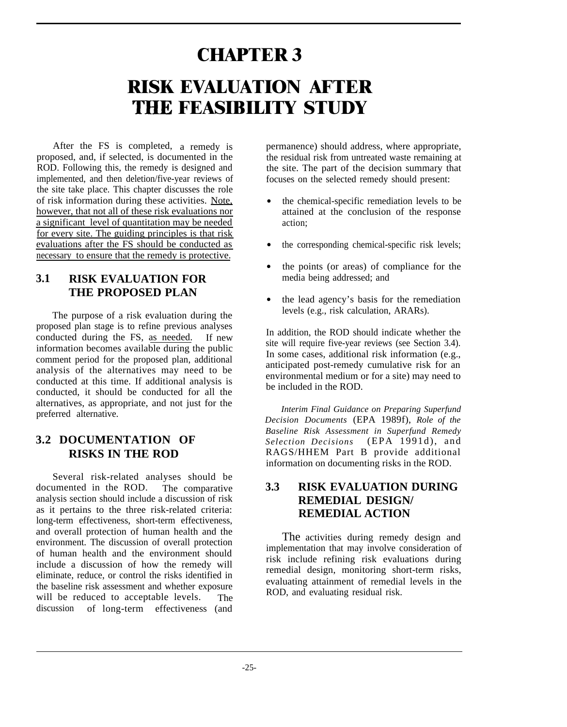# **RISK EVALUATION AFTER CHAPTER 3 THE FEASIBILITY STUDY**

After the FS is completed, a remedy is proposed, and, if selected, is documented in the ROD. Following this, the remedy is designed and implemented, and then deletion/five-year reviews of the site take place. This chapter discusses the role of risk information during these activities. Note, however, that not all of these risk evaluations nor a significant level of quantitation may be needed for every site. The guiding principles is that risk evaluations after the FS should be conducted as necessary to ensure that the remedy is protective.

# **3.1 RISK EVALUATION FOR THE PROPOSED PLAN**

The purpose of a risk evaluation during the proposed plan stage is to refine previous analyses conducted during the FS, as needed. If new information becomes available during the public comment period for the proposed plan, additional analysis of the alternatives may need to be conducted at this time. If additional analysis is conducted, it should be conducted for all the alternatives, as appropriate, and not just for the preferred alternative.

### **3.2 DOCUMENTATION OF RISKS IN THE ROD**

Several risk-related analyses should be<br>umented in the ROD. The comparative documented in the ROD. analysis section should include a discussion of risk as it pertains to the three risk-related criteria: long-term effectiveness, short-term effectiveness, and overall protection of human health and the environment. The discussion of overall protection of human health and the environment should include a discussion of how the remedy will eliminate, reduce, or control the risks identified in the baseline risk assessment and whether exposure will be reduced to acceptable levels. The discussion of long-term effectiveness (and permanence) should address, where appropriate, the residual risk from untreated waste remaining at the site. The part of the decision summary that focuses on the selected remedy should present:

- the chemical-specific remediation levels to be attained at the conclusion of the response action;
- the corresponding chemical-specific risk levels;
- $\bullet$ the points (or areas) of compliance for the media being addressed; and
- the lead agency's basis for the remediation levels (e.g., risk calculation, ARARs).

In addition, the ROD should indicate whether the site will require five-year reviews (see Section 3.4). In some cases, additional risk information (e.g., anticipated post-remedy cumulative risk for an environmental medium or for a site) may need to be included in the ROD.

*Interim Final Guidance on Preparing Superfund Decision Documents* (EPA 1989f), *Role of the Baseline Risk Assessment in Superfund Remedy Selection Decisions* (EPA 1991d), and RAGS/HHEM Part B provide additional information on documenting risks in the ROD.

# **3.3 RISK EVALUATION DURING REMEDIAL DESIGN/ REMEDIAL ACTION**

The activities during remedy design and implementation that may involve consideration of risk include refining risk evaluations during remedial design, monitoring short-term risks, evaluating attainment of remedial levels in the ROD, and evaluating residual risk.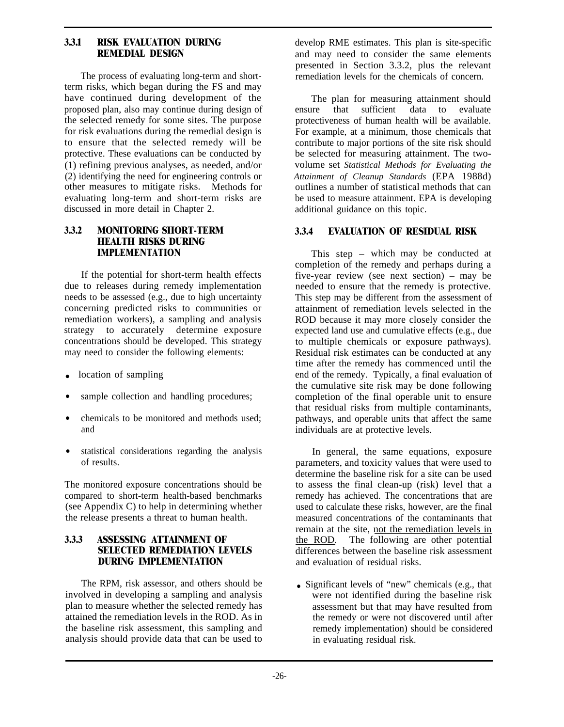#### **3.3.1 RISK EVALUATION DURING REMEDIAL DESIGN**

The process of evaluating long-term and shortterm risks, which began during the FS and may have continued during development of the proposed plan, also may continue during design of the selected remedy for some sites. The purpose for risk evaluations during the remedial design is to ensure that the selected remedy will be protective. These evaluations can be conducted by (1) refining previous analyses, as needed, and/or (2) identifying the need for engineering controls or other measures to mitigate risks. Methods for evaluating long-term and short-term risks are discussed in more detail in Chapter 2.

#### **3.3.2 MONITORING SHORT-TERM HEALTH RISKS DURING IMPLEMENTATION**

If the potential for short-term health effects due to releases during remedy implementation needs to be assessed (e.g., due to high uncertainty concerning predicted risks to communities or remediation workers), a sampling and analysis strategy to accurately determine exposure concentrations should be developed. This strategy may need to consider the following elements:

- location of sampling
- sample collection and handling procedures;
- chemicals to be monitored and methods used; and
- statistical considerations regarding the analysis of results.

The monitored exposure concentrations should be compared to short-term health-based benchmarks (see Appendix C) to help in determining whether the release presents a threat to human health.

#### **3.3.3 ASSESSING ATTAINMENT OF SELECTED REMEDIATION LEVELS DURING IMPLEMENTATION**

The RPM, risk assessor, and others should be involved in developing a sampling and analysis plan to measure whether the selected remedy has attained the remediation levels in the ROD. As in the baseline risk assessment, this sampling and analysis should provide data that can be used to develop RME estimates. This plan is site-specific and may need to consider the same elements presented in Section 3.3.2, plus the relevant remediation levels for the chemicals of concern.

The plan for measuring attainment should ensure that sufficient data to evaluate protectiveness of human health will be available. For example, at a minimum, those chemicals that contribute to major portions of the site risk should be selected for measuring attainment. The twovolume set *Statistical Methods for Evaluating the Attainment of Cleanup Standards* (EPA 1988d) outlines a number of statistical methods that can be used to measure attainment. EPA is developing additional guidance on this topic.

#### **3.3.4 EVALUATION OF RESIDUAL RISK**

This step – which may be conducted at completion of the remedy and perhaps during a five-year review (see next section) – may be needed to ensure that the remedy is protective. This step may be different from the assessment of attainment of remediation levels selected in the ROD because it may more closely consider the expected land use and cumulative effects (e.g., due to multiple chemicals or exposure pathways). Residual risk estimates can be conducted at any time after the remedy has commenced until the end of the remedy. Typically, a final evaluation of the cumulative site risk may be done following completion of the final operable unit to ensure that residual risks from multiple contaminants, pathways, and operable units that affect the same individuals are at protective levels.

In general, the same equations, exposure parameters, and toxicity values that were used to determine the baseline risk for a site can be used to assess the final clean-up (risk) level that a remedy has achieved. The concentrations that are used to calculate these risks, however, are the final measured concentrations of the contaminants that remain at the site, not the remediation levels in the ROD. The following are other potential differences between the baseline risk assessment and evaluation of residual risks.

• Significant levels of "new" chemicals (e.g., that were not identified during the baseline risk assessment but that may have resulted from the remedy or were not discovered until after remedy implementation) should be considered in evaluating residual risk.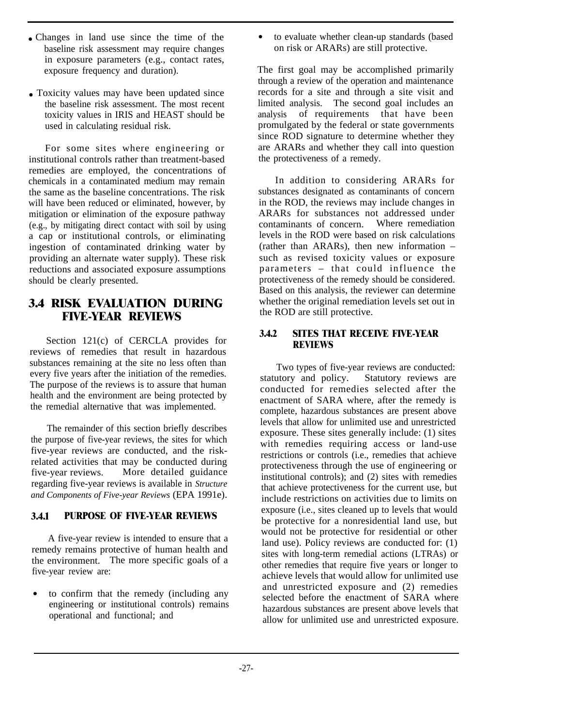- Changes in land use since the time of the baseline risk assessment may require changes in exposure parameters (e.g., contact rates, exposure frequency and duration).
- Toxicity values may have been updated since the baseline risk assessment. The most recent toxicity values in IRIS and HEAST should be used in calculating residual risk.

For some sites where engineering or institutional controls rather than treatment-based remedies are employed, the concentrations of chemicals in a contaminated medium may remain the same as the baseline concentrations. The risk will have been reduced or eliminated, however, by mitigation or elimination of the exposure pathway (e.g., by mitigating direct contact with soil by using a cap or institutional controls, or eliminating ingestion of contaminated drinking water by providing an alternate water supply). These risk reductions and associated exposure assumptions should be clearly presented.

### **3.4 RISK EVALUATION DURING FIVE-YEAR REVIEWS**

Section 121(c) of CERCLA provides for reviews of remedies that result in hazardous substances remaining at the site no less often than every five years after the initiation of the remedies. The purpose of the reviews is to assure that human health and the environment are being protected by the remedial alternative that was implemented.

The remainder of this section briefly describes the purpose of five-year reviews, the sites for which five-year reviews are conducted, and the riskrelated activities that may be conducted during five-year reviews. More detailed guidance regarding five-year reviews is available in *Structure and Components of Five-year Reviews* (EPA 1991e).

#### **3.4.1 PURPOSE OF FIVE-YEAR REVIEWS**

A five-year review is intended to ensure that a remedy remains protective of human health and the environment. The more specific goals of a five-year review are:

• to confirm that the remedy (including any engineering or institutional controls) remains operational and functional; and

to evaluate whether clean-up standards (based on risk or ARARs) are still protective.

The first goal may be accomplished primarily through a review of the operation and maintenance records for a site and through a site visit and limited analysis. The second goal includes an analysis of requirements that have been promulgated by the federal or state governments since ROD signature to determine whether they are ARARs and whether they call into question the protectiveness of a remedy.

In addition to considering ARARs for substances designated as contaminants of concern in the ROD, the reviews may include changes in ARARs for substances not addressed under<br>contaminants of concern Where remediation contaminants of concern. levels in the ROD were based on risk calculations (rather than ARARs), then new information – such as revised toxicity values or exposure parameters – that could influence the protectiveness of the remedy should be considered. Based on this analysis, the reviewer can determine whether the original remediation levels set out in the ROD are still protective.

#### **3.4.2 SITES THAT RECEIVE FIVE-YEAR REVIEWS**

Two types of five-year reviews are conducted: statutory and policy. Statutory reviews are conducted for remedies selected after the enactment of SARA where, after the remedy is complete, hazardous substances are present above levels that allow for unlimited use and unrestricted exposure. These sites generally include: (1) sites with remedies requiring access or land-use restrictions or controls (i.e., remedies that achieve protectiveness through the use of engineering or institutional controls); and (2) sites with remedies that achieve protectiveness for the current use, but include restrictions on activities due to limits on exposure (i.e., sites cleaned up to levels that would be protective for a nonresidential land use, but would not be protective for residential or other land use). Policy reviews are conducted for: (1) sites with long-term remedial actions (LTRAs) or other remedies that require five years or longer to achieve levels that would allow for unlimited use and unrestricted exposure and (2) remedies selected before the enactment of SARA where hazardous substances are present above levels that allow for unlimited use and unrestricted exposure.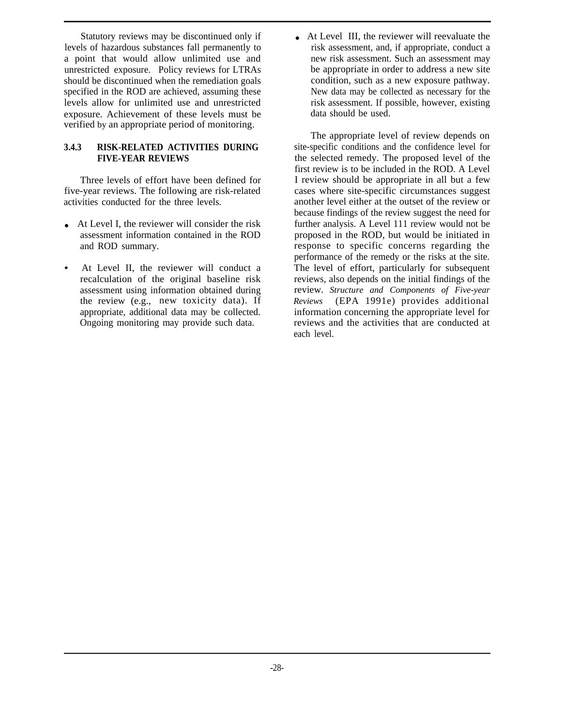Statutory reviews may be discontinued only if levels of hazardous substances fall permanently to a point that would allow unlimited use and unrestricted exposure. Policy reviews for LTRAs should be discontinued when the remediation goals specified in the ROD are achieved, assuming these levels allow for unlimited use and unrestricted exposure. Achievement of these levels must be verified by an appropriate period of monitoring.

#### **3.4.3 RISK-RELATED ACTIVITIES DURING FIVE-YEAR REVIEWS**

Three levels of effort have been defined for five-year reviews. The following are risk-related activities conducted for the three levels.

- $\bullet$  At Level I, the reviewer will consider the risk assessment information contained in the ROD and ROD summary.
- At Level II, the reviewer will conduct a recalculation of the original baseline risk assessment using information obtained during the review (e.g., new toxicity data). If appropriate, additional data may be collected. Ongoing monitoring may provide such data.

• At Level III, the reviewer will reevaluate the risk assessment, and, if appropriate, conduct a new risk assessment. Such an assessment may be appropriate in order to address a new site condition, such as a new exposure pathway. New data may be collected as necessary for the risk assessment. If possible, however, existing data should be used.

The appropriate level of review depends on site-specific conditions and the confidence level for the selected remedy. The proposed level of the first review is to be included in the ROD. A Level I review should be appropriate in all but a few cases where site-specific circumstances suggest another level either at the outset of the review or because findings of the review suggest the need for further analysis. A Level 111 review would not be proposed in the ROD, but would be initiated in response to specific concerns regarding the performance of the remedy or the risks at the site. The level of effort, particularly for subsequent reviews, also depends on the initial findings of the review. *Structure and Components of Five-year Reviews* (EPA 1991e) provides additional information concerning the appropriate level for reviews and the activities that are conducted at each level.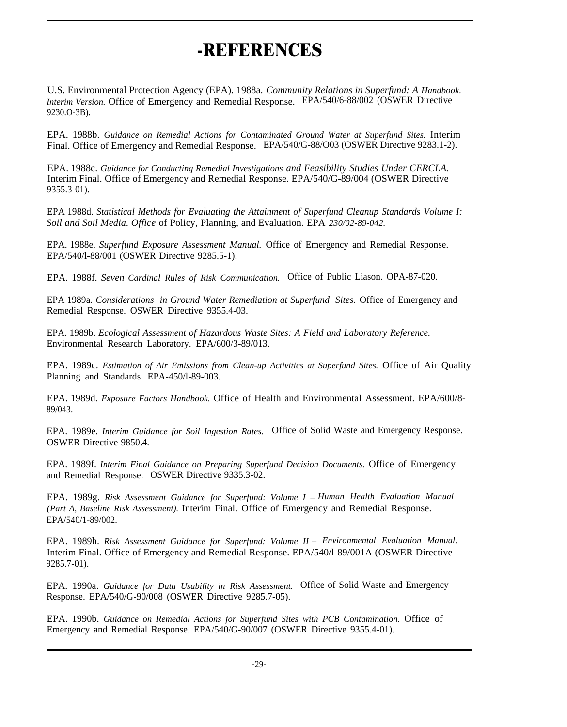# **-REFERENCES**

U.S. Environmental Protection Agency (EPA). 1988a. *Community Relations in Superfund: A Handbook. Interim Version.* Office of Emergency and Remedial Response. EPA/540/6-88/002 (OSWER Directive 9230.O-3B).

EPA. 1988b. *Guidance on Remedial Actions for Contaminated Ground Water at Superfund Sites.* Interim Final. Office of Emergency and Remedial Response. EPA/540/G-88/O03 (OSWER Directive 9283.1-2).

EPA. 1988c. *Guidance for Conducting Remedial Investigations and Feasibility Studies Under CERCLA.* Interim Final. Office of Emergency and Remedial Response. EPA/540/G-89/004 (OSWER Directive 9355.3-01).

EPA 1988d. *Statistical Methods for Evaluating the Attainment of Superfund Cleanup Standards Volume I: Soil and Soil Media. Office* of Policy, Planning, and Evaluation. EPA *230/02-89-042.*

EPA. 1988e. *Superfund Exposure Assessment Manual.* Office of Emergency and Remedial Response. EPA/540/l-88/001 (OSWER Directive 9285.5-1).

EPA. 1988f. *Seven Cardinal Rules of Risk Communication.* Office of Public Liason. OPA-87-020.

EPA 1989a. *Considerations in Ground Water Remediation at Superfund Sites.* Office of Emergency and Remedial Response. OSWER Directive 9355.4-03.

EPA. 1989b. *Ecological Assessment of Hazardous Waste Sites: A Field and Laboratory Reference.* Environmental Research Laboratory. EPA/600/3-89/013.

EPA. 1989c. *Estimation of Air Emissions from Clean-up Activities at Superfund Sites.* Office of Air Quality Planning and Standards. EPA-450/l-89-003.

EPA. 1989d. *Exposure Factors Handbook.* Office of Health and Environmental Assessment. EPA/600/8- 89/043.

EPA. 1989e. *Interim Guidance for Soil Ingestion Rates.* Office of Solid Waste and Emergency Response. OSWER Directive 9850.4.

EPA. 1989f. *Interim Final Guidance on Preparing Superfund Decision Documents.* Office of Emergency and Remedial Response. OSWER Directive 9335.3-02.

EPA. 1989g. *Risk Assessment Guidance for Superfund: Volume I – Human Health Evaluation Manual (Part A, Baseline Risk Assessment).* Interim Final. Office of Emergency and Remedial Response. EPA/540/1-89/002.

EPA. 1989h. *Risk Assessment Guidance for Superfund: Volume II – Environmental Evaluation Manual.* Interim Final. Office of Emergency and Remedial Response. EPA/540/l-89/001A (OSWER Directive 9285.7-01).

EPA. 1990a. *Guidance for Data Usability in Risk Assessment.* Office of Solid Waste and Emergency Response. EPA/540/G-90/008 (OSWER Directive 9285.7-05).

EPA. 1990b. *Guidance on Remedial Actions for Superfund Sites with PCB Contamination.* Office of Emergency and Remedial Response. EPA/540/G-90/007 (OSWER Directive 9355.4-01).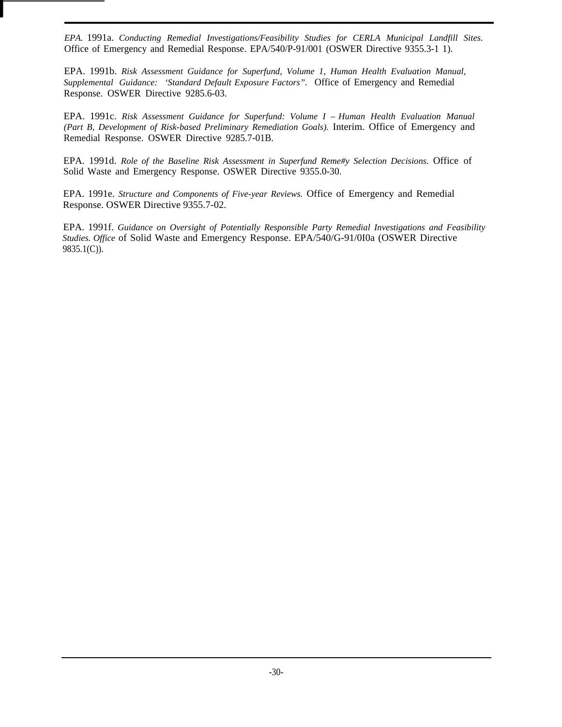*EPA.* 1991a. *Conducting Remedial Investigations/Feasibility Studies for CERLA Municipal Landfill Sites.* Office of Emergency and Remedial Response. EPA/540/P-91/001 (OSWER Directive 9355.3-1 1).

EPA. 1991b. *Risk Assessment Guidance for Superfund, Volume 1, Human Health Evaluation Manual, Supplemental Guidance: 'Standard Default Exposure Factors".* Office of Emergency and Remedial Response. OSWER Directive 9285.6-03.

EPA. 1991c. *Risk Assessment Guidance for Superfund: Volume I – Human Health Evaluation Manual (Part B, Development of Risk-based Preliminary Remediation Goals).* Interim. Office of Emergency and Remedial Response. OSWER Directive 9285.7-01B.

EPA. 1991d. *Role of the Baseline Risk Assessment in Superfund Reme#y Selection Decisions.* Office of Solid Waste and Emergency Response. OSWER Directive 9355.0-30.

EPA. 1991e. *Structure and Components of Five-year Reviews.* Office of Emergency and Remedial Response. OSWER Directive 9355.7-02.

EPA. 1991f. *Guidance on Oversight of Potentially Responsible Party Remedial Investigations and Feasibility Studies. Office* of Solid Waste and Emergency Response. EPA/540/G-91/0I0a (OSWER Directive 9835.1(C)).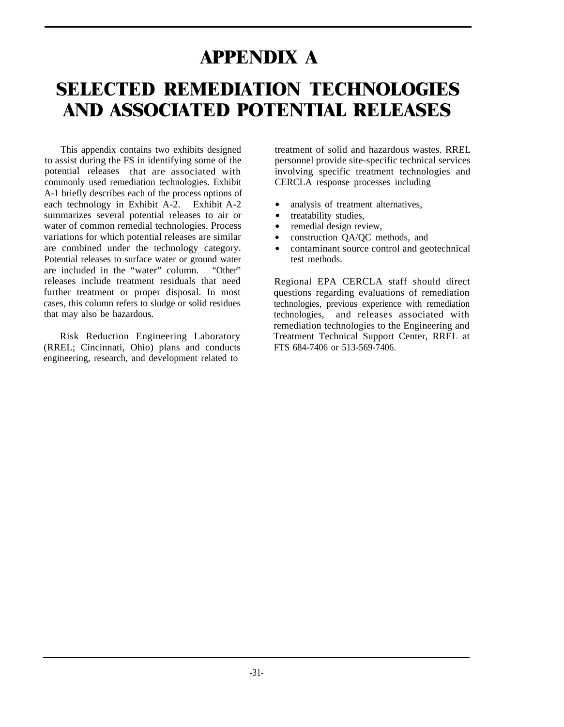# **APPENDIX A SELECTED REMEDIATION TECHNOLOGIES AND ASSOCIATED POTENTIAL RELEASES**

This appendix contains two exhibits designed to assist during the FS in identifying some of the potential releases that are associated with commonly used remediation technologies. Exhibit A-1 briefly describes each of the process options of each technology in Exhibit A-2. Exhibit A-2 summarizes several potential releases to air or water of common remedial technologies. Process variations for which potential releases are similar are combined under the technology category. Potential releases to surface water or ground water are included in the "water" column. "Other" releases include treatment residuals that need further treatment or proper disposal. In most cases, this column refers to sludge or solid residues that may also be hazardous.

Risk Reduction Engineering Laboratory (RREL; Cincinnati, Ohio) plans and conducts engineering, research, and development related to

treatment of solid and hazardous wastes. RREL personnel provide site-specific technical services involving specific treatment technologies and CERCLA response processes including

- analysis of treatment alternatives,
- treatability studies.
- remedial design review,
- construction QA/QC methods, and
- contaminant source control and geotechnical test methods.

Regional EPA CERCLA staff should direct questions regarding evaluations of remediation technologies, previous experience with remediation technologies, and releases associated with remediation technologies to the Engineering and Treatment Technical Support Center, RREL at FTS 684-7406 or 513-569-7406.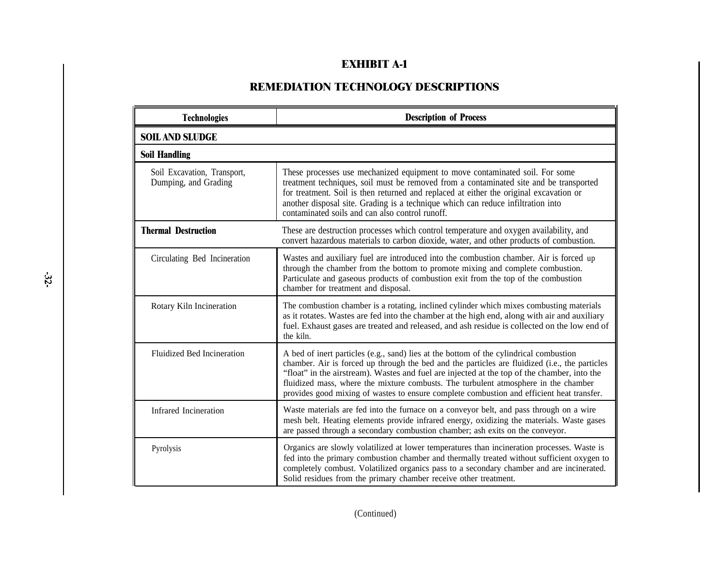# **EXHIBIT A-1**

# **REMEDIATION TECHNOLOGY DESCRIPTIONS**

| <b>Technologies</b>                                 | <b>Description of Process</b>                                                                                                                                                                                                                                                                                                                                                                                                                                               |
|-----------------------------------------------------|-----------------------------------------------------------------------------------------------------------------------------------------------------------------------------------------------------------------------------------------------------------------------------------------------------------------------------------------------------------------------------------------------------------------------------------------------------------------------------|
| <b>SOIL AND SLUDGE</b>                              |                                                                                                                                                                                                                                                                                                                                                                                                                                                                             |
| <b>Soil Handling</b>                                |                                                                                                                                                                                                                                                                                                                                                                                                                                                                             |
| Soil Excavation, Transport,<br>Dumping, and Grading | These processes use mechanized equipment to move contaminated soil. For some<br>treatment techniques, soil must be removed from a contaminated site and be transported<br>for treatment. Soil is then returned and replaced at either the original excavation or<br>another disposal site. Grading is a technique which can reduce infiltration into<br>contaminated soils and can also control runoff.                                                                     |
| <b>Thermal Destruction</b>                          | These are destruction processes which control temperature and oxygen availability, and<br>convert hazardous materials to carbon dioxide, water, and other products of combustion.                                                                                                                                                                                                                                                                                           |
| Circulating Bed Incineration                        | Wastes and auxiliary fuel are introduced into the combustion chamber. Air is forced up<br>through the chamber from the bottom to promote mixing and complete combustion.<br>Particulate and gaseous products of combustion exit from the top of the combustion<br>chamber for treatment and disposal.                                                                                                                                                                       |
| Rotary Kiln Incineration                            | The combustion chamber is a rotating, inclined cylinder which mixes combusting materials<br>as it rotates. Wastes are fed into the chamber at the high end, along with air and auxiliary<br>fuel. Exhaust gases are treated and released, and ash residue is collected on the low end of<br>the kiln.                                                                                                                                                                       |
| <b>Fluidized Bed Incineration</b>                   | A bed of inert particles (e.g., sand) lies at the bottom of the cylindrical combustion<br>chamber. Air is forced up through the bed and the particles are fluidized (i.e., the particles<br>"float" in the airstream). Wastes and fuel are injected at the top of the chamber, into the<br>fluidized mass, where the mixture combusts. The turbulent atmosphere in the chamber<br>provides good mixing of wastes to ensure complete combustion and efficient heat transfer. |
| Infrared Incineration                               | Waste materials are fed into the furnace on a conveyor belt, and pass through on a wire<br>mesh belt. Heating elements provide infrared energy, oxidizing the materials. Waste gases<br>are passed through a secondary combustion chamber; ash exits on the conveyor.                                                                                                                                                                                                       |
| Pyrolysis                                           | Organics are slowly volatilized at lower temperatures than incineration processes. Waste is<br>fed into the primary combustion chamber and thermally treated without sufficient oxygen to<br>completely combust. Volatilized organics pass to a secondary chamber and are incinerated.<br>Solid residues from the primary chamber receive other treatment.                                                                                                                  |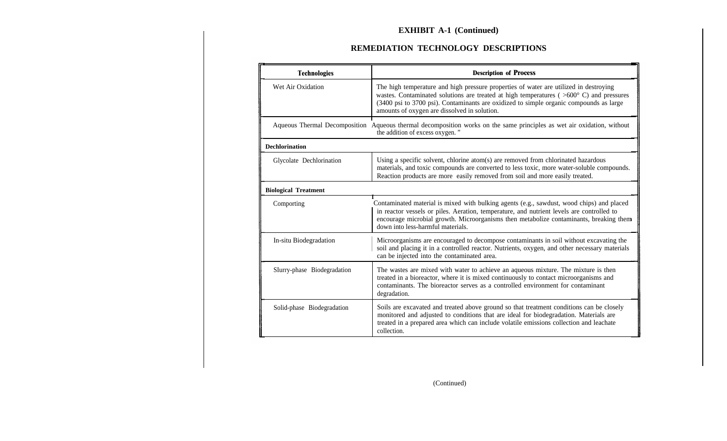# **REMEDIATION TECHNOLOGY DESCRIPTIONS**

| <b>Technologies</b>         | <b>Description of Process</b>                                                                                                                                                                                                                                                                                                        |  |
|-----------------------------|--------------------------------------------------------------------------------------------------------------------------------------------------------------------------------------------------------------------------------------------------------------------------------------------------------------------------------------|--|
| Wet Air Oxidation           | The high temperature and high pressure properties of water are utilized in destroying<br>wastes. Contaminated solutions are treated at high temperatures ( $>600^{\circ}$ C) and pressures<br>(3400 psi to 3700 psi). Contaminants are oxidized to simple organic compounds as large<br>amounts of oxygen are dissolved in solution. |  |
|                             | Aqueous Thermal Decomposition Aqueous thermal decomposition works on the same principles as wet air oxidation, without<br>the addition of excess oxygen."                                                                                                                                                                            |  |
| <b>Dechlorination</b>       |                                                                                                                                                                                                                                                                                                                                      |  |
| Glycolate Dechlorination    | Using a specific solvent, chlorine atom(s) are removed from chlorinated hazardous<br>materials, and toxic compounds are converted to less toxic, more water-soluble compounds.<br>Reaction products are more easily removed from soil and more easily treated.                                                                       |  |
| <b>Biological Treatment</b> |                                                                                                                                                                                                                                                                                                                                      |  |
| Comporting                  | Contaminated material is mixed with bulking agents (e.g., sawdust, wood chips) and placed<br>in reactor vessels or piles. Aeration, temperature, and nutrient levels are controlled to<br>encourage microbial growth. Microorganisms then metabolize contaminants, breaking them<br>down into less-harmful materials.                |  |
| In-situ Biodegradation      | Microorganisms are encouraged to decompose contaminants in soil without excavating the<br>soil and placing it in a controlled reactor. Nutrients, oxygen, and other necessary materials<br>can be injected into the contaminated area.                                                                                               |  |
| SIurry-phase Biodegradation | The wastes are mixed with water to achieve an aqueous mixture. The mixture is then<br>treated in a bioreactor, where it is mixed continuously to contact microorganisms and<br>contaminants. The bioreactor serves as a controlled environment for contaminant<br>degradation.                                                       |  |
| Solid-phase Biodegradation  | Soils are excavated and treated above ground so that treatment conditions can be closely<br>monitored and adjusted to conditions that are ideal for biodegradation. Materials are<br>treated in a prepared area which can include volatile emissions collection and leachate<br>collection.                                          |  |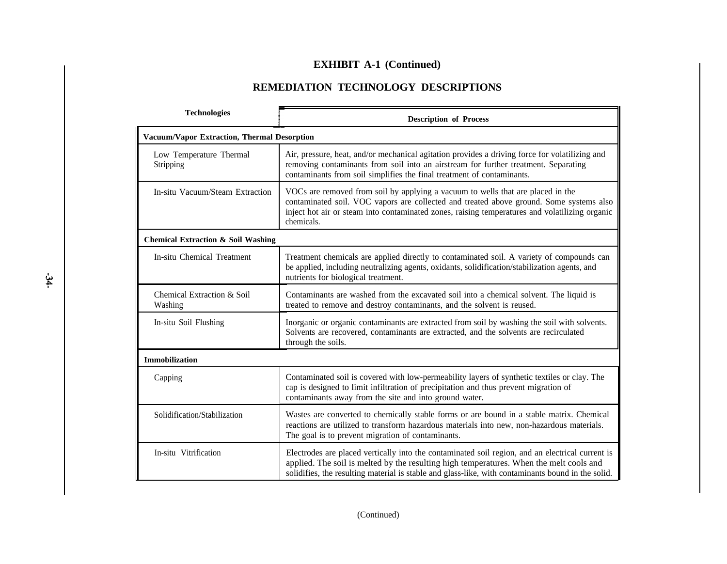# **REMEDIATION TECHNOLOGY DESCRIPTIONS**

| <b>Technologies</b>                           | <b>Description of Process</b>                                                                                                                                                                                                                                                                     |  |
|-----------------------------------------------|---------------------------------------------------------------------------------------------------------------------------------------------------------------------------------------------------------------------------------------------------------------------------------------------------|--|
| Vacuum/Vapor Extraction, Thermal Desorption   |                                                                                                                                                                                                                                                                                                   |  |
| Low Temperature Thermal<br>Stripping          | Air, pressure, heat, and/or mechanical agitation provides a driving force for volatilizing and<br>removing contaminants from soil into an airstream for further treatment. Separating<br>contaminants from soil simplifies the final treatment of contaminants.                                   |  |
| In-situ Vacuum/Steam Extraction               | VOCs are removed from soil by applying a vacuum to wells that are placed in the<br>contaminated soil. VOC vapors are collected and treated above ground. Some systems also<br>inject hot air or steam into contaminated zones, raising temperatures and volatilizing organic<br>chemicals.        |  |
| <b>Chemical Extraction &amp; Soil Washing</b> |                                                                                                                                                                                                                                                                                                   |  |
| <b>In-situ Chemical Treatment</b>             | Treatment chemicals are applied directly to contaminated soil. A variety of compounds can<br>be applied, including neutralizing agents, oxidants, solidification/stabilization agents, and<br>nutrients for biological treatment.                                                                 |  |
| Chemical Extraction & Soil<br>Washing         | Contaminants are washed from the excavated soil into a chemical solvent. The liquid is<br>treated to remove and destroy contaminants, and the solvent is reused.                                                                                                                                  |  |
| In-situ Soil Flushing                         | Inorganic or organic contaminants are extracted from soil by washing the soil with solvents.<br>Solvents are recovered, contaminants are extracted, and the solvents are recirculated<br>through the soils.                                                                                       |  |
| Immobilization                                |                                                                                                                                                                                                                                                                                                   |  |
| Capping                                       | Contaminated soil is covered with low-permeability layers of synthetic textiles or clay. The<br>cap is designed to limit infiltration of precipitation and thus prevent migration of<br>contaminants away from the site and into ground water.                                                    |  |
| Solidification/Stabilization                  | Wastes are converted to chemically stable forms or are bound in a stable matrix. Chemical<br>reactions are utilized to transform hazardous materials into new, non-hazardous materials.<br>The goal is to prevent migration of contaminants.                                                      |  |
| In-situ Vitrification                         | Electrodes are placed vertically into the contaminated soil region, and an electrical current is<br>applied. The soil is melted by the resulting high temperatures. When the melt cools and<br>solidifies, the resulting material is stable and glass-like, with contaminants bound in the solid. |  |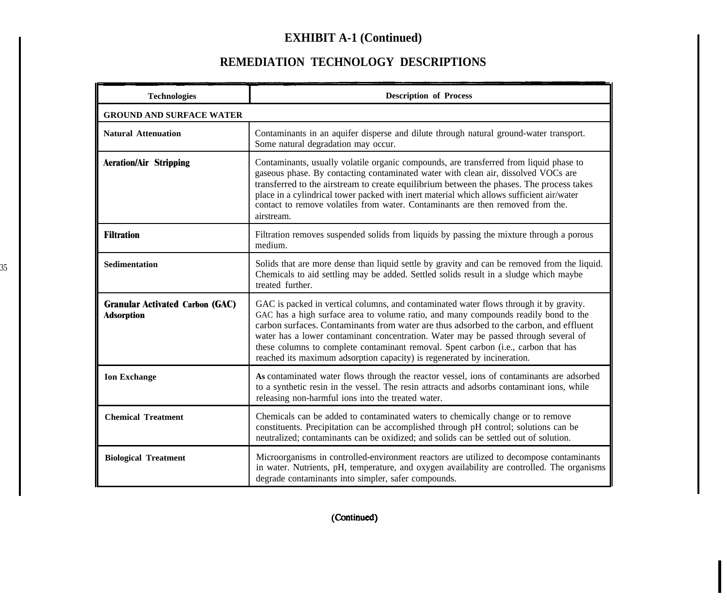# **REMEDIATION TECHNOLOGY DESCRIPTIONS**

 $\overline{\phantom{a}}$ 

| <b>Technologies</b>                                         | <b>Description of Process</b>                                                                                                                                                                                                                                                                                                                                                                                                                                                                                                    |  |
|-------------------------------------------------------------|----------------------------------------------------------------------------------------------------------------------------------------------------------------------------------------------------------------------------------------------------------------------------------------------------------------------------------------------------------------------------------------------------------------------------------------------------------------------------------------------------------------------------------|--|
| <b>GROUND AND SURFACE WATER</b>                             |                                                                                                                                                                                                                                                                                                                                                                                                                                                                                                                                  |  |
| <b>Natural Attenuation</b>                                  | Contaminants in an aquifer disperse and dilute through natural ground-water transport.<br>Some natural degradation may occur.                                                                                                                                                                                                                                                                                                                                                                                                    |  |
| <b>Aeration/Air Stripping</b>                               | Contaminants, usually volatile organic compounds, are transferred from liquid phase to<br>gaseous phase. By contacting contaminated water with clean air, dissolved VOCs are<br>transferred to the airstream to create equilibrium between the phases. The process takes<br>place in a cylindrical tower packed with inert material which allows sufficient air/water<br>contact to remove volatiles from water. Contaminants are then removed from the.<br>airstream.                                                           |  |
| <b>Filtration</b>                                           | Filtration removes suspended solids from liquids by passing the mixture through a porous<br>medium.                                                                                                                                                                                                                                                                                                                                                                                                                              |  |
| <b>Sedimentation</b>                                        | Solids that are more dense than liquid settle by gravity and can be removed from the liquid.<br>Chemicals to aid settling may be added. Settled solids result in a sludge which maybe<br>treated further.                                                                                                                                                                                                                                                                                                                        |  |
| <b>Granular Activated Carbon (GAC)</b><br><b>Adsorption</b> | GAC is packed in vertical columns, and contaminated water flows through it by gravity.<br>GAC has a high surface area to volume ratio, and many compounds readily bond to the<br>carbon surfaces. Contaminants from water are thus adsorbed to the carbon, and effluent<br>water has a lower contaminant concentration. Water may be passed through several of<br>these columns to complete contaminant removal. Spent carbon (i.e., carbon that has<br>reached its maximum adsorption capacity) is regenerated by incineration. |  |
| <b>Ion Exchange</b>                                         | As contaminated water flows through the reactor vessel, ions of contaminants are adsorbed<br>to a synthetic resin in the vessel. The resin attracts and adsorbs contaminant ions, while<br>releasing non-harmful ions into the treated water.                                                                                                                                                                                                                                                                                    |  |
| <b>Chemical Treatment</b>                                   | Chemicals can be added to contaminated waters to chemically change or to remove<br>constituents. Precipitation can be accomplished through pH control; solutions can be<br>neutralized; contaminants can be oxidized; and solids can be settled out of solution.                                                                                                                                                                                                                                                                 |  |
| <b>Biological Treatment</b>                                 | Microorganisms in controlled-environment reactors are utilized to decompose contaminants<br>in water. Nutrients, pH, temperature, and oxygen availability are controlled. The organisms<br>degrade contaminants into simpler, safer compounds.                                                                                                                                                                                                                                                                                   |  |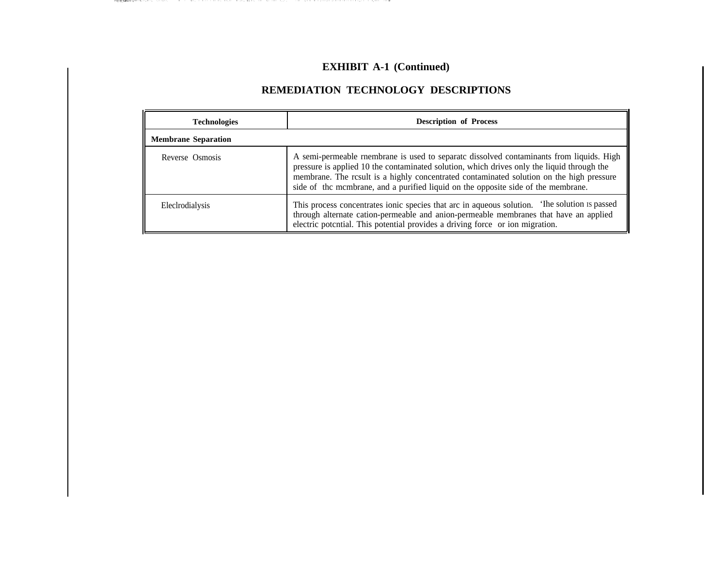# **REMEDIATION TECHNOLOGY DESCRIPTIONS**

| <b>Technologies</b>        | <b>Description of Process</b>                                                                                                                                                                                                                                                                                                                                           |  |
|----------------------------|-------------------------------------------------------------------------------------------------------------------------------------------------------------------------------------------------------------------------------------------------------------------------------------------------------------------------------------------------------------------------|--|
| <b>Membrane Separation</b> |                                                                                                                                                                                                                                                                                                                                                                         |  |
| Reverse Osmosis            | A semi-permeable rnembrane is used to separate dissolved contaminants from liquids. High<br>pressure is applied 10 the contaminated solution, which drives only the liquid through the<br>membrane. The rcsult is a highly concentrated contaminated solution on the high pressure<br>side of the membrane, and a purified liquid on the opposite side of the membrane. |  |
| Elecirodialysis            | This process concentrates ionic species that arc in aqueous solution. The solution is passed<br>through alternate cation-permeable and anion-permeable membranes that have an applied<br>electric potential. This potential provides a driving force or ion migration.                                                                                                  |  |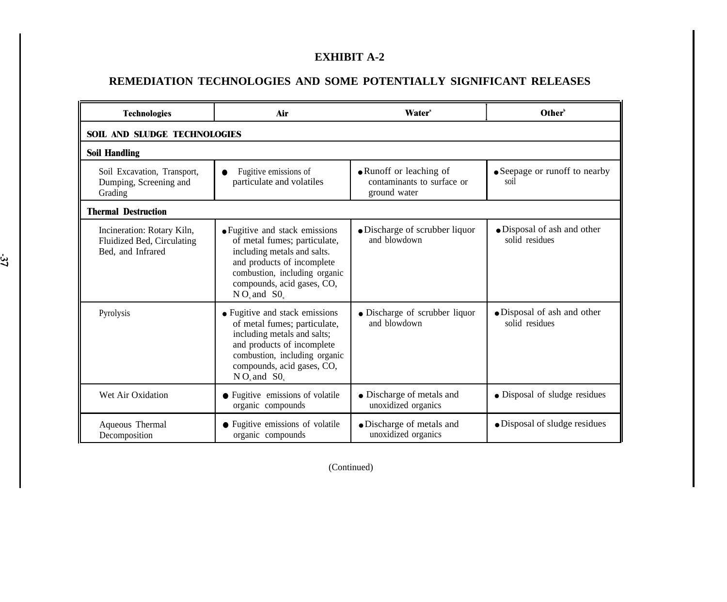# **EXHIBIT A-2**

# **REMEDIATION TECHNOLOGIES AND SOME POTENTIALLY SIGNIFICANT RELEASES**

| <b>Technologies</b>                                                           | Air                                                                                                                                                                                                               | <b>Water</b> <sup>*</sup>                        | Other <sup>b</sup>                            |  |  |
|-------------------------------------------------------------------------------|-------------------------------------------------------------------------------------------------------------------------------------------------------------------------------------------------------------------|--------------------------------------------------|-----------------------------------------------|--|--|
| <b>SOIL AND SLUDGE TECHNOLOGIES</b>                                           |                                                                                                                                                                                                                   |                                                  |                                               |  |  |
| <b>Soil Handling</b>                                                          |                                                                                                                                                                                                                   |                                                  |                                               |  |  |
| Soil Excavation, Transport,<br>Dumping, Screening and<br>Grading              | • Runoff or leaching of<br>Fugitive emissions of<br>contaminants to surface or<br>particulate and volatiles<br>ground water                                                                                       |                                                  | • Seepage or runoff to nearby<br>soil         |  |  |
| <b>Thermal Destruction</b>                                                    |                                                                                                                                                                                                                   |                                                  |                                               |  |  |
| Incineration: Rotary Kiln,<br>Fluidized Bed, Circulating<br>Bed, and Infrared | • Fugitive and stack emissions<br>of metal fumes; particulate,<br>including metals and salts.<br>and products of incomplete<br>combustion, including organic<br>compounds, acid gases, CO,<br>$N O_x$ and $S O_x$ | • Discharge of scrubber liquor<br>and blowdown   | • Disposal of ash and other<br>solid residues |  |  |
| Pyrolysis                                                                     | • Fugitive and stack emissions<br>of metal fumes; particulate,<br>including metals and salts;<br>and products of incomplete<br>combustion, including organic<br>compounds, acid gases, CO,<br>$N O_x$ and $S O_x$ | • Discharge of scrubber liquor<br>and blowdown   | • Disposal of ash and other<br>solid residues |  |  |
| Wet Air Oxidation                                                             | • Fugitive emissions of volatile<br>organic compounds                                                                                                                                                             | • Discharge of metals and<br>unoxidized organics | • Disposal of sludge residues                 |  |  |
| Aqueous Thermal<br>Decomposition                                              | • Fugitive emissions of volatile<br>organic compounds                                                                                                                                                             | · Discharge of metals and<br>unoxidized organics | • Disposal of sludge residues                 |  |  |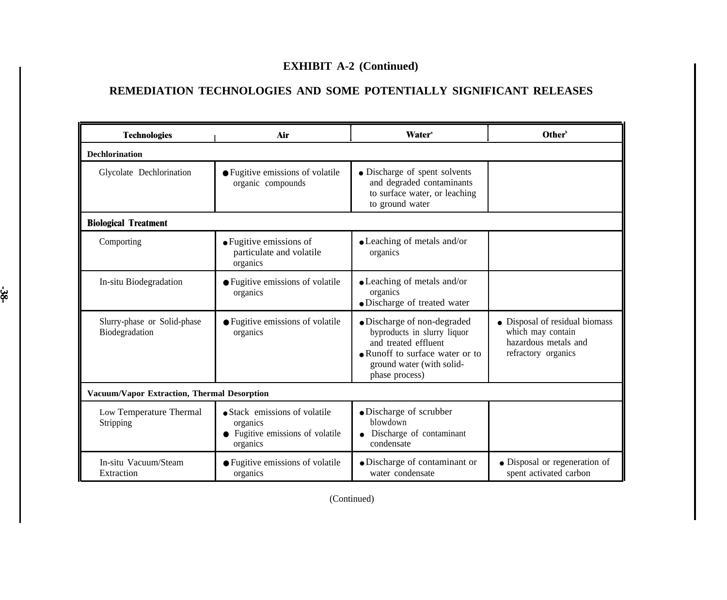# **REMEDIATION TECHNOLOGIES AND SOME POTENTIALLY SIGNIFICANT RELEASES**

| <b>Technologies</b>                           | Air                                                                                       | <b>Water</b> <sup>*</sup>                                                                                                                                            | Other <sup>b</sup>                                                                                 |  |  |  |
|-----------------------------------------------|-------------------------------------------------------------------------------------------|----------------------------------------------------------------------------------------------------------------------------------------------------------------------|----------------------------------------------------------------------------------------------------|--|--|--|
| <b>Dechlorination</b>                         |                                                                                           |                                                                                                                                                                      |                                                                                                    |  |  |  |
| Glycolate Dechlorination                      | • Fugitive emissions of volatile<br>organic compounds                                     | • Discharge of spent solvents<br>and degraded contaminants<br>to surface water, or leaching<br>to ground water                                                       |                                                                                                    |  |  |  |
| <b>Biological Treatment</b>                   |                                                                                           |                                                                                                                                                                      |                                                                                                    |  |  |  |
| Comporting                                    | • Fugitive emissions of<br>particulate and volatile<br>organics                           | • Leaching of metals and/or<br>organics                                                                                                                              |                                                                                                    |  |  |  |
| In-situ Biodegradation                        | • Fugitive emissions of volatile<br>organics                                              | • Leaching of metals and/or<br>organics<br>· Discharge of treated water                                                                                              |                                                                                                    |  |  |  |
| Slurry-phase or Solid-phase<br>Biodegradation | • Fugitive emissions of volatile<br>organics                                              | • Discharge of non-degraded<br>byproducts in slurry liquor<br>and treated effluent<br>• Runoff to surface water or to<br>ground water (with solid-<br>phase process) | • Disposal of residual biomass<br>which may contain<br>hazardous metals and<br>refractory organics |  |  |  |
| Vacuum/Vapor Extraction, Thermal Desorption   |                                                                                           |                                                                                                                                                                      |                                                                                                    |  |  |  |
| Low Temperature Thermal<br>Stripping          | • Stack emissions of volatile<br>organics<br>• Fugitive emissions of volatile<br>organics | • Discharge of scrubber<br>blowdown<br>Discharge of contaminant<br>condensate                                                                                        |                                                                                                    |  |  |  |
| In-situ Vacuum/Steam<br>Extraction            | • Fugitive emissions of volatile<br>organics                                              | • Discharge of contaminant or<br>water condensate                                                                                                                    | • Disposal or regeneration of<br>spent activated carbon                                            |  |  |  |

မွှ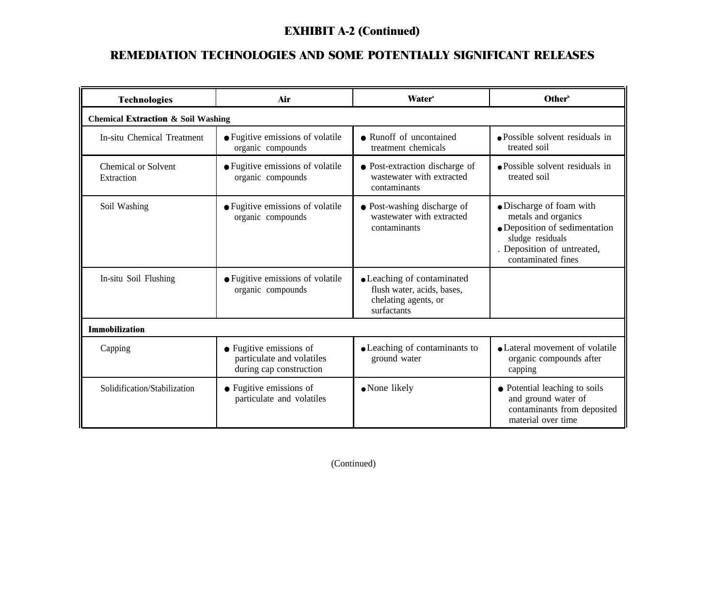# **REMEDIATION TECHNOLOGIES AND SOME POTENTIALLY SIGNIFICANT RELEASES**

| <b>Technologies</b>                           | Air                                                                             | <b>Water</b> <sup>*</sup>                                                                       | Other <sup>b</sup>                                                                                                                                       |  |  |
|-----------------------------------------------|---------------------------------------------------------------------------------|-------------------------------------------------------------------------------------------------|----------------------------------------------------------------------------------------------------------------------------------------------------------|--|--|
| <b>Chemical Extraction &amp; Soil Washing</b> |                                                                                 |                                                                                                 |                                                                                                                                                          |  |  |
| In-situ Chemical Treatment                    | • Fugitive emissions of volatile<br>organic compounds                           | • Runoff of uncontained<br>treatment chemicals                                                  | • Possible solvent residuals in<br>treated soil                                                                                                          |  |  |
| Chemical or Solvent<br>Extraction             | • Fugitive emissions of volatile<br>organic compounds                           | • Post-extraction discharge of<br>wastewater with extracted<br>contaminants                     | · Possible solvent residuals in<br>treated soil                                                                                                          |  |  |
| Soil Washing                                  | • Fugitive emissions of volatile<br>organic compounds                           | • Post-washing discharge of<br>wastewater with extracted<br>contaminants                        | · Discharge of foam with<br>metals and organics<br>• Deposition of sedimentation<br>sludge residuals<br>. Deposition of untreated,<br>contaminated fines |  |  |
| In-situ Soil Flushing                         | • Fugitive emissions of volatile<br>organic compounds                           | • Leaching of contaminated<br>flush water, acids, bases,<br>chelating agents, or<br>surfactants |                                                                                                                                                          |  |  |
| <b>Immobilization</b>                         |                                                                                 |                                                                                                 |                                                                                                                                                          |  |  |
| Capping                                       | • Fugitive emissions of<br>particulate and volatiles<br>during cap construction | • Leaching of contaminants to<br>ground water                                                   | • Lateral movement of volatile<br>organic compounds after<br>capping                                                                                     |  |  |
| Solidification/Stabilization                  | • Fugitive emissions of<br>particulate and volatiles                            | • None likely                                                                                   | • Potential leaching to soils<br>and ground water of<br>contaminants from deposited<br>material over time                                                |  |  |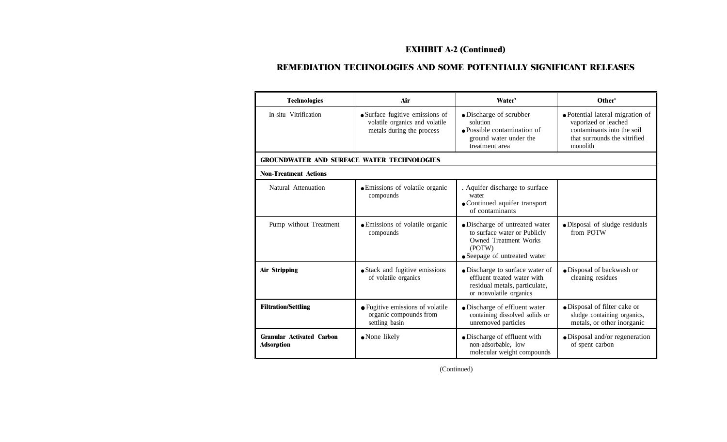# **REMEDIATION TECHNOLOGIES AND SOME POTENTIALLY SIGNIFICANT RELEASES**

| <b>Technologies</b>                                   | Air                                                                                            | Water'                                                                                                                                   | Other <sup>b</sup>                                                                                                                 |
|-------------------------------------------------------|------------------------------------------------------------------------------------------------|------------------------------------------------------------------------------------------------------------------------------------------|------------------------------------------------------------------------------------------------------------------------------------|
| In-situ Vitrification                                 | • Surface fugitive emissions of<br>volatile organics and volatile<br>metals during the process | · Discharge of scrubber<br>solution<br>$\bullet$ Possible contamination of<br>ground water under the<br>treatment area                   | • Potential lateral migration of<br>vaporized or leached<br>contaminants into the soil<br>that surrounds the vitrified<br>monolith |
| <b>GROUNDWATER AND SURFACE WATER TECHNOLOGIES</b>     |                                                                                                |                                                                                                                                          |                                                                                                                                    |
| <b>Non-Treatment Actions</b>                          |                                                                                                |                                                                                                                                          |                                                                                                                                    |
| Natural Attenuation                                   | • Emissions of volatile organic<br>compounds                                                   | . Aquifer discharge to surface<br>water<br>• Continued aquifer transport<br>of contaminants                                              |                                                                                                                                    |
| Pump without Treatment                                | • Emissions of volatile organic<br>compounds                                                   | · Discharge of untreated water<br>to surface water or Publicly<br><b>Owned Treatment Works</b><br>(POTW)<br>• Seepage of untreated water | · Disposal of sludge residuals<br>from POTW                                                                                        |
| <b>Air Stripping</b>                                  | • Stack and fugitive emissions<br>of volatile organics                                         | • Discharge to surface water of<br>effluent treated water with<br>residual metals, particulate,<br>or nonvolatile organics               | · Disposal of backwash or<br>cleaning residues                                                                                     |
| <b>Filtration/Settling</b>                            | • Fugitive emissions of volatile<br>organic compounds from<br>settling basin                   | • Discharge of effluent water<br>containing dissolved solids or<br>unremoved particles                                                   | • Disposal of filter cake or<br>sludge containing organics,<br>metals, or other inorganic                                          |
| <b>Granular Activated Carbon</b><br><b>Adsorption</b> | • None likely                                                                                  | • Discharge of effluent with<br>• Disposal and/or regeneration<br>non-adsorbable, low<br>of spent carbon<br>molecular weight compounds   |                                                                                                                                    |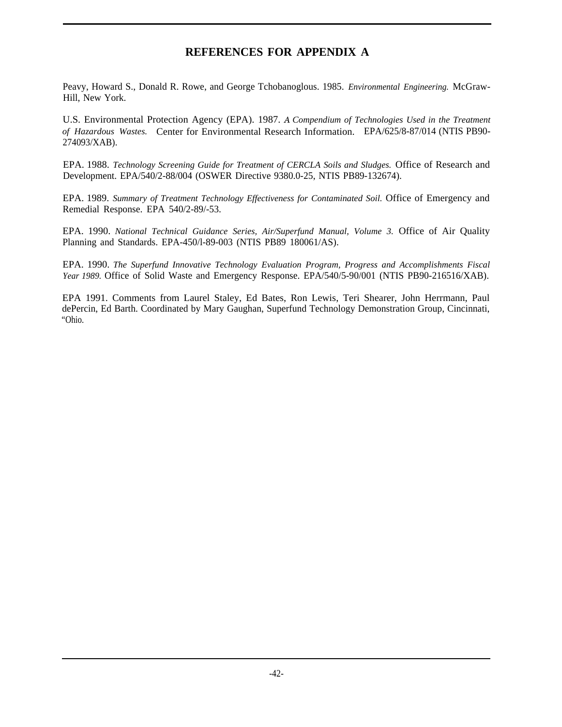# **REFERENCES FOR APPENDIX A**

Peavy, Howard S., Donald R. Rowe, and George Tchobanoglous. 1985. *Environmental Engineering.* McGraw-Hill, New York.

U.S. Environmental Protection Agency (EPA). 1987. *A Compendium of Technologies Used in the Treatment of Hazardous Wastes.* Center for Environmental Research Information. EPA/625/8-87/014 (NTIS PB90- 274093/XAB).

EPA. 1988. *Technology Screening Guide for Treatment of CERCLA Soils and Sludges.* Office of Research and Development. EPA/540/2-88/004 (OSWER Directive 9380.0-25, NTIS PB89-132674).

EPA. 1989. *Summary of Treatment Technology Effectiveness for Contaminated Soil.* Office of Emergency and Remedial Response. EPA 540/2-89/-53.

EPA. 1990. *National Technical Guidance Series, Air/Superfund Manual, Volume 3.* Office of Air Quality Planning and Standards. EPA-450/l-89-003 (NTIS PB89 180061/AS).

EPA. 1990. *The Superfund Innovative Technology Evaluation Program, Progress and Accomplishments Fiscal Year 1989.* Office of Solid Waste and Emergency Response. EPA/540/5-90/001 (NTIS PB90-216516/XAB).

EPA 1991. Comments from Laurel Staley, Ed Bates, Ron Lewis, Teri Shearer, John Herrmann, Paul dePercin, Ed Barth. Coordinated by Mary Gaughan, Superfund Technology Demonstration Group, Cincinnati, "Ohio.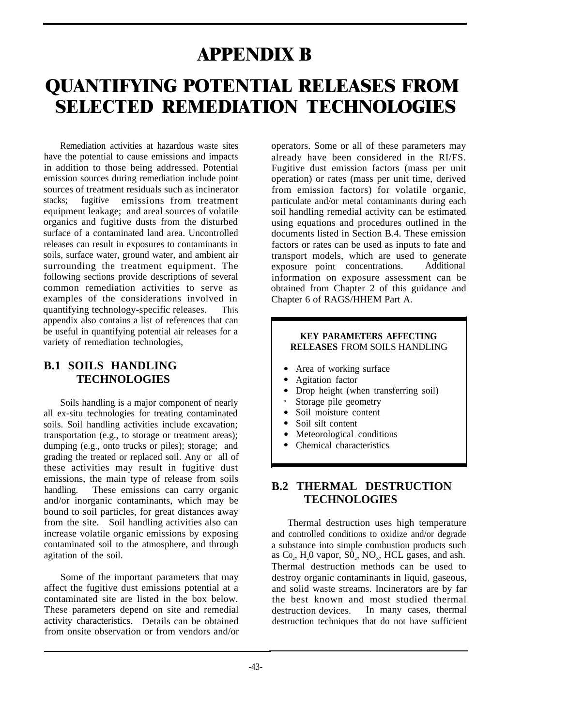# **APPENDIX B**

# **QUANTIFYING POTENTIAL RELEASES FROM SELECTED REMEDIATION TECHNOLOGIES**

Remediation activities at hazardous waste sites have the potential to cause emissions and impacts in addition to those being addressed. Potential emission sources during remediation include point sources of treatment residuals such as incinerator stacks; fugitive emissions from treatment equipment leakage; and areal sources of volatile organics and fugitive dusts from the disturbed surface of a contaminated land area. Uncontrolled releases can result in exposures to contaminants in soils, surface water, ground water, and ambient air surrounding the treatment equipment. The following sections provide descriptions of several common remediation activities to serve as examples of the considerations involved in quantifying technology-specific releases. This appendix also contains a list of references that can be useful in quantifying potential air releases for a variety of remediation technologies,

# **B.1 SOILS HANDLING TECHNOLOGIES**

Soils handling is a major component of nearly all ex-situ technologies for treating contaminated soils. Soil handling activities include excavation; transportation (e.g., to storage or treatment areas); dumping (e.g., onto trucks or piles); storage; and grading the treated or replaced soil. Any or all of these activities may result in fugitive dust emissions, the main type of release from soils handling. These emissions can carry organic and/or inorganic contaminants, which may be bound to soil particles, for great distances away from the site. Soil handling activities also can increase volatile organic emissions by exposing contaminated soil to the atmosphere, and through agitation of the soil.

Some of the important parameters that may affect the fugitive dust emissions potential at a contaminated site are listed in the box below. These parameters depend on site and remedial activity characteristics. Details can be obtained from onsite observation or from vendors and/or operators. Some or all of these parameters may already have been considered in the RI/FS. Fugitive dust emission factors (mass per unit operation) or rates (mass per unit time, derived from emission factors) for volatile organic, particulate and/or metal contaminants during each soil handling remedial activity can be estimated using equations and procedures outlined in the documents listed in Section B.4. These emission factors or rates can be used as inputs to fate and transport models, which are used to generate<br>exposure point concentrations. Additional exposure point concentrations. information on exposure assessment can be obtained from Chapter 2 of this guidance and Chapter 6 of RAGS/HHEM Part A.

#### **KEY PARAMETERS AFFECTING RELEASES** FROM SOILS HANDLING

- Area of working surface
- Agitation factor
- Drop height (when transferring soil)
- 9 Storage pile geometry
- Soil moisture content
- Soil silt content
- Meteorological conditions
- Chemical characteristics

### **B.2 THERMAL DESTRUCTION TECHNOLOGIES**

Thermal destruction uses high temperature and controlled conditions to oxidize and/or degrade a substance into simple combustion products such as  $Co<sub>2</sub>$ , H<sub>2</sub>O vapor,  $SO<sub>2</sub>$ , NO<sub>x</sub>, HCL gases, and ash. Thermal destruction methods can be used to destroy organic contaminants in liquid, gaseous, and solid waste streams. Incinerators are by far the best known and most studied thermal destruction devices. In many cases, thermal destruction techniques that do not have sufficient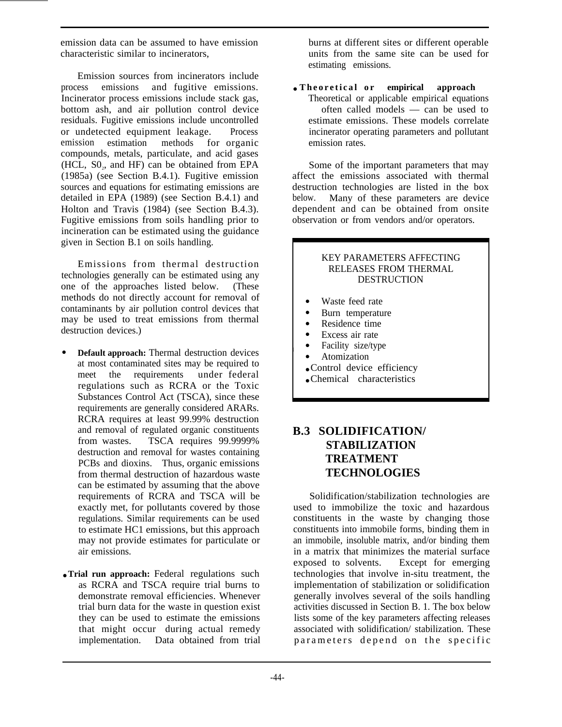emission data can be assumed to have emission characteristic similar to incinerators,

Emission sources from incinerators include process emissions and fugitive emissions. Incinerator process emissions include stack gas, bottom ash, and air pollution control device residuals. Fugitive emissions include uncontrolled or undetected equipment leakage. Process emission estimation methods for organic compounds, metals, particulate, and acid gases  $(HCL, S0<sub>2</sub>, and HF)$  can be obtained from EPA (1985a) (see Section B.4.1). Fugitive emission sources and equations for estimating emissions are detailed in EPA (1989) (see Section B.4.1) and Holton and Travis (1984) (see Section B.4.3). Fugitive emissions from soils handling prior to incineration can be estimated using the guidance given in Section B.1 on soils handling.

Emissions from thermal destruction technologies generally can be estimated using any one of the approaches listed below. (These methods do not directly account for removal of contaminants by air pollution control devices that may be used to treat emissions from thermal destruction devices.)

- **Default approach:** Thermal destruction devices at most contaminated sites may be required to<br>meet the requirements under federal meet the requirements regulations such as RCRA or the Toxic Substances Control Act (TSCA), since these requirements are generally considered ARARs. RCRA requires at least 99.99% destruction and removal of regulated organic constituents from wastes. TSCA requires 99.9999% destruction and removal for wastes containing PCBs and dioxins. Thus, organic emissions from thermal destruction of hazardous waste can be estimated by assuming that the above requirements of RCRA and TSCA will be exactly met, for pollutants covered by those regulations. Similar requirements can be used to estimate HC1 emissions, but this approach may not provide estimates for particulate or air emissions.
- **Trial run approach:** Federal regulations such as RCRA and TSCA require trial burns to demonstrate removal efficiencies. Whenever trial burn data for the waste in question exist they can be used to estimate the emissions that might occur during actual remedy implementation. Data obtained from trial

burns at different sites or different operable units from the same site can be used for estimating emissions.

● **Theoretical o r empirical approach** Theoretical or applicable empirical equations often called models — can be used to estimate emissions. These models correlate incinerator operating parameters and pollutant emission rates.

Some of the important parameters that may affect the emissions associated with thermal destruction technologies are listed in the box below. Many of these parameters are device dependent and can be obtained from onsite observation or from vendors and/or operators.

#### KEY PARAMETERS AFFECTING RELEASES FROM THERMAL DESTRUCTION

- Waste feed rate
- Burn temperature
- Residence time
- Excess air rate
- Facility size/type
- Atomization
- Control device efficiency
- Chemical characteristics

# **B.3 SOLIDIFICATION/ STABILIZATION TREATMENT TECHNOLOGIES**

Solidification/stabilization technologies are used to immobilize the toxic and hazardous constituents in the waste by changing those constituents into immobile forms, binding them in an immobile, insoluble matrix, and/or binding them in a matrix that minimizes the material surface exposed to solvents. Except for emerging technologies that involve in-situ treatment, the implementation of stabilization or solidification generally involves several of the soils handling activities discussed in Section B. 1. The box below lists some of the key parameters affecting releases associated with solidification/ stabilization. These parameters depend on the specific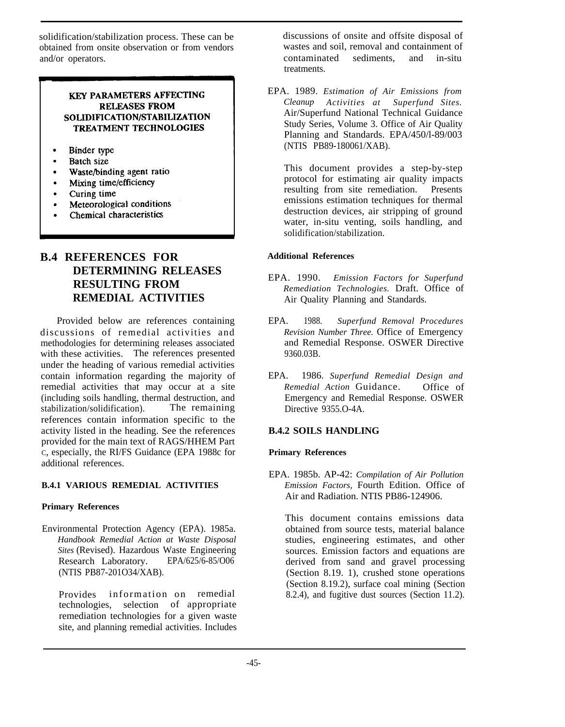solidification/stabilization process. These can be obtained from onsite observation or from vendors and/or operators.

#### **KEY PARAMETERS AFFECTING RELEASES FROM** SOLIDIFICATION/STABILIZATION TREATMENT TECHNOLOGIES

- Binder type
- Batch size
- Waste/binding agent ratio
- Mixing time/efficiency
- Curing time
- Meteorological conditions
- Chemical characteristics

# **B.4 REFERENCES FOR DETERMINING RELEASES RESULTING FROM REMEDIAL ACTIVITIES**

Provided below are references containing discussions of remedial activities and methodologies for determining releases associated with these activities. The references presented under the heading of various remedial activities contain information regarding the majority of remedial activities that may occur at a site (including soils handling, thermal destruction, and stabilization/solidification). references contain information specific to the activity listed in the heading. See the references provided for the main text of RAGS/HHEM Part C, especially, the RI/FS Guidance (EPA 1988c for additional references.

#### **B.4.1 VARIOUS REMEDIAL ACTIVITIES**

#### **Primary References**

Environmental Protection Agency (EPA). 1985a. *Handbook Remedial Action at Waste Disposal Sites* (Revised). Hazardous Waste Engineering Research Laboratory. (NTIS PB87-201O34/XAB).

Provides information on remedial technologies, selection of appropriate remediation technologies for a given waste site, and planning remedial activities. Includes discussions of onsite and offsite disposal of wastes and soil, removal and containment of contaminated sediments, and in-situ treatments.

EPA. 1989. *Estimation of Air Emissions from Cleanup Activities at Superfund Sites.* Air/Superfund National Technical Guidance Study Series, Volume 3. Office of Air Quality Planning and Standards. EPA/450/l-89/003 (NTIS PB89-180061/XAB).

This document provides a step-by-step protocol for estimating air quality impacts resulting from site remediation. Presents emissions estimation techniques for thermal destruction devices, air stripping of ground water, in-situ venting, soils handling, and solidification/stabilization.

#### **Additional References**

- EPA. 1990. *Emission Factors for Superfund Remediation Technologies.* Draft. Office of Air Quality Planning and Standards.
- EPA. 1988. *Superfund Removal Procedures Revision Number Three.* Office of Emergency and Remedial Response. OSWER Directive 9360.03B.
- EPA. 1986. *Superfund Remedial Design and Remedial Action* Guidance. Office of Emergency and Remedial Response. OSWER Directive 9355.O-4A.

#### **B.4.2 SOILS HANDLING**

#### **Primary References**

EPA. 1985b. AP-42: *Compilation of Air Pollution Emission Factors,* Fourth Edition. Office of Air and Radiation. NTIS PB86-124906.

This document contains emissions data obtained from source tests, material balance studies, engineering estimates, and other sources. Emission factors and equations are derived from sand and gravel processing (Section 8.19. 1), crushed stone operations (Section 8.19.2), surface coal mining (Section 8.2.4), and fugitive dust sources (Section 11.2).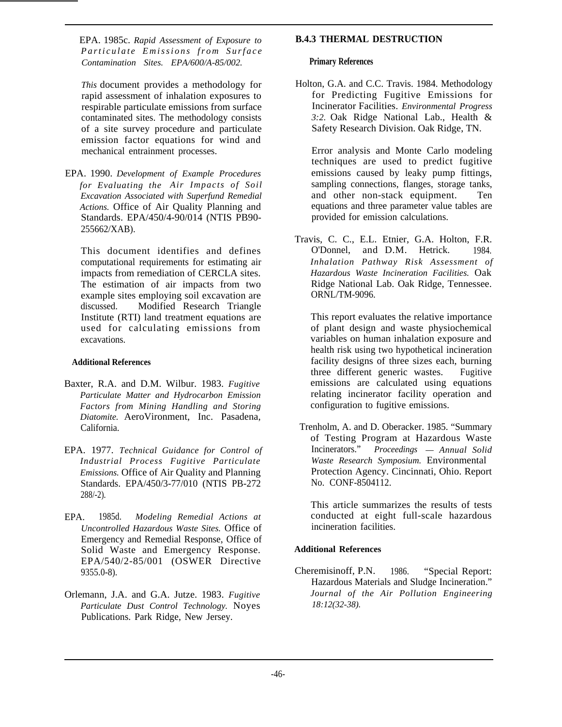EPA. 1985c. *Rapid Assessment of Exposure to Particulate Emissions from Surfac e Contamination Sites. EPA/600/A-85/002.*

*This* document provides a methodology for rapid assessment of inhalation exposures to respirable particulate emissions from surface contaminated sites. The methodology consists of a site survey procedure and particulate emission factor equations for wind and mechanical entrainment processes.

EPA. 1990. *Development of Example Procedures for Evaluating the Air Impacts of Soil Excavation Associated with Superfund Remedial Actions.* Office of Air Quality Planning and Standards. EPA/450/4-90/014 (NTIS PB90- 255662/XAB).

This document identifies and defines computational requirements for estimating air impacts from remediation of CERCLA sites. The estimation of air impacts from two example sites employing soil excavation are discussed. Modified Research Triangle Institute (RTI) land treatment equations are used for calculating emissions from excavations.

#### **Additional References**

- Baxter, R.A. and D.M. Wilbur. 1983. *Fugitive Particulate Matter and Hydrocarbon Emission Factors from Mining Handling and Storing Diatomite.* AeroVironment, Inc. Pasadena, California.
- EPA. 1977. *Technical Guidance for Control of Industrial Process Fugitive Particulate Emissions.* Office of Air Quality and Planning Standards. EPA/450/3-77/010 (NTIS PB-272 288/-2).
- EPA. 1985d. *Modeling Remedial Actions at Uncontrolled Hazardous Waste Sites.* Office of Emergency and Remedial Response, Office of Solid Waste and Emergency Response. EPA/540/2-85/001 (OSWER Directive 9355.0-8).
- Orlemann, J.A. and G.A. Jutze. 1983. *Fugitive Particulate Dust Control Technology.* Noyes Publications. Park Ridge, New Jersey.

#### **B.4.3 THERMAL DESTRUCTION**

#### **Primary References**

Holton, G.A. and C.C. Travis. 1984. Methodology for Predicting Fugitive Emissions for Incinerator Facilities. *Environmental Progress 3:2.* Oak Ridge National Lab., Health & Safety Research Division. Oak Ridge, TN.

Error analysis and Monte Carlo modeling techniques are used to predict fugitive emissions caused by leaky pump fittings, sampling connections, flanges, storage tanks, and other non-stack equipment. Ten equations and three parameter value tables are provided for emission calculations.

Travis, C. C., E.L. Etnier, G.A. Holton, F.R. O'Donnel, and D.M. Hetrick. 1984. *Inhalation Pathway Risk Assessment of Hazardous Waste Incineration Facilities.* Oak Ridge National Lab. Oak Ridge, Tennessee. ORNL/TM-9096.

This report evaluates the relative importance of plant design and waste physiochemical variables on human inhalation exposure and health risk using two hypothetical incineration facility designs of three sizes each, burning three different generic wastes. Fugitive emissions are calculated using equations relating incinerator facility operation and configuration to fugitive emissions.

 Trenholm, A. and D. Oberacker. 1985. "Summary of Testing Program at Hazardous Waste<br>Incinerators." Proceedings - Annual Solid  $Proceedings$  *— Annual Solid Waste Research Symposium.* Environmental Protection Agency. Cincinnati, Ohio. Report No. CONF-8504112.

This article summarizes the results of tests conducted at eight full-scale hazardous incineration facilities.

#### **Additional References**

Cheremisinoff, P.N. 1986. "Special Report: Hazardous Materials and Sludge Incineration." *Journal of the Air Pollution Engineering 18:12(32-38).*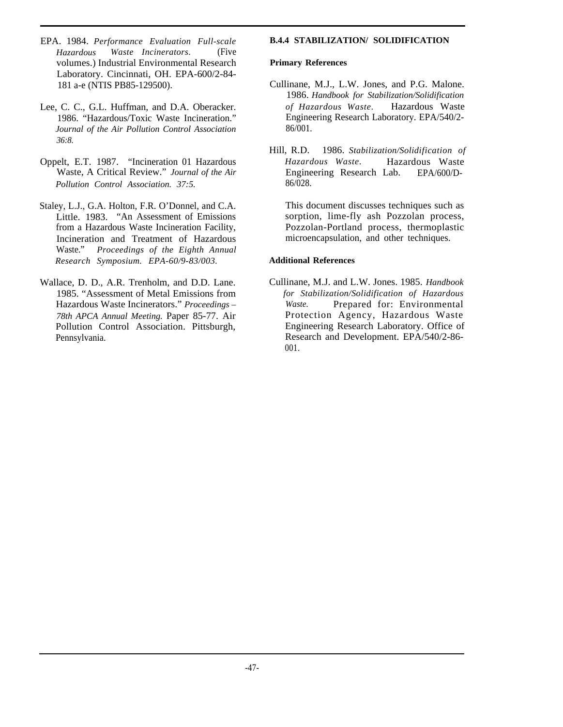- EPA. 1984. *Performance Evaluation Full-scale Hazardous Waste Incinerators.* (Five volumes.) Industrial Environmental Research Laboratory. Cincinnati, OH. EPA-600/2-84- 181 a-e (NTIS PB85-129500).
- Lee, C. C., G.L. Huffman, and D.A. Oberacker. 1986. "Hazardous/Toxic Waste Incineration." *Journal of the Air Pollution Control Association 36:8.*
- Oppelt, E.T. 1987. "Incineration 01 Hazardous Waste, A Critical Review." *Journal of the Air Pollution Control Association. 37:5.*
- Staley, L.J., G.A. Holton, F.R. O'Donnel, and C.A. Little. 1983. "An Assessment of Emissions from a Hazardous Waste Incineration Facility, Incineration and Treatment of Hazardous Waste." *Proceedings of the Eighth Annual Research Symposium. EPA-60/9-83/003.*
- Wallace, D. D., A.R. Trenholm, and D.D. Lane. 1985. "Assessment of Metal Emissions from Hazardous Waste Incinerators." *Proceedings – 78th APCA Annual Meeting.* Paper 85-77. Air Pollution Control Association. Pittsburgh, Pennsylvania.

#### **B.4.4 STABILIZATION/ SOLIDIFICATION**

#### **Primary References**

- Cullinane, M.J., L.W. Jones, and P.G. Malone. 1986. *Handbook for Stabilization/Solidification of Hazardous Waste.* Hazardous Waste Engineering Research Laboratory. EPA/540/2- 86/001.
- Hill, R.D. 1986. *Stabilization/Solidification of Hazardous Waste.* Hazardous Waste Engineering Research Lab. EPA/600/D-86/028.

This document discusses techniques such as sorption, lime-fly ash Pozzolan process, Pozzolan-Portland process, thermoplastic microencapsulation, and other techniques.

#### **Additional References**

Cullinane, M.J. and L.W. Jones. 1985. *Handbook for Stabilization/Solidification of Hazardous Waste.* Prepared for: Environmental Protection Agency, Hazardous Waste Engineering Research Laboratory. Office of Research and Development. EPA/540/2-86- 001.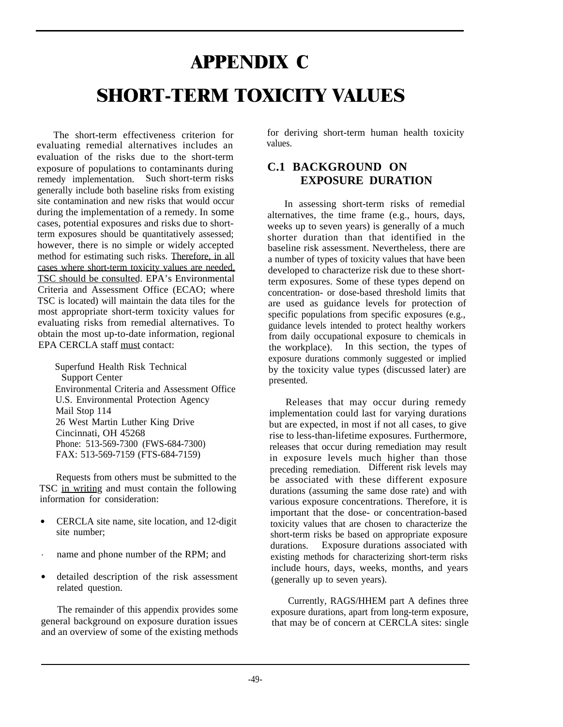# **APPENDIX C SHORT-TERM TOXICITY VALUES**

The short-term effectiveness criterion for evaluating remedial alternatives includes an evaluation of the risks due to the short-term exposure of populations to contaminants during remedy implementation. Such short-term risks generally include both baseline risks from existing site contamination and new risks that would occur during the implementation of a remedy. In some cases, potential exposures and risks due to shortterm exposures should be quantitatively assessed; however, there is no simple or widely accepted method for estimating such risks. Therefore, in all cases where short-term toxicity values are needed, TSC should be consulted. EPA's Environmental Criteria and Assessment Office (ECAO; where TSC is located) will maintain the data tiles for the most appropriate short-term toxicity values for evaluating risks from remedial alternatives. To obtain the most up-to-date information, regional EPA CERCLA staff must contact:

Superfund Health Risk Technical Support Center Environmental Criteria and Assessment Office U.S. Environmental Protection Agency Mail Stop 114 26 West Martin Luther King Drive Cincinnati, OH 45268 Phone: 513-569-7300 (FWS-684-7300) FAX: 513-569-7159 (FTS-684-7159)

Requests from others must be submitted to the TSC in writing and must contain the following information for consideration:

- CERCLA site name, site location, and 12-digit site number;
- . name and phone number of the RPM; and
- detailed description of the risk assessment related question.

The remainder of this appendix provides some general background on exposure duration issues and an overview of some of the existing methods for deriving short-term human health toxicity values.

# **C.1 BACKGROUND ON EXPOSURE DURATION**

In assessing short-term risks of remedial alternatives, the time frame (e.g., hours, days, weeks up to seven years) is generally of a much shorter duration than that identified in the baseline risk assessment. Nevertheless, there are a number of types of toxicity values that have been developed to characterize risk due to these shortterm exposures. Some of these types depend on concentration- or dose-based threshold limits that are used as guidance levels for protection of specific populations from specific exposures (e.g., guidance levels intended to protect healthy workers from daily occupational exposure to chemicals in the workplace). In this section, the types of exposure durations commonly suggested or implied by the toxicity value types (discussed later) are presented.

Releases that may occur during remedy implementation could last for varying durations but are expected, in most if not all cases, to give rise to less-than-lifetime exposures. Furthermore, releases that occur during remediation may result in exposure levels much higher than those preceding remediation. Different risk levels may be associated with these different exposure durations (assuming the same dose rate) and with various exposure concentrations. Therefore, it is important that the dose- or concentration-based toxicity values that are chosen to characterize the short-term risks be based on appropriate exposure durations. Exposure durations associated with existing methods for characterizing short-term risks include hours, days, weeks, months, and years (generally up to seven years).

Currently, RAGS/HHEM part A defines three exposure durations, apart from long-term exposure, that may be of concern at CERCLA sites: single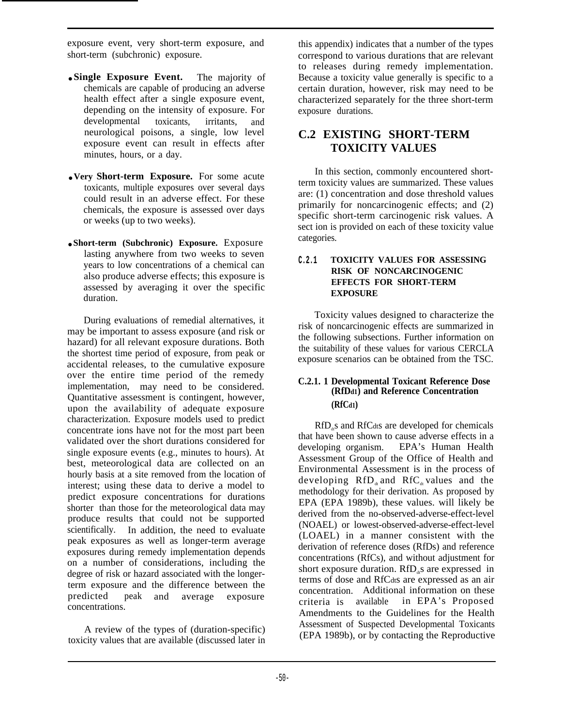exposure event, very short-term exposure, and short-term (subchronic) exposure.

- **Single Exposure Event.** The majority of chemicals are capable of producing an adverse health effect after a single exposure event, depending on the intensity of exposure. For developmental toxicants, irritants, and neurological poisons, a single, low level exposure event can result in effects after minutes, hours, or a day.
- **Very Short-term Exposure.** For some acute toxicants, multiple exposures over several days could result in an adverse effect. For these chemicals, the exposure is assessed over days or weeks (up to two weeks).
- **Short-term (Subchronic) Exposure.** Exposure lasting anywhere from two weeks to seven years to low concentrations of a chemical can also produce adverse effects; this exposure is assessed by averaging it over the specific duration.

During evaluations of remedial alternatives, it may be important to assess exposure (and risk or hazard) for all relevant exposure durations. Both the shortest time period of exposure, from peak or accidental releases, to the cumulative exposure over the entire time period of the remedy implementation, may need to be considered. Quantitative assessment is contingent, however, upon the availability of adequate exposure characterization. Exposure models used to predict concentrate ions have not for the most part been validated over the short durations considered for single exposure events (e.g., minutes to hours). At best, meteorological data are collected on an hourly basis at a site removed from the location of interest; using these data to derive a model to predict exposure concentrations for durations shorter than those for the meteorological data may produce results that could not be supported scientifically. In addition, the need to evaluate peak exposures as well as longer-term average exposures during remedy implementation depends on a number of considerations, including the degree of risk or hazard associated with the longerterm exposure and the difference between the<br>predicted peak and average exposure peak and average exposure concentrations.

A review of the types of (duration-specific) toxicity values that are available (discussed later in

this appendix) indicates that a number of the types correspond to various durations that are relevant to releases during remedy implementation. Because a toxicity value generally is specific to a certain duration, however, risk may need to be characterized separately for the three short-term exposure durations.

# **C.2 EXISTING SHORT-TERM TOXICITY VALUES**

In this section, commonly encountered shortterm toxicity values are summarized. These values are: (1) concentration and dose threshold values primarily for noncarcinogenic effects; and (2) specific short-term carcinogenic risk values. A sect ion is provided on each of these toxicity value categories.

#### **C.2.1 TOXICITY VALUES FOR ASSESSING RISK OF NONCARCINOGENIC EFFECTS FOR SHORT-TERM EXPOSURE**

Toxicity values designed to characterize the risk of noncarcinogenic effects are summarized in the following subsections. Further information on the suitability of these values for various CERCLA exposure scenarios can be obtained from the TSC.

#### **C.2.1. 1 Developmental Toxicant Reference Dose (RfDd1) and Reference Concentration (RfCd1)**

 $RfD<sub>a</sub>$ s and  $RfC<sub>d</sub>$ ts are developed for chemicals that have been shown to cause adverse effects in a developing organism. EPA's Human Health Assessment Group of the Office of Health and Environmental Assessment is in the process of developing  $RfD_d$  and  $RfC_d$  values and the methodology for their derivation. As proposed by EPA (EPA 1989b), these values. will likely be derived from the no-observed-adverse-effect-level (NOAEL) or lowest-observed-adverse-effect-level (LOAEL) in a manner consistent with the derivation of reference doses (RfDs) and reference concentrations (RfCs), and without adjustment for short exposure duration.  $RfD<sub>a</sub>$ s are expressed in terms of dose and RfCdts are expressed as an air concentration. Additional information on these criteria is available in EPA's Proposed Amendments to the Guidelines for the Health Assessment of Suspected Developmental Toxicants (EPA 1989b), or by contacting the Reproductive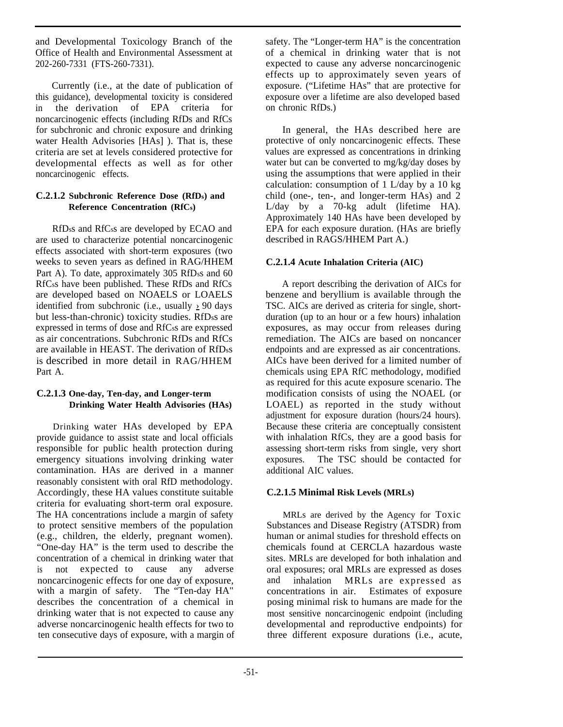and Developmental Toxicology Branch of the Office of Health and Environmental Assessment at 202-260-7331 (FTS-260-7331).

Currently (i.e., at the date of publication of this guidance), developmental toxicity is considered in the derivation of EPA criteria for noncarcinogenic effects (including RfDs and RfCs for subchronic and chronic exposure and drinking water Health Advisories [HAs] ). That is, these criteria are set at levels considered protective for developmental effects as well as for other noncarcinogenic effects.

#### **C.2.1.2 Subchronic Reference Dose (RfDs) and Reference Concentration (RfCs)**

RfDss and RfCss are developed by ECAO and are used to characterize potential noncarcinogenic effects associated with short-term exposures (two weeks to seven years as defined in RAG/HHEM Part A). To date, approximately 305 RfDss and 60 RfCss have been published. These RfDs and RfCs are developed based on NOAELS or LOAELS identified from subchronic (i.e., usually  $\geq 90$  days but less-than-chronic) toxicity studies. RfDss are expressed in terms of dose and RfCss are expressed as air concentrations. Subchronic RfDs and RfCs are available in HEAST. The derivation of RfDss is described in more detail in RAG/HHEM Part A.

#### **C.2.1.3 One-day, Ten-day, and Longer-term Drinking Water Health Advisories (HAs)**

Drinking water HAs developed by EPA provide guidance to assist state and local officials responsible for public health protection during emergency situations involving drinking water contamination. HAs are derived in a manner reasonably consistent with oral RfD methodology. Accordingly, these HA values constitute suitable criteria for evaluating short-term oral exposure. The HA concentrations include a margin of safety to protect sensitive members of the population (e.g., children, the elderly, pregnant women). "One-day HA" is the term used to describe the concentration of a chemical in drinking water that is not expected to cause any adverse noncarcinogenic effects for one day of exposure, with a margin of safety. The "Ten-day HA" describes the concentration of a chemical in drinking water that is not expected to cause any adverse noncarcinogenic health effects for two to ten consecutive days of exposure, with a margin of safety. The "Longer-term HA" is the concentration of a chemical in drinking water that is not expected to cause any adverse noncarcinogenic effects up to approximately seven years of exposure. ("Lifetime HAs" that are protective for exposure over a lifetime are also developed based on chronic RfDs.)

In general, the HAs described here are protective of only noncarcinogenic effects. These values are expressed as concentrations in drinking water but can be converted to mg/kg/day doses by using the assumptions that were applied in their calculation: consumption of 1 L/day by a 10 kg child (one-, ten-, and longer-term HAs) and 2 L/day by a 70-kg adult (lifetime HA). Approximately 140 HAs have been developed by EPA for each exposure duration. (HAs are briefly described in RAGS/HHEM Part A.)

#### **C.2.1.4 Acute Inhalation Criteria (AIC)**

A report describing the derivation of AICs for benzene and beryllium is available through the TSC. AICs are derived as criteria for single, shortduration (up to an hour or a few hours) inhalation exposures, as may occur from releases during remediation. The AICs are based on noncancer endpoints and are expressed as air concentrations. AICs have been derived for a limited number of chemicals using EPA RfC methodology, modified as required for this acute exposure scenario. The modification consists of using the NOAEL (or LOAEL) as reported in the study without adjustment for exposure duration (hours/24 hours). Because these criteria are conceptually consistent with inhalation RfCs, they are a good basis for assessing short-term risks from single, very short exposures. The TSC should be contacted for additional AIC values.

#### **C.2.1.5 Minimal Risk Levels (MRLs)**

MRLs are derived by the Agency for Toxic Substances and Disease Registry (ATSDR) from human or animal studies for threshold effects on chemicals found at CERCLA hazardous waste sites. MRLs are developed for both inhalation and oral exposures; oral MRLs are expressed as doses and inhalation MRLs are expressed as concentrations in air. Estimates of exposure posing minimal risk to humans are made for the most sensitive noncarcinogenic endpoint (including developmental and reproductive endpoints) for three different exposure durations (i.e., acute,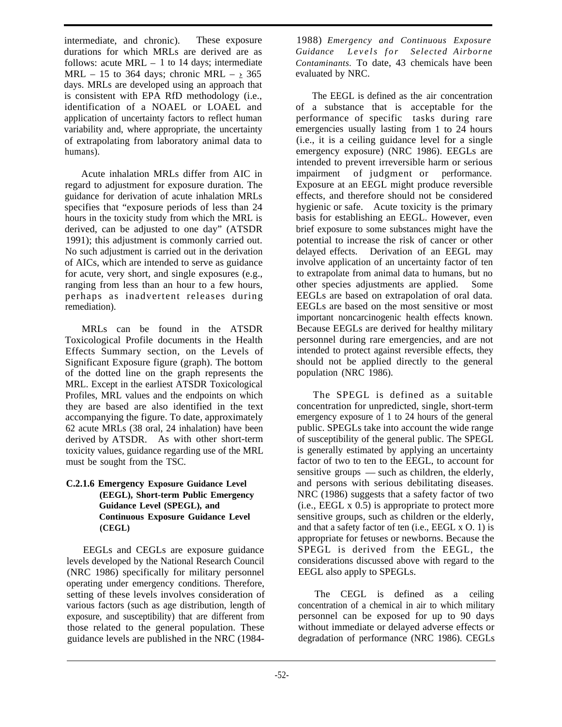intermediate, and chronic). These exposure durations for which MRLs are derived are as follows: acute MRL – 1 to 14 days; intermediate MRL – 15 to 364 days; chronic MRL –  $> 365$ days. MRLs are developed using an approach that is consistent with EPA RfD methodology (i.e., identification of a NOAEL or LOAEL and application of uncertainty factors to reflect human variability and, where appropriate, the uncertainty of extrapolating from laboratory animal data to humans).

Acute inhalation MRLs differ from AIC in regard to adjustment for exposure duration. The guidance for derivation of acute inhalation MRLs specifies that "exposure periods of less than 24 hours in the toxicity study from which the MRL is derived, can be adjusted to one day" (ATSDR 1991); this adjustment is commonly carried out. No such adjustment is carried out in the derivation of AICs, which are intended to serve as guidance for acute, very short, and single exposures (e.g., ranging from less than an hour to a few hours, perhaps as inadvertent releases during remediation).

MRLs can be found in the ATSDR Toxicological Profile documents in the Health Effects Summary section, on the Levels of Significant Exposure figure (graph). The bottom of the dotted line on the graph represents the MRL. Except in the earliest ATSDR Toxicological Profiles, MRL values and the endpoints on which they are based are also identified in the text accompanying the figure. To date, approximately 62 acute MRLs (38 oral, 24 inhalation) have been derived by ATSDR. As with other short-term toxicity values, guidance regarding use of the MRL must be sought from the TSC.

#### **C.2.1.6 Emergency Exposure Guidance Level (EEGL), Short-term Public Emergency Guidance Level (SPEGL), and Continuous Exposure Guidance Level (CEGL)**

EEGLs and CEGLs are exposure guidance levels developed by the National Research Council (NRC 1986) specifically for military personnel operating under emergency conditions. Therefore, setting of these levels involves consideration of various factors (such as age distribution, length of exposure, and susceptibility) that are different from those related to the general population. These guidance levels are published in the NRC (1984-

1988) *Emergency and Continuous Exposure Guidance Levels fo r Selected Airborne Contaminants.* To date, 43 chemicals have been evaluated by NRC.

The EEGL is defined as the air concentration of a substance that is acceptable for the performance of specific tasks during rare emergencies usually lasting from 1 to 24 hours (i.e., it is a ceiling guidance level for a single emergency exposure) (NRC 1986). EEGLs are intended to prevent irreversible harm or serious impairment of judgment or performance. Exposure at an EEGL might produce reversible effects, and therefore should not be considered hygienic or safe. Acute toxicity is the primary basis for establishing an EEGL. However, even brief exposure to some substances might have the potential to increase the risk of cancer or other delayed effects. Derivation of an EEGL may involve application of an uncertainty factor of ten to extrapolate from animal data to humans, but no other species adjustments are applied. Some EEGLs are based on extrapolation of oral data. EEGLs are based on the most sensitive or most important noncarcinogenic health effects known. Because EEGLs are derived for healthy military personnel during rare emergencies, and are not intended to protect against reversible effects, they should not be applied directly to the general population (NRC 1986).

The SPEGL is defined as a suitable concentration for unpredicted, single, short-term emergency exposure of 1 to 24 hours of the general public. SPEGLs take into account the wide range of susceptibility of the general public. The SPEGL is generally estimated by applying an uncertainty factor of two to ten to the EEGL, to account for sensitive groups — such as children, the elderly, and persons with serious debilitating diseases. NRC (1986) suggests that a safety factor of two (i.e., EEGL x 0.5) is appropriate to protect more sensitive groups, such as children or the elderly, and that a safety factor of ten (i.e., EEGL x O. 1) is appropriate for fetuses or newborns. Because the SPEGL is derived from the EEGL, the considerations discussed above with regard to the EEGL also apply to SPEGLs.

The CEGL is defined as a ceiling concentration of a chemical in air to which military personnel can be exposed for up to 90 days without immediate or delayed adverse effects or degradation of performance (NRC 1986). CEGLs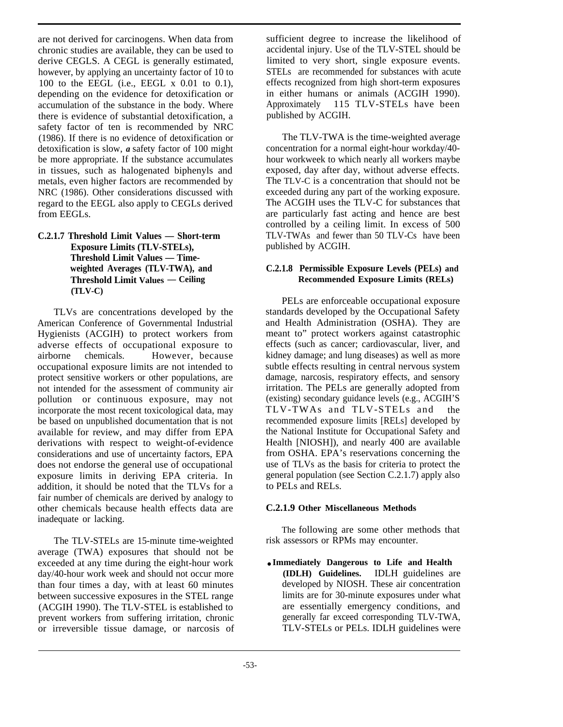are not derived for carcinogens. When data from chronic studies are available, they can be used to derive CEGLS. A CEGL is generally estimated, however, by applying an uncertainty factor of 10 to 100 to the EEGL (i.e., EEGL x 0.01 to 0.1), depending on the evidence for detoxification or accumulation of the substance in the body. Where there is evidence of substantial detoxification, a safety factor of ten is recommended by NRC (1986). If there is no evidence of detoxification or detoxification is slow, *a* safety factor of 100 might be more appropriate. If the substance accumulates in tissues, such as halogenated biphenyls and metals, even higher factors are recommended by NRC (1986). Other considerations discussed with regard to the EEGL also apply to CEGLs derived from EEGLs.

**C.2.1.7 Threshold Limit Values — Short-term Exposure Limits (TLV-STELs), Threshold Limit Values — Timeweighted Averages (TLV-TWA), and Threshold Limit Values — Ceiling (TLV-C)**

TLVs are concentrations developed by the American Conference of Governmental Industrial Hygienists (ACGIH) to protect workers from adverse effects of occupational exposure to airborne chemicals. However, because occupational exposure limits are not intended to protect sensitive workers or other populations, are not intended for the assessment of community air pollution or continuous exposure, may not incorporate the most recent toxicological data, may be based on unpublished documentation that is not available for review, and may differ from EPA derivations with respect to weight-of-evidence considerations and use of uncertainty factors, EPA does not endorse the general use of occupational exposure limits in deriving EPA criteria. In addition, it should be noted that the TLVs for a fair number of chemicals are derived by analogy to other chemicals because health effects data are inadequate or lacking.

The TLV-STELs are 15-minute time-weighted average (TWA) exposures that should not be exceeded at any time during the eight-hour work day/40-hour work week and should not occur more than four times a day, with at least 60 minutes between successive exposures in the STEL range (ACGIH 1990). The TLV-STEL is established to prevent workers from suffering irritation, chronic or irreversible tissue damage, or narcosis of sufficient degree to increase the likelihood of accidental injury. Use of the TLV-STEL should be limited to very short, single exposure events. STELs are recommended for substances with acute effects recognized from high short-term exposures in either humans or animals (ACGIH 1990). Approximately 115 TLV-STELs have been published by ACGIH.

The TLV-TWA is the time-weighted average concentration for a normal eight-hour workday/40 hour workweek to which nearly all workers maybe exposed, day after day, without adverse effects. The TLV-C is a concentration that should not be exceeded during any part of the working exposure. The ACGIH uses the TLV-C for substances that are particularly fast acting and hence are best controlled by a ceiling limit. In excess of 500 TLV-TWAs and fewer than 50 TLV-Cs have been published by ACGIH.

#### **C.2.1.8 Permissible Exposure Levels (PELs) and Recommended Exposure Limits (RELs)**

PELs are enforceable occupational exposure standards developed by the Occupational Safety and Health Administration (OSHA). They are meant to" protect workers against catastrophic effects (such as cancer; cardiovascular, liver, and kidney damage; and lung diseases) as well as more subtle effects resulting in central nervous system damage, narcosis, respiratory effects, and sensory irritation. The PELs are generally adopted from (existing) secondary guidance levels (e.g., ACGIH'S TLV-TWAs and TLV-STELs and the recommended exposure limits [RELs] developed by the National Institute for Occupational Safety and Health [NIOSH]), and nearly 400 are available from OSHA. EPA's reservations concerning the use of TLVs as the basis for criteria to protect the general population (see Section C.2.1.7) apply also to PELs and RELs.

#### **C.2.1.9 Other Miscellaneous Methods**

The following are some other methods that risk assessors or RPMs may encounter.

● **Immediately Dangerous to Life and Health (IDLH) Guidelines.** IDLH guidelines are developed by NIOSH. These air concentration limits are for 30-minute exposures under what are essentially emergency conditions, and generally far exceed corresponding TLV-TWA, TLV-STELs or PELs. IDLH guidelines were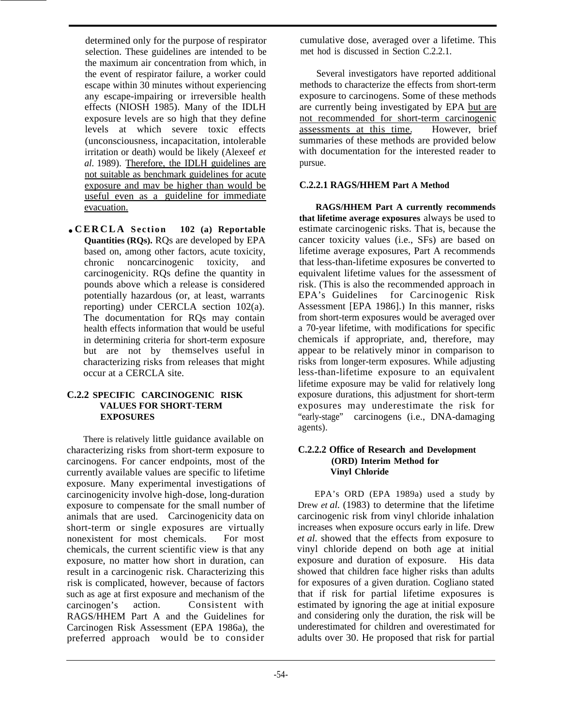determined only for the purpose of respirator selection. These guidelines are intended to be the maximum air concentration from which, in the event of respirator failure, a worker could escape within 30 minutes without experiencing any escape-impairing or irreversible health effects (NIOSH 1985). Many of the IDLH exposure levels are so high that they define levels at which severe toxic effects (unconsciousness, incapacitation, intolerable irritation or death) would be likely (Alexeef *et al.* 1989). Therefore, the IDLH guidelines are not suitable as benchmark guidelines for acute exposure and mav be higher than would be useful even as a guideline for immediate evacuation.

● **CERCLA Section 102 (a) Reportable Quantities (RQs).** RQs are developed by EPA based on, among other factors, acute toxicity, chronic noncarcinogenic toxicity, and carcinogenicity. RQs define the quantity in pounds above which a release is considered potentially hazardous (or, at least, warrants reporting) under CERCLA section 102(a). The documentation for RQs may contain health effects information that would be useful in determining criteria for short-term exposure but are not by themselves useful in characterizing risks from releases that might occur at a CERCLA site.

#### **C.2.2 SPECIFIC CARCINOGENIC RISK VALUES FOR SHORT-TERM EXPOSURES**

There is relatively little guidance available on characterizing risks from short-term exposure to carcinogens. For cancer endpoints, most of the currently available values are specific to lifetime exposure. Many experimental investigations of carcinogenicity involve high-dose, long-duration exposure to compensate for the small number of animals that are used. Carcinogenicity data on short-term or single exposures are virtually nonexistent for most chemicals. For most chemicals, the current scientific view is that any exposure, no matter how short in duration, can result in a carcinogenic risk. Characterizing this risk is complicated, however, because of factors such as age at first exposure and mechanism of the carcinogen's action. Consistent with Consistent with RAGS/HHEM Part A and the Guidelines for Carcinogen Risk Assessment (EPA 1986a), the preferred approach would be to consider

cumulative dose, averaged over a lifetime. This met hod is discussed in Section C.2.2.1.

Several investigators have reported additional methods to characterize the effects from short-term exposure to carcinogens. Some of these methods are currently being investigated by EPA but are not recommended for short-term carcinogenic assessments at this time. However, brief summaries of these methods are provided below with documentation for the interested reader to pursue.

#### **C.2.2.1 RAGS/HHEM Part A Method**

**RAGS/HHEM Part A currently recommends that lifetime average exposures** always be used to estimate carcinogenic risks. That is, because the cancer toxicity values (i.e., SFs) are based on lifetime average exposures, Part A recommends that less-than-lifetime exposures be converted to equivalent lifetime values for the assessment of risk. (This is also the recommended approach in EPA's Guidelines for Carcinogenic Risk Assessment [EPA 1986].) In this manner, risks from short-term exposures would be averaged over a 70-year lifetime, with modifications for specific chemicals if appropriate, and, therefore, may appear to be relatively minor in comparison to risks from longer-term exposures. While adjusting less-than-lifetime exposure to an equivalent lifetime exposure may be valid for relatively long exposure durations, this adjustment for short-term exposures may underestimate the risk for "early-stage" carcinogens (i.e., DNA-damaging agents).

#### **C.2.2.2 Office of Research and Development (ORD) Interim Method for Vinyl Chloride**

EPA's ORD (EPA 1989a) used a study by Drew *et al.* (1983) to determine that the lifetime carcinogenic risk from vinyl chloride inhalation increases when exposure occurs early in life. Drew *et al.* showed that the effects from exposure to vinyl chloride depend on both age at initial exposure and duration of exposure. His data showed that children face higher risks than adults for exposures of a given duration. Cogliano stated that if risk for partial lifetime exposures is estimated by ignoring the age at initial exposure and considering only the duration, the risk will be underestimated for children and overestimated for adults over 30. He proposed that risk for partial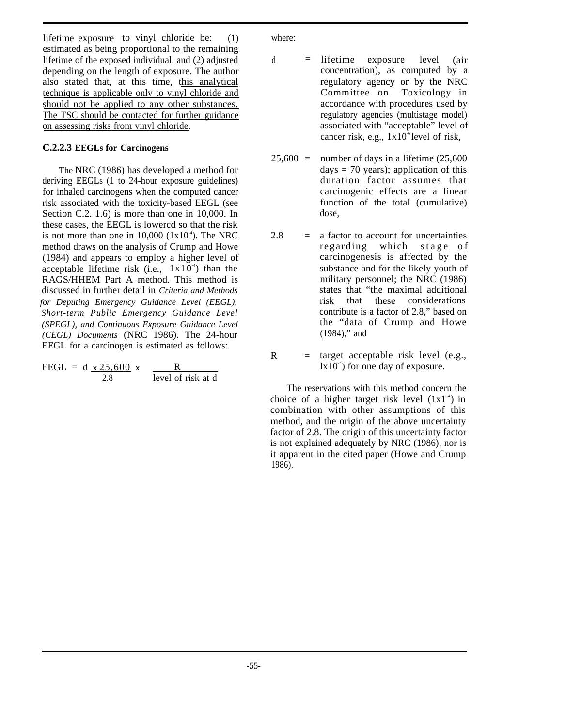lifetime exposure to vinyl chloride be: (1) estimated as being proportional to the remaining lifetime of the exposed individual, and (2) adjusted depending on the length of exposure. The author also stated that, at this time, this analytical technique is applicable onlv to vinyl chloride and should not be applied to any other substances. The TSC should be contacted for further guidance on assessing risks from vinyl chloride.

#### **C.2.2.3 EEGLs for Carcinogens**

The NRC (1986) has developed a method for deriving EEGLs (1 to 24-hour exposure guidelines) for inhaled carcinogens when the computed cancer risk associated with the toxicity-based EEGL (see Section C.2. 1.6) is more than one in 10,000. In these cases, the EEGL is lowercd so that the risk is not more than one in  $10,000$   $(1x10<sup>-4</sup>)$ . The NRC method draws on the analysis of Crump and Howe (1984) and appears to employ a higher level of acceptable lifetime risk (i.e.,  $1x10<sup>4</sup>$ ) than the RAGS/HHEM Part A method. This method is discussed in further detail in *Criteria and Methods for Deputing Emergency Guidance Level (EEGL), Short-term Public Emergency Guidance Level (SPEGL), and Continuous Exposure Guidance Level (CEGL) Documents* (NRC 1986). The 24-hour EEGL for a carcinogen is estimated as follows:

| $EEGL = d \times 25.600 \times$ |                    |
|---------------------------------|--------------------|
| 2.8                             | level of risk at d |

where:

 $R$ 

- $d =$  lifetime exposure level (air concentration), as computed by a regulatory agency or by the NRC Committee on Toxicology in accordance with procedures used by regulatory agencies (multistage model) associated with "acceptable" level of cancer risk, e.g.,  $1x10^3$  level of risk,
- $25,600 =$ number of days in a lifetime (25,600 days  $= 70$  years); application of this duration factor assumes that carcinogenic effects are a linear function of the total (cumulative) dose,
- $2.8 =$ a factor to account for uncertainties regarding which stage of carcinogenesis is affected by the substance and for the likely youth of military personnel; the NRC (1986) states that "the maximal additional risk that these considerations contribute is a factor of 2.8," based on the "data of Crump and Howe (1984)," and
	- $\epsilon$  target acceptable risk level (e.g.,  $|x10^4\rangle$  for one day of exposure.

The reservations with this method concern the choice of a higher target risk level  $(1x1<sup>-4</sup>)$  in combination with other assumptions of this method, and the origin of the above uncertainty factor of 2.8. The origin of this uncertainty factor is not explained adequately by NRC (1986), nor is it apparent in the cited paper (Howe and Crump 1986).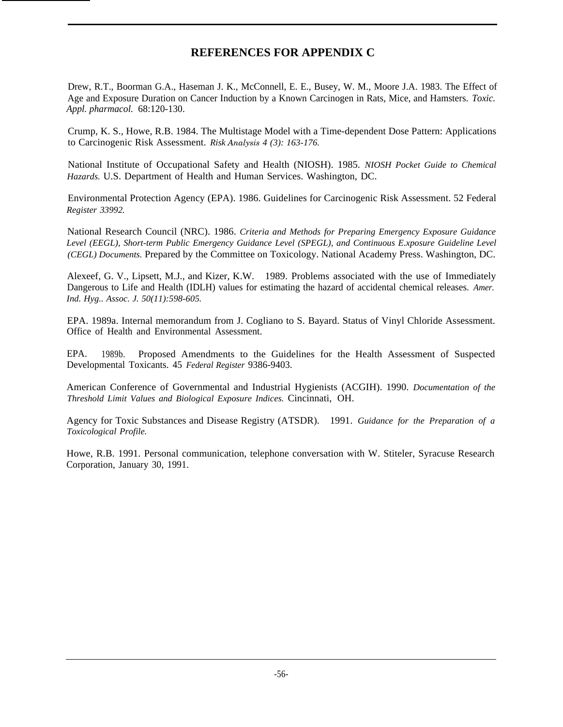# **REFERENCES FOR APPENDIX C**

Drew, R.T., Boorman G.A., Haseman J. K., McConnell, E. E., Busey, W. M., Moore J.A. 1983. The Effect of Age and Exposure Duration on Cancer Induction by a Known Carcinogen in Rats, Mice, and Hamsters. *Toxic. Appl. pharmacol.* 68:120-130.

Crump, K. S., Howe, R.B. 1984. The Multistage Model with a Time-dependent Dose Pattern: Applications to Carcinogenic Risk Assessment. *Risk Analysis 4 (3): 163-176.*

National Institute of Occupational Safety and Health (NIOSH). 1985. *NIOSH Pocket Guide to Chemical Hazards.* U.S. Department of Health and Human Services. Washington, DC.

Environmental Protection Agency (EPA). 1986. Guidelines for Carcinogenic Risk Assessment. 52 Federal *Register 33992.*

National Research Council (NRC). 1986. *Criteria and Methods for Preparing Emergency Exposure Guidance Level (EEGL), Short-term Public Emergency Guidance Level (SPEGL), and Continuous E.xposure Guideline Level (CEGL) Documents.* Prepared by the Committee on Toxicology. National Academy Press. Washington, DC.

Alexeef, G. V., Lipsett, M.J., and Kizer, K.W. 1989. Problems associated with the use of Immediately Dangerous to Life and Health (IDLH) values for estimating the hazard of accidental chemical releases. *Amer. Ind. Hyg.. Assoc. J. 50(11):598-605.*

EPA. 1989a. Internal memorandum from J. Cogliano to S. Bayard. Status of Vinyl Chloride Assessment. Office of Health and Environmental Assessment.

EPA. 1989b. Proposed Amendments to the Guidelines for the Health Assessment of Suspected Developmental Toxicants. 45 *Federal Register* 9386-9403.

American Conference of Governmental and Industrial Hygienists (ACGIH). 1990. *Documentation of the Threshold Limit Values and Biological Exposure Indices.* Cincinnati, OH.

Agency for Toxic Substances and Disease Registry (ATSDR). 1991. *Guidance for the Preparation of a Toxicological Profile.*

Howe, R.B. 1991. Personal communication, telephone conversation with W. Stiteler, Syracuse Research Corporation, January 30, 1991.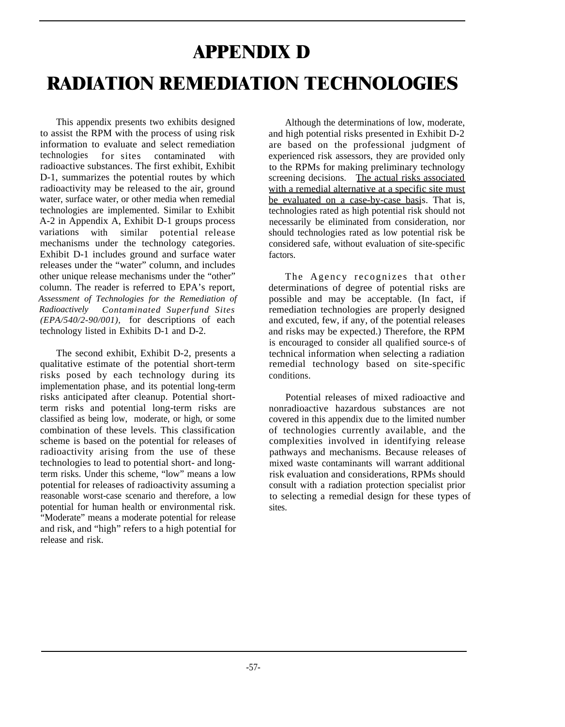# **APPENDIX D RADIATION REMEDIATION TECHNOLOGIES**

This appendix presents two exhibits designed to assist the RPM with the process of using risk information to evaluate and select remediation technologies for sites contaminated with radioactive substances. The first exhibit, Exhibit D-1, summarizes the potential routes by which radioactivity may be released to the air, ground water, surface water, or other media when remedial technologies are implemented. Similar to Exhibit A-2 in Appendix A, Exhibit D-1 groups process variations with similar potential release mechanisms under the technology categories. Exhibit D-1 includes ground and surface water releases under the "water" column, and includes other unique release mechanisms under the "other" column. The reader is referred to EPA's report, *Assessment of Technologies for the Remediation of Radioactively Contaminated Superfund Sites (EPA/540/2-90/001),* for descriptions of each technology listed in Exhibits D-1 and D-2.

The second exhibit, Exhibit D-2, presents a qualitative estimate of the potential short-term risks posed by each technology during its implementation phase, and its potential long-term risks anticipated after cleanup. Potential shortterm risks and potential long-term risks are classified as being low, moderate, or high, or some combination of these levels. This classification scheme is based on the potential for releases of radioactivity arising from the use of these technologies to lead to potential short- and longterm risks. Under this scheme, "low" means a low potential for releases of radioactivity assuming a reasonable worst-case scenario and therefore, a low potential for human health or environmental risk. "Moderate" means a moderate potential for release and risk, and "high" refers to a high potentiaI for release and risk.

Although the determinations of low, moderate, and high potential risks presented in Exhibit D-2 are based on the professional judgment of experienced risk assessors, they are provided only to the RPMs for making preliminary technology screening decisions. The actual risks associated with a remedial alternative at a specific site must be evaluated on a case-by-case basis. That is, technologies rated as high potential risk should not necessarily be eliminated from consideration, nor should technologies rated as low potential risk be considered safe, without evaluation of site-specific factors.

The Agency recognizes that other determinations of degree of potential risks are possible and may be acceptable. (In fact, if remediation technologies are properly designed and excuted, few, if any, of the potential releases and risks may be expected.) Therefore, the RPM is encouraged to consider all qualified source-s of technical information when selecting a radiation remedial technology based on site-specific conditions.

Potential releases of mixed radioactive and nonradioactive hazardous substances are not covered in this appendix due to the limited number of technologies currently available, and the complexities involved in identifying release pathways and mechanisms. Because releases of mixed waste contaminants will warrant additional risk evaluation and considerations, RPMs should consult with a radiation protection specialist prior to selecting a remedial design for these types of sites.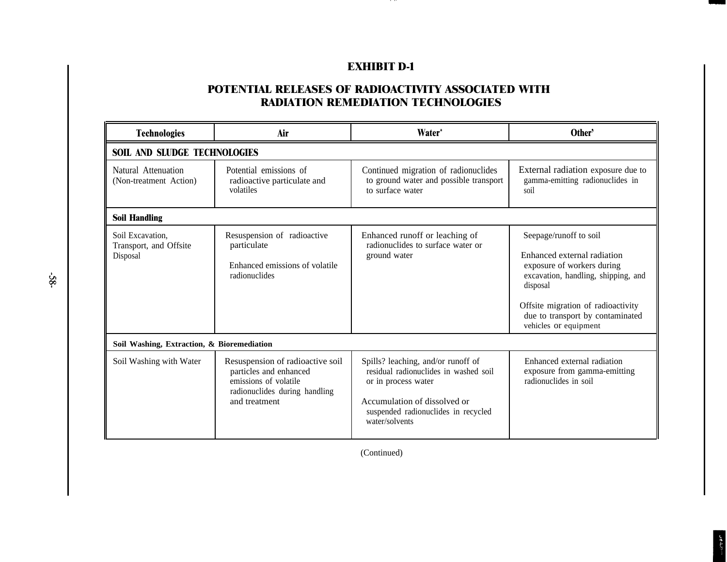# **EXHIBIT D-1**

, .. .

# **POTENTIAL RELEASES OF RADIOACTIVITY ASSOCIATED WITH RADIATION REMEDIATION TECHNOLOGIES**

| <b>Technologies</b>                                    | Air                                                                                                                                   | <b>Water</b>                                                                                                                                                                                | Other'                                                                                                                                                                                                                                    |  |  |  |
|--------------------------------------------------------|---------------------------------------------------------------------------------------------------------------------------------------|---------------------------------------------------------------------------------------------------------------------------------------------------------------------------------------------|-------------------------------------------------------------------------------------------------------------------------------------------------------------------------------------------------------------------------------------------|--|--|--|
|                                                        | <b>SOIL AND SLUDGE TECHNOLOGIES</b>                                                                                                   |                                                                                                                                                                                             |                                                                                                                                                                                                                                           |  |  |  |
| Natural Attenuation<br>(Non-treatment Action)          | Potential emissions of<br>radioactive particulate and<br>volatiles                                                                    | Continued migration of radionuclides<br>to ground water and possible transport<br>to surface water                                                                                          | External radiation exposure due to<br>gamma-emitting radionuclides in<br>soil                                                                                                                                                             |  |  |  |
| <b>Soil Handling</b>                                   |                                                                                                                                       |                                                                                                                                                                                             |                                                                                                                                                                                                                                           |  |  |  |
| Soil Excavation.<br>Transport, and Offsite<br>Disposal | Resuspension of radioactive<br>particulate<br>Enhanced emissions of volatile<br>radionuclides                                         | Enhanced runoff or leaching of<br>radionuclides to surface water or<br>ground water                                                                                                         | Seepage/runoff to soil<br>Enhanced external radiation<br>exposure of workers during<br>excavation, handling, shipping, and<br>disposal<br>Offsite migration of radioactivity<br>due to transport by contaminated<br>vehicles or equipment |  |  |  |
|                                                        | Soil Washing, Extraction, & Bioremediation                                                                                            |                                                                                                                                                                                             |                                                                                                                                                                                                                                           |  |  |  |
| Soil Washing with Water                                | Resuspension of radioactive soil<br>particles and enhanced<br>emissions of volatile<br>radionuclides during handling<br>and treatment | Spills? leaching, and/or runoff of<br>residual radionuclides in washed soil<br>or in process water<br>Accumulation of dissolved or<br>suspended radionuclides in recycled<br>water/solvents | Enhanced external radiation<br>exposure from gamma-emitting<br>radionuclides in soil                                                                                                                                                      |  |  |  |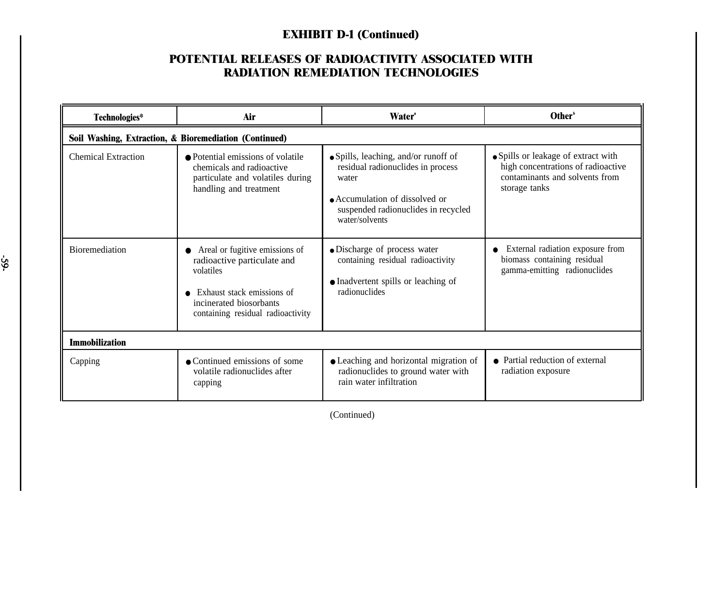### **POTENTIAL RELEASES OF RADIOACTIVITY ASSOCIATED WITH RADIATION REMEDIATION TECHNOLOGIES**

| Technologies*              | Air                                                                                                                                                                                   | <b>Water</b> <sup>*</sup>                                                                                                                                                     | Other <sup>b</sup>                                                                                                           |  |  |
|----------------------------|---------------------------------------------------------------------------------------------------------------------------------------------------------------------------------------|-------------------------------------------------------------------------------------------------------------------------------------------------------------------------------|------------------------------------------------------------------------------------------------------------------------------|--|--|
|                            | Soil Washing, Extraction, & Bioremediation (Continued)                                                                                                                                |                                                                                                                                                                               |                                                                                                                              |  |  |
| <b>Chemical Extraction</b> | • Potential emissions of volatile<br>chemicals and radioactive<br>particulate and volatiles during<br>handling and treatment                                                          | • Spills, leaching, and/or runoff of<br>residual radionuclides in process<br>water<br>• Accumulation of dissolved or<br>suspended radionuclides in recycled<br>water/solvents | • Spills or leakage of extract with<br>high concentrations of radioactive<br>contaminants and solvents from<br>storage tanks |  |  |
| <b>Bioremediation</b>      | Areal or fugitive emissions of<br>$\bullet$<br>radioactive particulate and<br>volatiles<br>Exhaust stack emissions of<br>incinerated biosorbants<br>containing residual radioactivity | · Discharge of process water<br>containing residual radioactivity<br>• Inadvertent spills or leaching of<br>radionuclides                                                     | External radiation exposure from<br>biomass containing residual<br>gamma-emitting radionuclides                              |  |  |
| <b>Immobilization</b>      |                                                                                                                                                                                       |                                                                                                                                                                               |                                                                                                                              |  |  |
| Capping                    | • Continued emissions of some<br>volatile radionuclides after<br>capping                                                                                                              | • Leaching and horizontal migration of<br>radionuclides to ground water with<br>rain water infiltration                                                                       | • Partial reduction of external<br>radiation exposure                                                                        |  |  |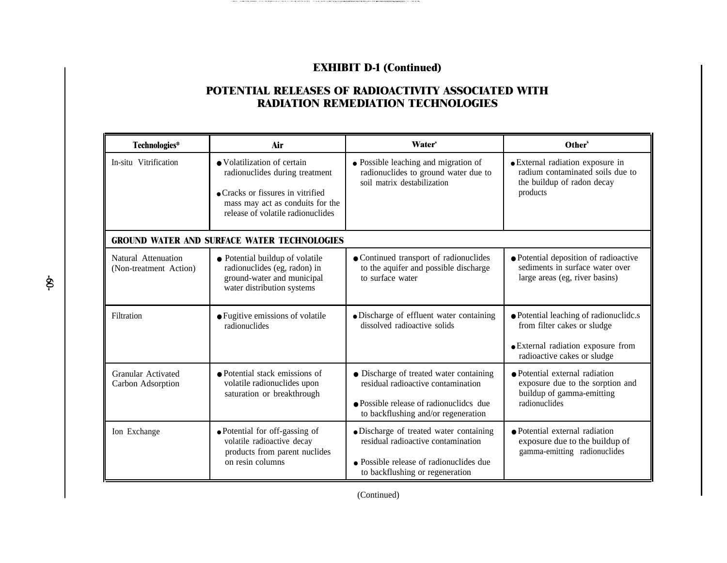THE COMPONENTIAL COMPONENT TO THE PLAST WAS CITED FOR THE CHILICAL PROVIDED WAS CITED AND RELEASED FOR A STATE OF THE

# **POTENTIAL RELEASES OF RADIOACTIVITY ASSOCIATED WITH RADIATION REMEDIATION TECHNOLOGIES**

| Technologies*                                      | Air                                                                                                                                                                                                                                | <b>Water</b> <sup>*</sup>                                                                                                                                       | Other <sup>b</sup>                                                                                                                         |  |  |
|----------------------------------------------------|------------------------------------------------------------------------------------------------------------------------------------------------------------------------------------------------------------------------------------|-----------------------------------------------------------------------------------------------------------------------------------------------------------------|--------------------------------------------------------------------------------------------------------------------------------------------|--|--|
| In-situ Vitrification                              | • Volatilization of certain<br>radionuclides during treatment<br>• Cracks or fissures in vitrified<br>mass may act as conduits for the<br>release of volatile radionuclides                                                        | • Possible leaching and migration of<br>radionuclides to ground water due to<br>soil matrix destabilization                                                     | · External radiation exposure in<br>radium contaminated soils due to<br>the buildup of radon decay<br>products                             |  |  |
| <b>GROUND WATER AND SURFACE WATER TECHNOLOGIES</b> |                                                                                                                                                                                                                                    |                                                                                                                                                                 |                                                                                                                                            |  |  |
| Natural Attenuation<br>(Non-treatment Action)      | • Continued transport of radionuclides<br>• Potential buildup of volatile<br>to the aquifer and possible discharge<br>radionuclides (eg, radon) in<br>to surface water<br>ground-water and municipal<br>water distribution systems |                                                                                                                                                                 | • Potential deposition of radioactive<br>sediments in surface water over<br>large areas (eg, river basins)                                 |  |  |
| Filtration                                         | • Fugitive emissions of volatile<br>radionuclides                                                                                                                                                                                  | • Discharge of effluent water containing<br>dissolved radioactive solids                                                                                        | • Potential leaching of radionuclide.s<br>from filter cakes or sludge<br>• External radiation exposure from<br>radioactive cakes or sludge |  |  |
| Granular Activated<br>Carbon Adsorption            | • Potential stack emissions of<br>volatile radionuclides upon<br>saturation or breakthrough                                                                                                                                        | • Discharge of treated water containing<br>residual radioactive contamination<br>• Possible release of radionuclides due<br>to backflushing and/or regeneration | • Potential external radiation<br>exposure due to the sorption and<br>buildup of gamma-emitting<br>radionuclides                           |  |  |
| Ion Exchange                                       | • Potential for off-gassing of<br>volatile radioactive decay<br>products from parent nuclides<br>on resin columns                                                                                                                  | • Discharge of treated water containing<br>residual radioactive contamination<br>• Possible release of radionuclides due<br>to backflushing or regeneration     | • Potential external radiation<br>exposure due to the buildup of<br>gamma-emitting radionuclides                                           |  |  |

\$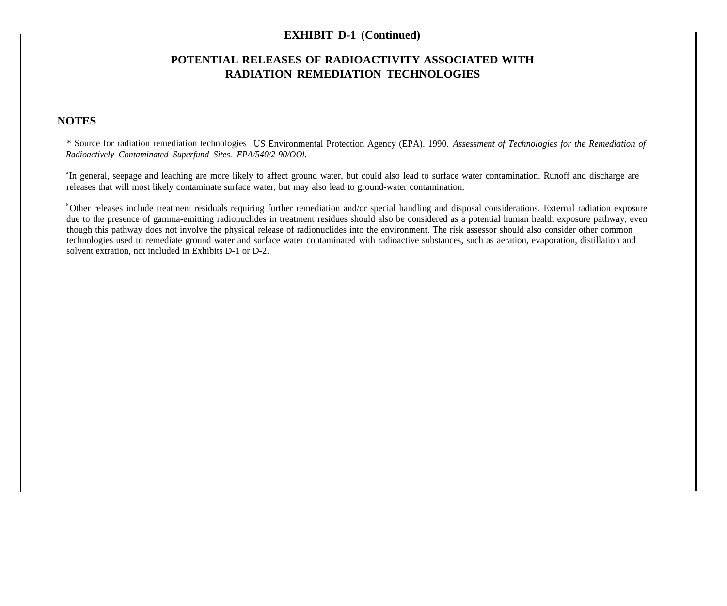#### **POTENTIAL RELEASES OF RADIOACTIVITY ASSOCIATED WITH RADIATION REMEDIATION TECHNOLOGIES**

#### **NOTES**

\* Source for radiation remediation technologies US Environmental Protection Agency (EPA). 1990. *Assessment of Technologies for the Remediation of Radioactively Contaminated Superfund Sites. EPA/540/2-90/OOl.*

<sup>a</sup>In general, seepage and leaching are more likely to affect ground water, but could also lead to surface water contamination. Runoff and discharge are releases that will most likely contaminate surface water, but may also lead to ground-water contamination.

<sup>b</sup>Other releases include treatment residuals requiring further remediation and/or special handling and disposal considerations. External radiation exposure due to the presence of gamma-emitting radionuclides in treatment residues should also be considered as a potential human health exposure pathway, even though this pathway does not involve the physical release of radionuclides into the environment. The risk assessor should also consider other common technologies used to remediate ground water and surface water contaminated with radioactive substances, such as aeration, evaporation, distillation and solvent extration, not included in Exhibits D-1 or D-2.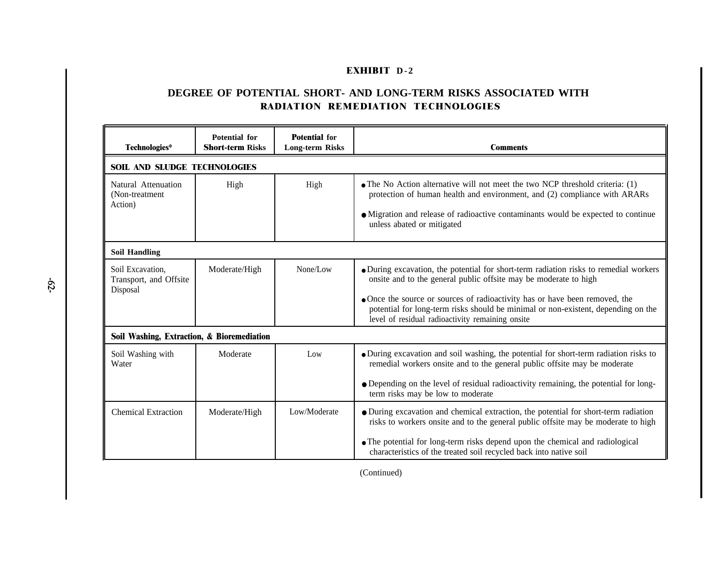#### **EXHIBIT D-2**

#### **DEGREE OF POTENTIAL SHORT- AND LONG-TERM RISKS ASSOCIATED WITH RADIATION REMEDIATION TECHNOLOGIES**

| Technologies*                                          | Potential for<br><b>Short-term Risks</b> | <b>Potential for</b><br><b>Long-term Risks</b> | <b>Comments</b>                                                                                                                                                                                                                                                                                                                                                                   |  |
|--------------------------------------------------------|------------------------------------------|------------------------------------------------|-----------------------------------------------------------------------------------------------------------------------------------------------------------------------------------------------------------------------------------------------------------------------------------------------------------------------------------------------------------------------------------|--|
| <b>SOIL AND SLUDGE TECHNOLOGIES</b>                    |                                          |                                                |                                                                                                                                                                                                                                                                                                                                                                                   |  |
| Natural Attenuation<br>(Non-treatment)<br>Action)      | High                                     | High                                           | • The No Action alternative will not meet the two NCP threshold criteria: $(1)$<br>protection of human health and environment, and (2) compliance with ARARs<br>• Migration and release of radioactive contaminants would be expected to continue<br>unless abated or mitigated                                                                                                   |  |
| <b>Soil Handling</b>                                   |                                          |                                                |                                                                                                                                                                                                                                                                                                                                                                                   |  |
| Soil Excavation,<br>Transport, and Offsite<br>Disposal | Moderate/High                            | None/Low                                       | • During excavation, the potential for short-term radiation risks to remedial workers<br>onsite and to the general public offsite may be moderate to high<br>• Once the source or sources of radioactivity has or have been removed, the<br>potential for long-term risks should be minimal or non-existent, depending on the<br>level of residual radioactivity remaining onsite |  |
| Soil Washing, Extraction, & Bioremediation             |                                          |                                                |                                                                                                                                                                                                                                                                                                                                                                                   |  |
| Soil Washing with<br>Water                             | Moderate                                 | Low                                            | • During excavation and soil washing, the potential for short-term radiation risks to<br>remedial workers onsite and to the general public offsite may be moderate<br>· Depending on the level of residual radioactivity remaining, the potential for long-<br>term risks may be low to moderate                                                                                  |  |
| <b>Chemical Extraction</b>                             | Moderate/High                            | Low/Moderate                                   | • During excavation and chemical extraction, the potential for short-term radiation<br>risks to workers onsite and to the general public offsite may be moderate to high<br>• The potential for long-term risks depend upon the chemical and radiological<br>characteristics of the treated soil recycled back into native soil                                                   |  |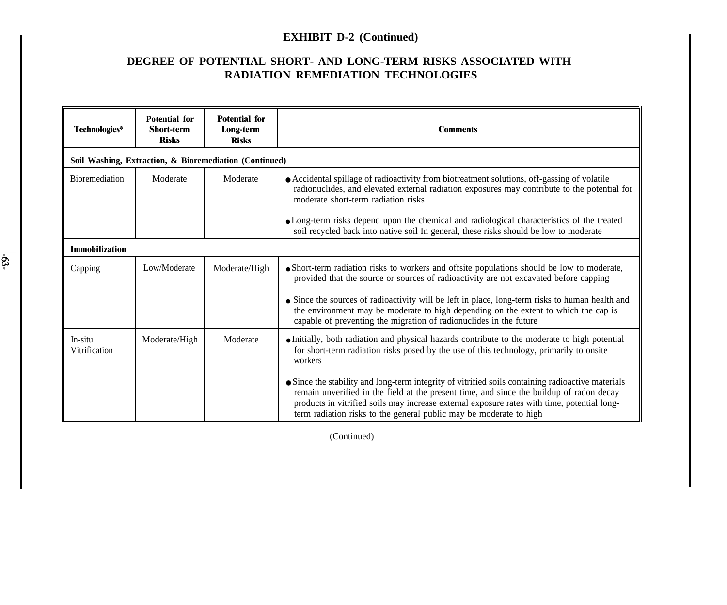## **EXHIBIT D-2 (Continued)**

## **DEGREE OF POTENTIAL SHORT- AND LONG-TERM RISKS ASSOCIATED WITH RADIATION REMEDIATION TECHNOLOGIES**

| Technologies*                                          | <b>Potential for</b><br><b>Short-term</b><br><b>Risks</b> | <b>Potential for</b><br>Long-term<br><b>Risks</b> | <b>Comments</b>                                                                                                                                                                                                                                                                                                                                                    |  |  |
|--------------------------------------------------------|-----------------------------------------------------------|---------------------------------------------------|--------------------------------------------------------------------------------------------------------------------------------------------------------------------------------------------------------------------------------------------------------------------------------------------------------------------------------------------------------------------|--|--|
| Soil Washing, Extraction, & Bioremediation (Continued) |                                                           |                                                   |                                                                                                                                                                                                                                                                                                                                                                    |  |  |
| <b>Bioremediation</b>                                  | Moderate                                                  | Moderate                                          | • Accidental spillage of radioactivity from biotreatment solutions, off-gassing of volatile<br>radionuclides, and elevated external radiation exposures may contribute to the potential for<br>moderate short-term radiation risks                                                                                                                                 |  |  |
|                                                        |                                                           |                                                   | • Long-term risks depend upon the chemical and radiological characteristics of the treated<br>soil recycled back into native soil In general, these risks should be low to moderate                                                                                                                                                                                |  |  |
| <b>Immobilization</b>                                  |                                                           |                                                   |                                                                                                                                                                                                                                                                                                                                                                    |  |  |
| Capping                                                | Low/Moderate                                              | Moderate/High                                     | • Short-term radiation risks to workers and offsite populations should be low to moderate,<br>provided that the source or sources of radioactivity are not excavated before capping                                                                                                                                                                                |  |  |
|                                                        |                                                           |                                                   | • Since the sources of radioactivity will be left in place, long-term risks to human health and<br>the environment may be moderate to high depending on the extent to which the cap is<br>capable of preventing the migration of radionuclides in the future                                                                                                       |  |  |
| In-situ<br>Vitrification                               | Moderate/High                                             | Moderate                                          | • Initially, both radiation and physical hazards contribute to the moderate to high potential<br>for short-term radiation risks posed by the use of this technology, primarily to onsite<br>workers                                                                                                                                                                |  |  |
|                                                        |                                                           |                                                   | • Since the stability and long-term integrity of vitrified soils containing radioactive materials<br>remain unverified in the field at the present time, and since the buildup of radon decay<br>products in vitrified soils may increase external exposure rates with time, potential long-<br>term radiation risks to the general public may be moderate to high |  |  |

(Continued)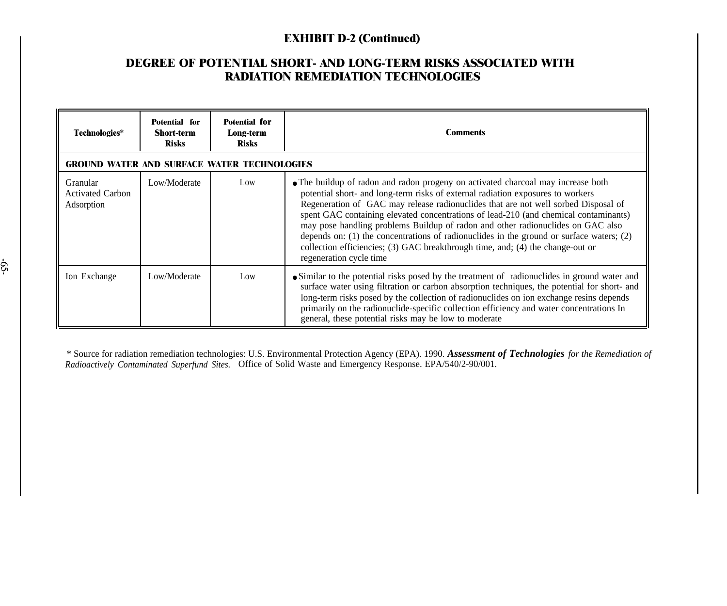## **EXHIBIT D-2 (Continued)**

## **DEGREE OF POTENTIAL SHORT- AND LONG-TERM RISKS ASSOCIATED WITH RADIATION REMEDIATION TECHNOLOGIES**

| Technologies*                                            | Potential for<br><b>Short-term</b><br><b>Risks</b> | Potential for<br>Long-term<br><b>Risks</b> | Comments                                                                                                                                                                                                                                                                                                                                                                                                                                                                                                                                                                                                                                          |  |
|----------------------------------------------------------|----------------------------------------------------|--------------------------------------------|---------------------------------------------------------------------------------------------------------------------------------------------------------------------------------------------------------------------------------------------------------------------------------------------------------------------------------------------------------------------------------------------------------------------------------------------------------------------------------------------------------------------------------------------------------------------------------------------------------------------------------------------------|--|
| <b>GROUND WATER AND SURFACE WATER TECHNOLOGIES</b>       |                                                    |                                            |                                                                                                                                                                                                                                                                                                                                                                                                                                                                                                                                                                                                                                                   |  |
| <b>Granular</b><br><b>Activated Carbon</b><br>Adsorption | Low/Moderate                                       | Low                                        | • The buildup of radon and radon progeny on activated charcoal may increase both<br>potential short- and long-term risks of external radiation exposures to workers<br>Regeneration of GAC may release radionuclides that are not well sorbed Disposal of<br>spent GAC containing elevated concentrations of lead-210 (and chemical contaminants)<br>may pose handling problems Buildup of radon and other radionuclides on GAC also<br>depends on: $(1)$ the concentrations of radionuclides in the ground or surface waters; $(2)$<br>collection efficiencies; (3) GAC breakthrough time, and; (4) the change-out or<br>regeneration cycle time |  |
| Ion Exchange                                             | Low/Moderate                                       | Low                                        | • Similar to the potential risks posed by the treatment of radionuclides in ground water and<br>surface water using filtration or carbon absorption techniques, the potential for short- and<br>long-term risks posed by the collection of radionuclides on ion exchange resins depends<br>primarily on the radionuclide-specific collection efficiency and water concentrations In<br>general, these potential risks may be low to moderate                                                                                                                                                                                                      |  |

\$

\* Source for radiation remediation technologies: U.S. Environmental Protection Agency (EPA). 1990. *Assessment of Technologies for the Remediation of Radioactively Contaminated Superfund Sites.* Office of Solid Waste and Emergency Response. EPA/540/2-90/001.